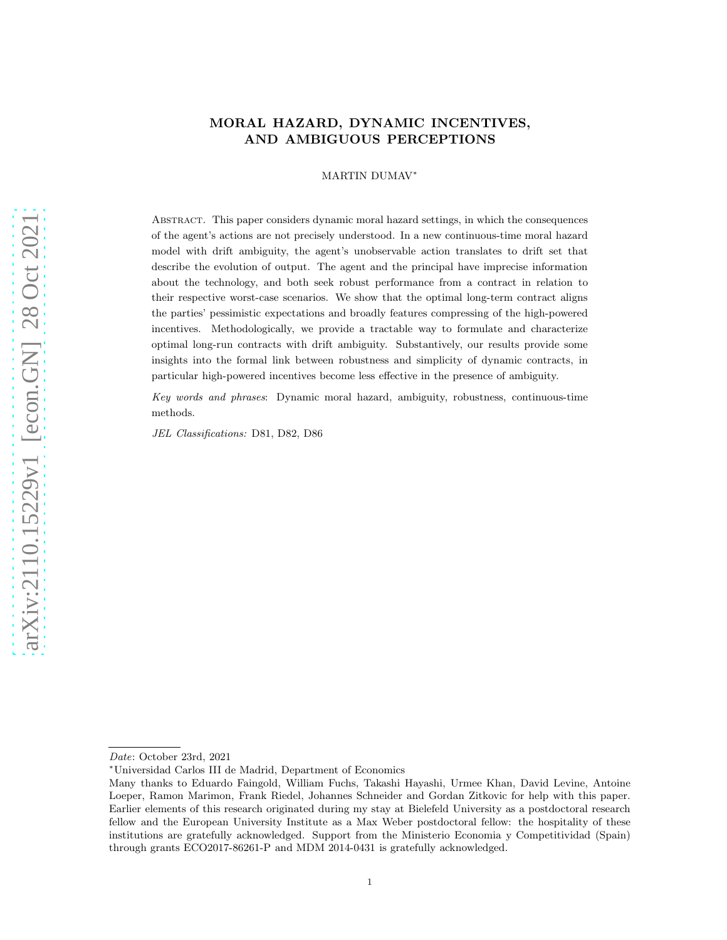# MORAL HAZARD, DYNAMIC INCENTIVES, AND AMBIGUOUS PERCEPTIONS

### MARTIN DUMAV<sup>∗</sup>

Abstract. This paper considers dynamic moral hazard settings, in which the consequences of the agent's actions are not precisely understood. In a new continuous-time moral hazard model with drift ambiguity, the agent's unobservable action translates to drift set that describe the evolution of output. The agent and the principal have imprecise information about the technology, and both seek robust performance from a contract in relation to their respective worst-case scenarios. We show that the optimal long-term contract aligns the parties' pessimistic expectations and broadly features compressing of the high-powered incentives. Methodologically, we provide a tractable way to formulate and characterize optimal long-run contracts with drift ambiguity. Substantively, our results provide some insights into the formal link between robustness and simplicity of dynamic contracts, in particular high-powered incentives become less effective in the presence of ambiguity.

Key words and phrases: Dynamic moral hazard, ambiguity, robustness, continuous-time methods.

JEL Classifications: D81, D82, D86

Date: October 23rd, 2021

<sup>∗</sup>Universidad Carlos III de Madrid, Department of Economics

Many thanks to Eduardo Faingold, William Fuchs, Takashi Hayashi, Urmee Khan, David Levine, Antoine Loeper, Ramon Marimon, Frank Riedel, Johannes Schneider and Gordan Zitkovic for help with this paper. Earlier elements of this research originated during my stay at Bielefeld University as a postdoctoral research fellow and the European University Institute as a Max Weber postdoctoral fellow: the hospitality of these institutions are gratefully acknowledged. Support from the Ministerio Economia y Competitividad (Spain) through grants ECO2017-86261-P and MDM 2014-0431 is gratefully acknowledged.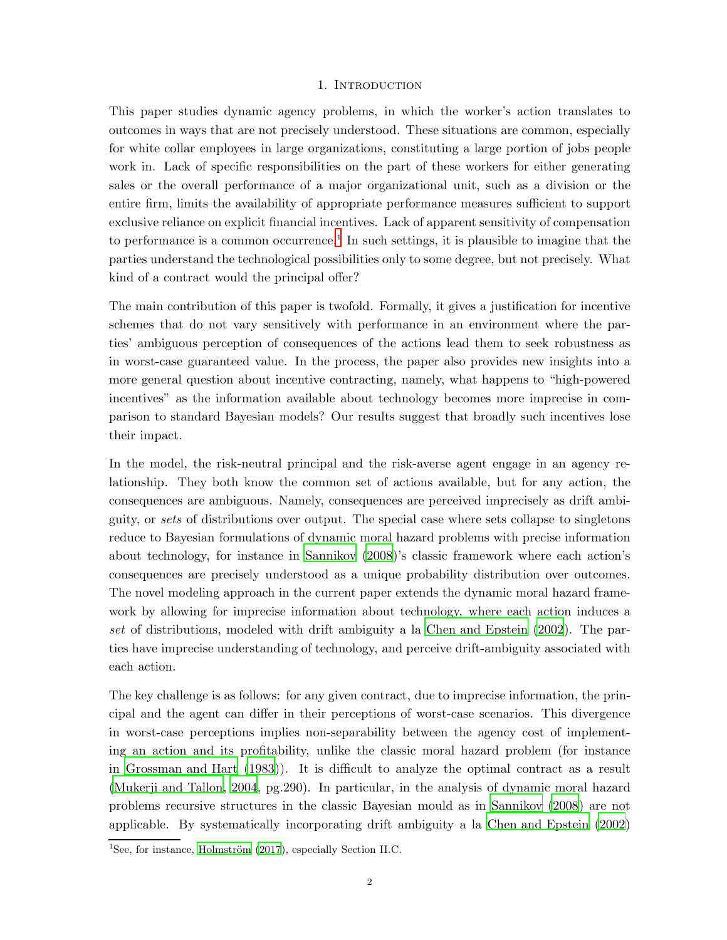# 1. INTRODUCTION

This paper studies dynamic agency problems, in which the worker's action translates to outcomes in ways that are not precisely understood. These situations are common, especially for white collar employees in large organizations, constituting a large portion of jobs people work in. Lack of specific responsibilities on the part of these workers for either generating sales or the overall performance of a major organizational unit, such as a division or the entire firm, limits the availability of appropriate performance measures sufficient to support exclusive reliance on explicit financial incentives. Lack of apparent sensitivity of compensation to performance is a common occurrence.<sup>[1](#page-1-0)</sup> In such settings, it is plausible to imagine that the parties understand the technological possibilities only to some degree, but not precisely. What kind of a contract would the principal offer?

The main contribution of this paper is twofold. Formally, it gives a justification for incentive schemes that do not vary sensitively with performance in an environment where the parties' ambiguous perception of consequences of the actions lead them to seek robustness as in worst-case guaranteed value. In the process, the paper also provides new insights into a more general question about incentive contracting, namely, what happens to "high-powered incentives" as the information available about technology becomes more imprecise in comparison to standard Bayesian models? Our results suggest that broadly such incentives lose their impact.

In the model, the risk-neutral principal and the risk-averse agent engage in an agency relationship. They both know the common set of actions available, but for any action, the consequences are ambiguous. Namely, consequences are perceived imprecisely as drift ambiguity, or sets of distributions over output. The special case where sets collapse to singletons reduce to Bayesian formulations of dynamic moral hazard problems with precise information about technology, for instance in [Sannikov \(2008\)](#page-48-0)'s classic framework where each action's consequences are precisely understood as a unique probability distribution over outcomes. The novel modeling approach in the current paper extends the dynamic moral hazard framework by allowing for imprecise information about technology, where each action induces a set of distributions, modeled with drift ambiguity a la [Chen and](#page-46-0) Epstein [\(2002](#page-46-0)). The parties have imprecise understanding of technology, and perceive drift-ambiguity associated with each action.

The key challenge is as follows: for any given contract, due to imprecise information, the principal and the agent can differ in their perceptions of worst-case scenarios. This divergence in worst-case perceptions implies non-separability between the agency cost of implementing an action and its profitability, unlike the classic moral hazard problem (for instance in [Grossman and Hart \(1983](#page-47-0))). It is difficult to analyze the optimal contract as a result [\(Mukerji and Tallon, 2004,](#page-48-1) pg.290). In particular, in the analysis of dynamic moral hazard problems recursive structures in the classic Bayesian mould as in [Sannikov \(2008](#page-48-0)) are not applicable. By systematically incorporating drift ambiguity a la [Chen and Epstein \(2002\)](#page-46-0)

<span id="page-1-0"></span><sup>&</sup>lt;sup>1</sup>See, for instance, Holmström  $(2017)$ , especially Section II.C.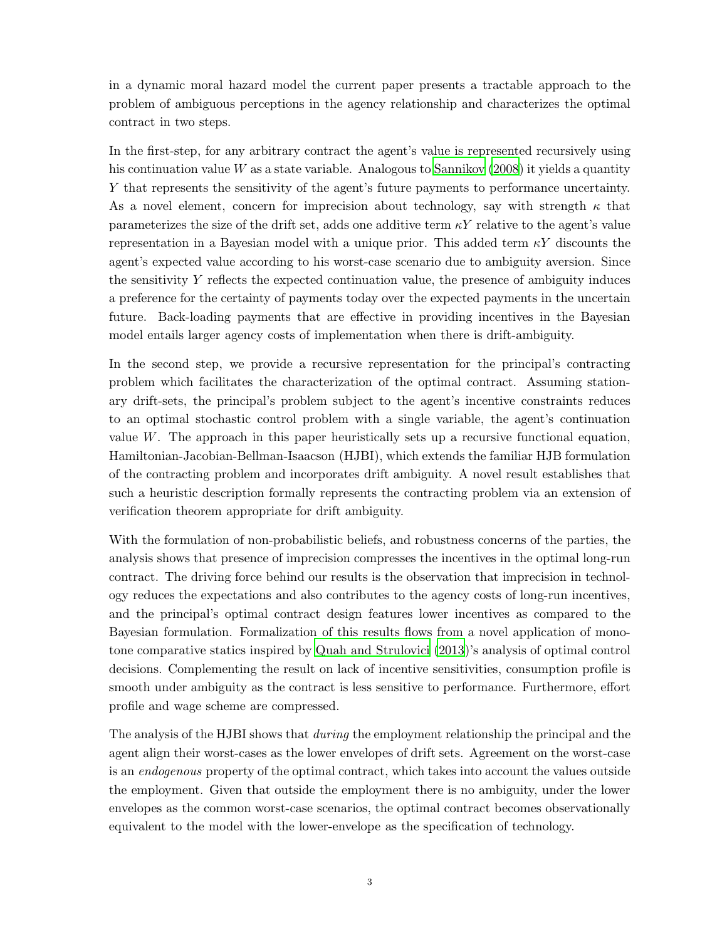in a dynamic moral hazard model the current paper presents a tractable approach to the problem of ambiguous perceptions in the agency relationship and characterizes the optimal contract in two steps.

In the first-step, for any arbitrary contract the agent's value is represented recursively using his continuation value  $W$  as a state variable. Analogous to [Sannikov \(2008](#page-48-0)) it yields a quantity Y that represents the sensitivity of the agent's future payments to performance uncertainty. As a novel element, concern for imprecision about technology, say with strength  $\kappa$  that parameterizes the size of the drift set, adds one additive term  $\kappa Y$  relative to the agent's value representation in a Bayesian model with a unique prior. This added term  $\kappa Y$  discounts the agent's expected value according to his worst-case scenario due to ambiguity aversion. Since the sensitivity  $Y$  reflects the expected continuation value, the presence of ambiguity induces a preference for the certainty of payments today over the expected payments in the uncertain future. Back-loading payments that are effective in providing incentives in the Bayesian model entails larger agency costs of implementation when there is drift-ambiguity.

In the second step, we provide a recursive representation for the principal's contracting problem which facilitates the characterization of the optimal contract. Assuming stationary drift-sets, the principal's problem subject to the agent's incentive constraints reduces to an optimal stochastic control problem with a single variable, the agent's continuation value  $W$ . The approach in this paper heuristically sets up a recursive functional equation, Hamiltonian-Jacobian-Bellman-Isaacson (HJBI), which extends the familiar HJB formulation of the contracting problem and incorporates drift ambiguity. A novel result establishes that such a heuristic description formally represents the contracting problem via an extension of verification theorem appropriate for drift ambiguity.

With the formulation of non-probabilistic beliefs, and robustness concerns of the parties, the analysis shows that presence of imprecision compresses the incentives in the optimal long-run contract. The driving force behind our results is the observation that imprecision in technology reduces the expectations and also contributes to the agency costs of long-run incentives, and the principal's optimal contract design features lower incentives as compared to the Bayesian formulation. Formalization of this results flows from a novel application of monotone comparative statics inspired by [Quah and Strulovici \(2013](#page-48-2))'s analysis of optimal control decisions. Complementing the result on lack of incentive sensitivities, consumption profile is smooth under ambiguity as the contract is less sensitive to performance. Furthermore, effort profile and wage scheme are compressed.

The analysis of the HJBI shows that during the employment relationship the principal and the agent align their worst-cases as the lower envelopes of drift sets. Agreement on the worst-case is an endogenous property of the optimal contract, which takes into account the values outside the employment. Given that outside the employment there is no ambiguity, under the lower envelopes as the common worst-case scenarios, the optimal contract becomes observationally equivalent to the model with the lower-envelope as the specification of technology.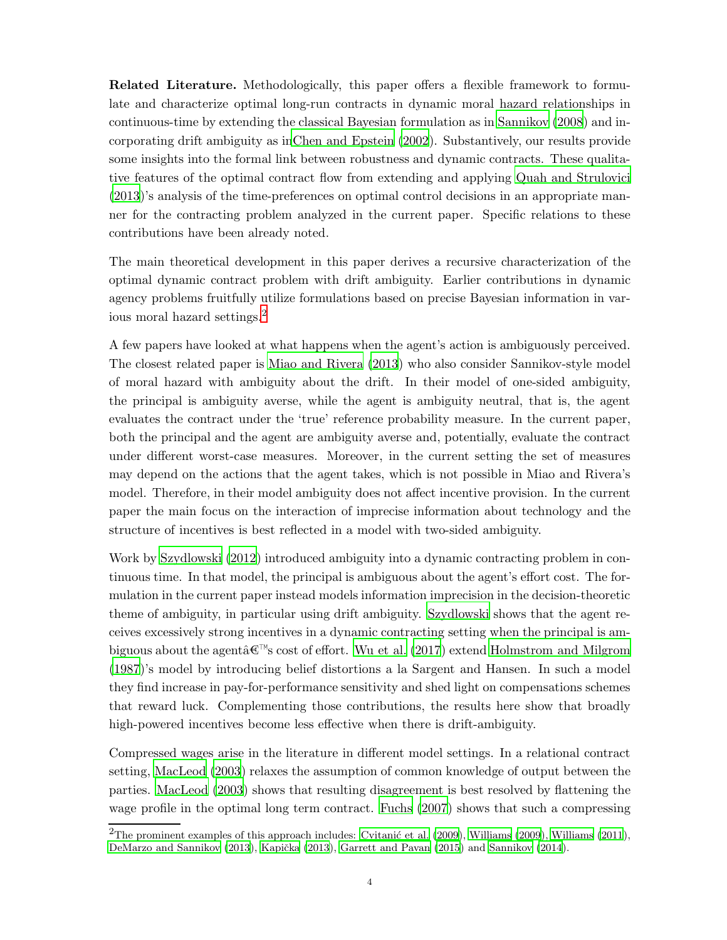Related Literature. Methodologically, this paper offers a flexible framework to formulate and characterize optimal long-run contracts in dynamic moral hazard relationships in continuous-time by extending the classical Bayesian formulation as in [Sannikov \(2008](#page-48-0)) and incorporating drift ambiguity as i[nChen and Epstein \(2002](#page-46-0)). Substantively, our results provide some insights into the formal link between robustness and dynamic contracts. These qualitative features of the optimal contract flow from extending and applying [Quah and Strulovici](#page-48-2) [\(2013\)](#page-48-2)'s analysis of the time-preferences on optimal control decisions in an appropriate manner for the contracting problem analyzed in the current paper. Specific relations to these contributions have been already noted.

The main theoretical development in this paper derives a recursive characterization of the optimal dynamic contract problem with drift ambiguity. Earlier contributions in dynamic agency problems fruitfully utilize formulations based on precise Bayesian information in various moral hazard settings.[2](#page-3-0)

A few papers have looked at what happens when the agent's action is ambiguously perceived. The closest related paper is [Miao and Rivera \(2013](#page-48-3)) who also consider Sannikov-style model of moral hazard with ambiguity about the drift. In their model of one-sided ambiguity, the principal is ambiguity averse, while the agent is ambiguity neutral, that is, the agent evaluates the contract under the 'true' reference probability measure. In the current paper, both the principal and the agent are ambiguity averse and, potentially, evaluate the contract under different worst-case measures. Moreover, in the current setting the set of measures may depend on the actions that the agent takes, which is not possible in Miao and Rivera's model. Therefore, in their model ambiguity does not affect incentive provision. In the current paper the main focus on the interaction of imprecise information about technology and the structure of incentives is best reflected in a model with two-sided ambiguity.

Work by [Szydlowski \(2012](#page-49-0)) introduced ambiguity into a dynamic contracting problem in continuous time. In that model, the principal is ambiguous about the agent's effort cost. The formulation in the current paper instead models information imprecision in the decision-theoretic theme of ambiguity, in particular using drift ambiguity. [Szydlowski](#page-49-0) shows that the agent receives excessively strong incentives in a dynamic contracting setting when the principal is ambiguous about the agentâ $\mathcal{F}^{\mathbb{N}}$ s cost of effort. [Wu et al. \(2017](#page-49-1)) extend [Holmstrom and Milgrom](#page-47-2) [\(1987\)](#page-47-2)'s model by introducing belief distortions a la Sargent and Hansen. In such a model they find increase in pay-for-performance sensitivity and shed light on compensations schemes that reward luck. Complementing those contributions, the results here show that broadly high-powered incentives become less effective when there is drift-ambiguity.

Compressed wages arise in the literature in different model settings. In a relational contract setting, [MacLeod \(2003](#page-48-4)) relaxes the assumption of common knowledge of output between the parties. [MacLeod \(2003\)](#page-48-4) shows that resulting disagreement is best resolved by flattening the wage profile in the optimal long term contract. [Fuchs \(2007](#page-47-3)) shows that such a compressing

<span id="page-3-0"></span><sup>&</sup>lt;sup>2</sup>The prominent examples of this approach includes: Cvitanić et al. (2009), [Williams \(2009\)](#page-49-2), [Williams \(2011](#page-49-3)), [DeMarzo and Sannikov \(2013\)](#page-46-2), Kapička (2013), [Garrett and Pavan \(2015](#page-47-5)) and [Sannikov \(2014\)](#page-48-5).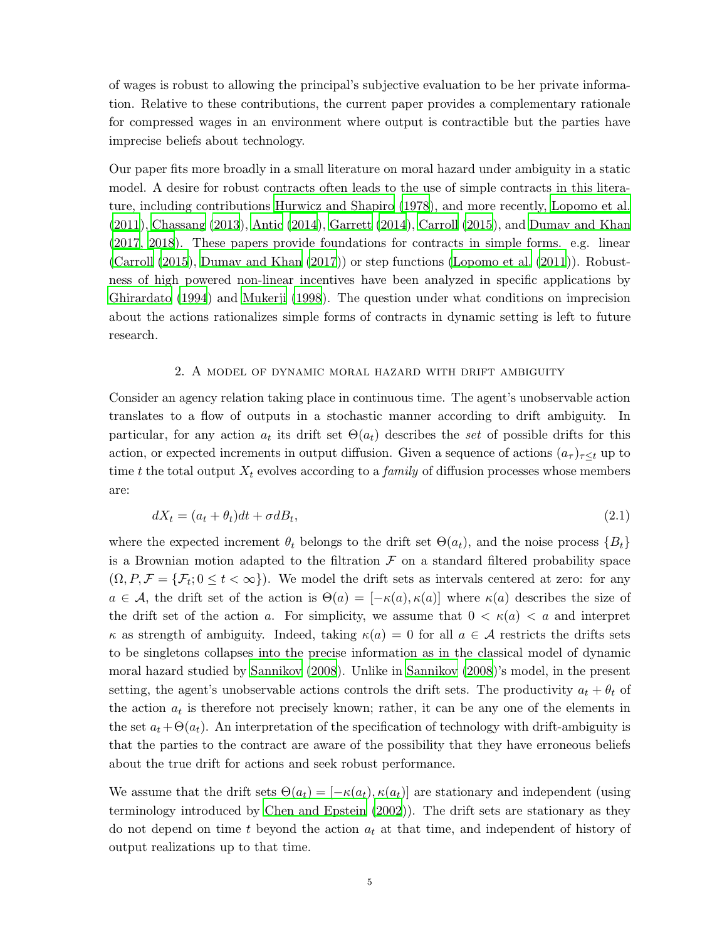of wages is robust to allowing the principal's subjective evaluation to be her private information. Relative to these contributions, the current paper provides a complementary rationale for compressed wages in an environment where output is contractible but the parties have imprecise beliefs about technology.

Our paper fits more broadly in a small literature on moral hazard under ambiguity in a static model. A desire for robust contracts often leads to the use of simple contracts in this literature, including contributions [Hurwicz and Shapiro \(1978\)](#page-47-6), and more recently, [Lopomo et al.](#page-48-6) [\(2011\)](#page-48-6), [Chassang \(2013](#page-46-3)), [Antic \(2014](#page-46-4)), [Garrett \(2014](#page-47-7)), [Carroll \(2015](#page-46-5)), and [Dumav and Khan](#page-47-8) [\(2017,](#page-47-8) [2018](#page-47-9)). These papers provide foundations for contracts in simple forms. e.g. linear [\(Carroll \(2015](#page-46-5)), [Dumav and Khan \(2017](#page-47-8))) or step functions [\(Lopomo et al. \(2011](#page-48-6))). Robustness of high powered non-linear incentives have been analyzed in specific applications by [Ghirardato \(1994](#page-47-10)) and [Mukerji \(1998](#page-48-7)). The question under what conditions on imprecision about the actions rationalizes simple forms of contracts in dynamic setting is left to future research.

#### 2. A model of dynamic moral hazard with drift ambiguity

<span id="page-4-1"></span>Consider an agency relation taking place in continuous time. The agent's unobservable action translates to a flow of outputs in a stochastic manner according to drift ambiguity. In particular, for any action  $a_t$  its drift set  $\Theta(a_t)$  describes the set of possible drifts for this action, or expected increments in output diffusion. Given a sequence of actions  $(a_{\tau})_{\tau\leq t}$  up to time t the total output  $X_t$  evolves according to a *family* of diffusion processes whose members are:

<span id="page-4-0"></span>
$$
dX_t = (a_t + \theta_t)dt + \sigma dB_t, \tag{2.1}
$$

where the expected increment  $\theta_t$  belongs to the drift set  $\Theta(a_t)$ , and the noise process  $\{B_t\}$ is a Brownian motion adapted to the filtration  $\mathcal F$  on a standard filtered probability space  $(\Omega, P, \mathcal{F} = {\mathcal{F}_t; 0 \le t < \infty}$ . We model the drift sets as intervals centered at zero: for any  $a \in \mathcal{A}$ , the drift set of the action is  $\Theta(a) = [-\kappa(a), \kappa(a)]$  where  $\kappa(a)$  describes the size of the drift set of the action a. For simplicity, we assume that  $0 < \kappa(a) < a$  and interpret  $\kappa$  as strength of ambiguity. Indeed, taking  $\kappa(a) = 0$  for all  $a \in \mathcal{A}$  restricts the drifts sets to be singletons collapses into the precise information as in the classical model of dynamic moral hazard studied by [Sannikov \(2008\)](#page-48-0). Unlike in [Sannikov](#page-48-0) [\(2008](#page-48-0))'s model, in the present setting, the agent's unobservable actions controls the drift sets. The productivity  $a_t + \theta_t$  of the action  $a_t$  is therefore not precisely known; rather, it can be any one of the elements in the set  $a_t + \Theta(a_t)$ . An interpretation of the specification of technology with drift-ambiguity is that the parties to the contract are aware of the possibility that they have erroneous beliefs about the true drift for actions and seek robust performance.

We assume that the drift sets  $\Theta(a_t) = [-\kappa(a_t), \kappa(a_t)]$  are stationary and independent (using terminology introduced by [Chen and Epstein \(2002\)](#page-46-0)). The drift sets are stationary as they do not depend on time t beyond the action  $a_t$  at that time, and independent of history of output realizations up to that time.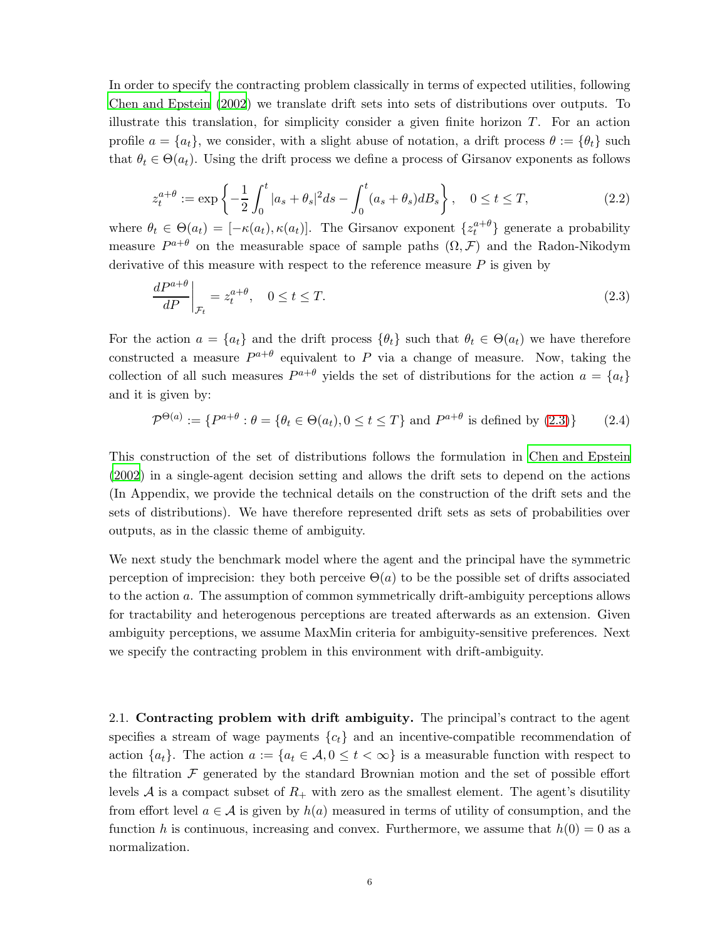In order to specify the contracting problem classically in terms of expected utilities, following [Chen and Epstein \(2002\)](#page-46-0) we translate drift sets into sets of distributions over outputs. To illustrate this translation, for simplicity consider a given finite horizon  $T$ . For an action profile  $a = \{a_t\}$ , we consider, with a slight abuse of notation, a drift process  $\theta := \{\theta_t\}$  such that  $\theta_t \in \Theta(a_t)$ . Using the drift process we define a process of Girsanov exponents as follows

$$
z_t^{a+\theta} := \exp\left\{-\frac{1}{2}\int_0^t |a_s + \theta_s|^2 ds - \int_0^t (a_s + \theta_s) dB_s\right\}, \quad 0 \le t \le T,
$$
\n(2.2)

where  $\theta_t \in \Theta(a_t) = [-\kappa(a_t), \kappa(a_t)]$ . The Girsanov exponent  $\{z_t^{a+\theta}\}\$  generate a probability measure  $P^{a+\theta}$  on the measurable space of sample paths  $(\Omega, \mathcal{F})$  and the Radon-Nikodym derivative of this measure with respect to the reference measure  $P$  is given by

<span id="page-5-0"></span>
$$
\left. \frac{dP^{a+\theta}}{dP} \right|_{\mathcal{F}_t} = z_t^{a+\theta}, \quad 0 \le t \le T. \tag{2.3}
$$

For the action  $a = \{a_t\}$  and the drift process  $\{\theta_t\}$  such that  $\theta_t \in \Theta(a_t)$  we have therefore constructed a measure  $P^{a+\theta}$  equivalent to P via a change of measure. Now, taking the collection of all such measures  $P^{a+\theta}$  yields the set of distributions for the action  $a = \{a_t\}$ and it is given by:

$$
\mathcal{P}^{\Theta(a)} := \{ P^{a+\theta} : \theta = \{ \theta_t \in \Theta(a_t), 0 \le t \le T \} \text{ and } P^{a+\theta} \text{ is defined by (2.3)} \}
$$
 (2.4)

This construction of the set of distributions follows the formulation in [Chen and Epstein](#page-46-0) [\(2002\)](#page-46-0) in a single-agent decision setting and allows the drift sets to depend on the actions (In Appendix, we provide the technical details on the construction of the drift sets and the sets of distributions). We have therefore represented drift sets as sets of probabilities over outputs, as in the classic theme of ambiguity.

We next study the benchmark model where the agent and the principal have the symmetric perception of imprecision: they both perceive  $\Theta(a)$  to be the possible set of drifts associated to the action a. The assumption of common symmetrically drift-ambiguity perceptions allows for tractability and heterogenous perceptions are treated afterwards as an extension. Given ambiguity perceptions, we assume MaxMin criteria for ambiguity-sensitive preferences. Next we specify the contracting problem in this environment with drift-ambiguity.

2.1. Contracting problem with drift ambiguity. The principal's contract to the agent specifies a stream of wage payments  ${c<sub>t</sub>}$  and an incentive-compatible recommendation of action  $\{a_t\}$ . The action  $a := \{a_t \in \mathcal{A}, 0 \leq t < \infty\}$  is a measurable function with respect to the filtration  $\mathcal F$  generated by the standard Brownian motion and the set of possible effort levels A is a compact subset of  $R_+$  with zero as the smallest element. The agent's disutility from effort level  $a \in \mathcal{A}$  is given by  $h(a)$  measured in terms of utility of consumption, and the function h is continuous, increasing and convex. Furthermore, we assume that  $h(0) = 0$  as a normalization.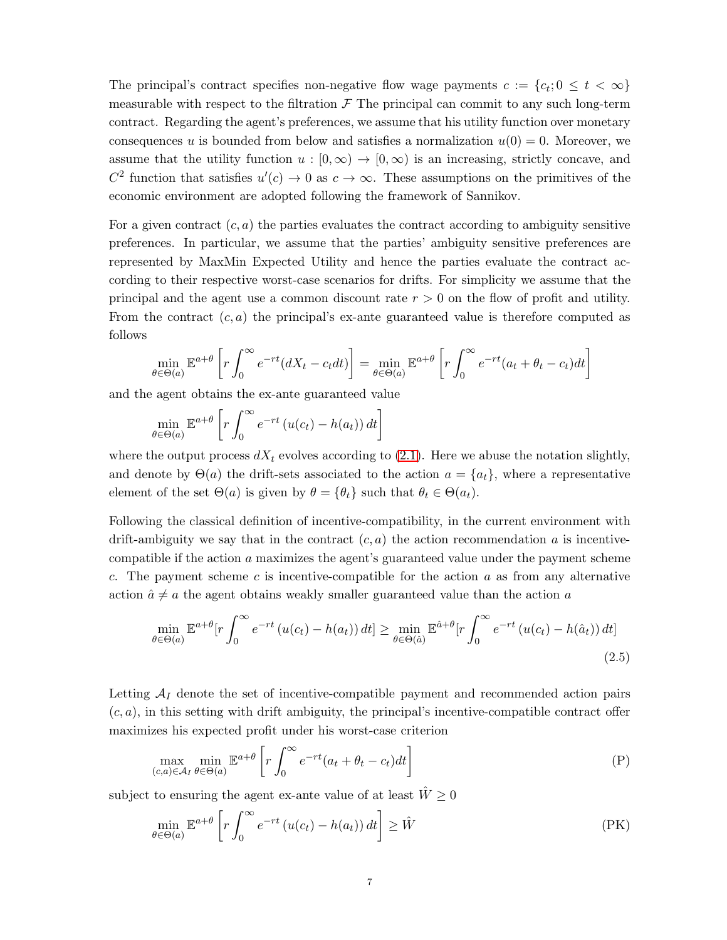The principal's contract specifies non-negative flow wage payments  $c := \{c_t; 0 \le t < \infty\}$ measurable with respect to the filtration  $\mathcal F$ . The principal can commit to any such long-term contract. Regarding the agent's preferences, we assume that his utility function over monetary consequences u is bounded from below and satisfies a normalization  $u(0) = 0$ . Moreover, we assume that the utility function  $u : [0, \infty) \to [0, \infty)$  is an increasing, strictly concave, and  $C^2$  function that satisfies  $u'(c) \to 0$  as  $c \to \infty$ . These assumptions on the primitives of the economic environment are adopted following the framework of Sannikov.

For a given contract  $(c, a)$  the parties evaluates the contract according to ambiguity sensitive preferences. In particular, we assume that the parties' ambiguity sensitive preferences are represented by MaxMin Expected Utility and hence the parties evaluate the contract according to their respective worst-case scenarios for drifts. For simplicity we assume that the principal and the agent use a common discount rate  $r > 0$  on the flow of profit and utility. From the contract  $(c, a)$  the principal's ex-ante guaranteed value is therefore computed as follows

$$
\min_{\theta \in \Theta(a)} \mathbb{E}^{a+\theta} \left[ r \int_0^\infty e^{-rt} (dX_t - c_t dt) \right] = \min_{\theta \in \Theta(a)} \mathbb{E}^{a+\theta} \left[ r \int_0^\infty e^{-rt} (a_t + \theta_t - c_t) dt \right]
$$

and the agent obtains the ex-ante guaranteed value

$$
\min_{\theta \in \Theta(a)} \mathbb{E}^{a+\theta} \left[ r \int_0^\infty e^{-rt} \left( u(c_t) - h(a_t) \right) dt \right]
$$

where the output process  $dX_t$  evolves according to [\(2.1\)](#page-4-0). Here we abuse the notation slightly, and denote by  $\Theta(a)$  the drift-sets associated to the action  $a = \{a_t\}$ , where a representative element of the set  $\Theta(a)$  is given by  $\theta = {\theta_t}$  such that  $\theta_t \in \Theta(a_t)$ .

Following the classical definition of incentive-compatibility, in the current environment with drift-ambiguity we say that in the contract  $(c, a)$  the action recommendation a is incentivecompatible if the action a maximizes the agent's guaranteed value under the payment scheme c. The payment scheme c is incentive-compatible for the action  $a$  as from any alternative action  $\hat{a} \neq a$  the agent obtains weakly smaller guaranteed value than the action a

<span id="page-6-2"></span>
$$
\min_{\theta \in \Theta(a)} \mathbb{E}^{a+\theta} \left[ r \int_0^\infty e^{-rt} \left( u(c_t) - h(a_t) \right) dt \right] \ge \min_{\theta \in \Theta(\hat{a})} \mathbb{E}^{\hat{a}+\theta} \left[ r \int_0^\infty e^{-rt} \left( u(c_t) - h(\hat{a}_t) \right) dt \right]
$$
\n(2.5)

Letting  $A_I$  denote the set of incentive-compatible payment and recommended action pairs  $(c, a)$ , in this setting with drift ambiguity, the principal's incentive-compatible contract offer maximizes his expected profit under his worst-case criterion

<span id="page-6-0"></span>
$$
\max_{(c,a)\in\mathcal{A}_I} \min_{\theta\in\Theta(a)} \mathbb{E}^{a+\theta} \left[ r \int_0^\infty e^{-rt} (a_t + \theta_t - c_t) dt \right] \tag{P}
$$

subject to ensuring the agent ex-ante value of at least  $\hat{W} \geq 0$ 

<span id="page-6-1"></span>
$$
\min_{\theta \in \Theta(a)} \mathbb{E}^{a+\theta} \left[ r \int_0^\infty e^{-rt} \left( u(c_t) - h(a_t) \right) dt \right] \ge \hat{W}
$$
\n(PK)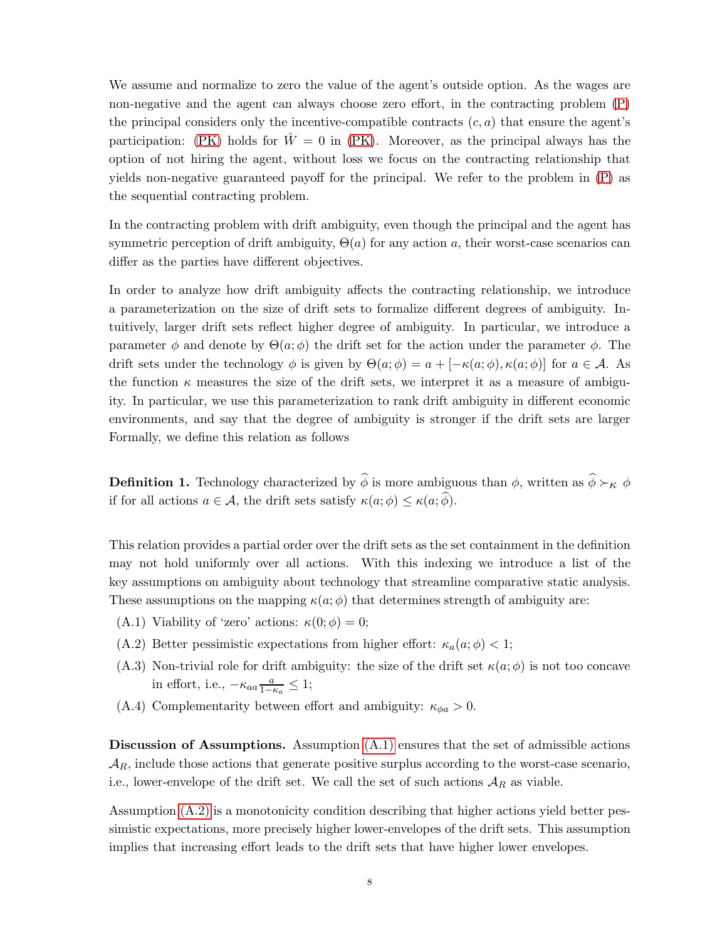We assume and normalize to zero the value of the agent's outside option. As the wages are non-negative and the agent can always choose zero effort, in the contracting problem [\(P\)](#page-6-0) the principal considers only the incentive-compatible contracts  $(c, a)$  that ensure the agent's participation: [\(PK\)](#page-6-1) holds for  $\hat{W} = 0$  in (PK). Moreover, as the principal always has the option of not hiring the agent, without loss we focus on the contracting relationship that yields non-negative guaranteed payoff for the principal. We refer to the problem in [\(P\)](#page-6-0) as the sequential contracting problem.

In the contracting problem with drift ambiguity, even though the principal and the agent has symmetric perception of drift ambiguity,  $\Theta(a)$  for any action a, their worst-case scenarios can differ as the parties have different objectives.

In order to analyze how drift ambiguity affects the contracting relationship, we introduce a parameterization on the size of drift sets to formalize different degrees of ambiguity. Intuitively, larger drift sets reflect higher degree of ambiguity. In particular, we introduce a parameter  $\phi$  and denote by  $\Theta(a; \phi)$  the drift set for the action under the parameter  $\phi$ . The drift sets under the technology  $\phi$  is given by  $\Theta(a; \phi) = a + [-\kappa(a; \phi), \kappa(a; \phi)]$  for  $a \in \mathcal{A}$ . As the function  $\kappa$  measures the size of the drift sets, we interpret it as a measure of ambiguity. In particular, we use this parameterization to rank drift ambiguity in different economic environments, and say that the degree of ambiguity is stronger if the drift sets are larger Formally, we define this relation as follows

<span id="page-7-4"></span>**Definition 1.** Technology characterized by  $\hat{\phi}$  is more ambiguous than  $\phi$ , written as  $\hat{\phi} \succ_{\kappa} \phi$ if for all actions  $a \in \mathcal{A}$ , the drift sets satisfy  $\kappa(a; \phi) \leq \kappa(a; \widehat{\phi})$ .

This relation provides a partial order over the drift sets as the set containment in the definition may not hold uniformly over all actions. With this indexing we introduce a list of the key assumptions on ambiguity about technology that streamline comparative static analysis. These assumptions on the mapping  $\kappa(a; \phi)$  that determines strength of ambiguity are:

- <span id="page-7-1"></span><span id="page-7-0"></span>(A.1) Viability of 'zero' actions:  $\kappa(0;\phi) = 0;$
- <span id="page-7-2"></span>(A.2) Better pessimistic expectations from higher effort:  $\kappa_a(a;\phi) < 1$ ;
- <span id="page-7-3"></span>(A.3) Non-trivial role for drift ambiguity: the size of the drift set  $\kappa(a; \phi)$  is not too concave in effort, i.e.,  $-\kappa_{aa} \frac{a}{1-a}$  $\frac{a}{1-\kappa_a} \leq 1;$
- (A.4) Complementarity between effort and ambiguity:  $\kappa_{\phi a} > 0$ .

Discussion of Assumptions. Assumption [\(A.1\)](#page-7-0) ensures that the set of admissible actions  $\mathcal{A}_R$ , include those actions that generate positive surplus according to the worst-case scenario, i.e., lower-envelope of the drift set. We call the set of such actions  $A_R$  as viable.

Assumption [\(A.2\)](#page-7-1) is a monotonicity condition describing that higher actions yield better pessimistic expectations, more precisely higher lower-envelopes of the drift sets. This assumption implies that increasing effort leads to the drift sets that have higher lower envelopes.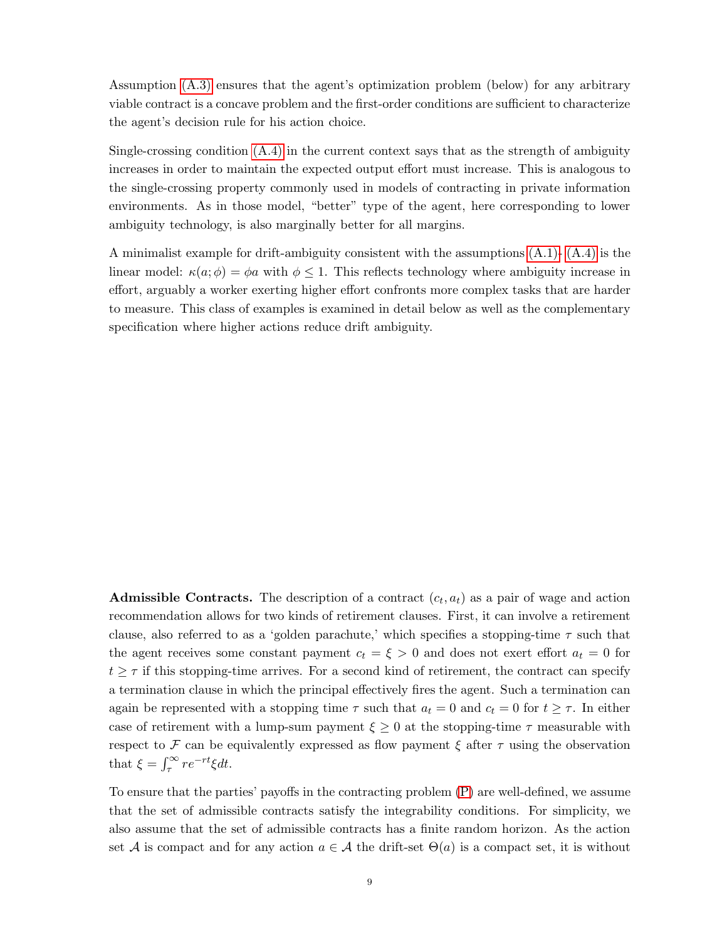Assumption [\(A.3\)](#page-7-2) ensures that the agent's optimization problem (below) for any arbitrary viable contract is a concave problem and the first-order conditions are sufficient to characterize the agent's decision rule for his action choice.

Single-crossing condition [\(A.4\)](#page-7-3) in the current context says that as the strength of ambiguity increases in order to maintain the expected output effort must increase. This is analogous to the single-crossing property commonly used in models of contracting in private information environments. As in those model, "better" type of the agent, here corresponding to lower ambiguity technology, is also marginally better for all margins.

A minimalist example for drift-ambiguity consistent with the assumptions [\(A.1\)-](#page-7-0) [\(A.4\)](#page-7-3) is the linear model:  $\kappa(a; \phi) = \phi a$  with  $\phi \leq 1$ . This reflects technology where ambiguity increase in effort, arguably a worker exerting higher effort confronts more complex tasks that are harder to measure. This class of examples is examined in detail below as well as the complementary specification where higher actions reduce drift ambiguity.

**Admissible Contracts.** The description of a contract  $(c_t, a_t)$  as a pair of wage and action recommendation allows for two kinds of retirement clauses. First, it can involve a retirement clause, also referred to as a 'golden parachute,' which specifies a stopping-time  $\tau$  such that the agent receives some constant payment  $c_t = \xi > 0$  and does not exert effort  $a_t = 0$  for  $t \geq \tau$  if this stopping-time arrives. For a second kind of retirement, the contract can specify a termination clause in which the principal effectively fires the agent. Such a termination can again be represented with a stopping time  $\tau$  such that  $a_t = 0$  and  $c_t = 0$  for  $t \geq \tau$ . In either case of retirement with a lump-sum payment  $\xi \geq 0$  at the stopping-time  $\tau$  measurable with respect to F can be equivalently expressed as flow payment  $\xi$  after  $\tau$  using the observation that  $\xi = \int_{\tau}^{\infty} r e^{-rt} \xi dt$ .

To ensure that the parties' payoffs in the contracting problem [\(P\)](#page-6-0) are well-defined, we assume that the set of admissible contracts satisfy the integrability conditions. For simplicity, we also assume that the set of admissible contracts has a finite random horizon. As the action set A is compact and for any action  $a \in \mathcal{A}$  the drift-set  $\Theta(a)$  is a compact set, it is without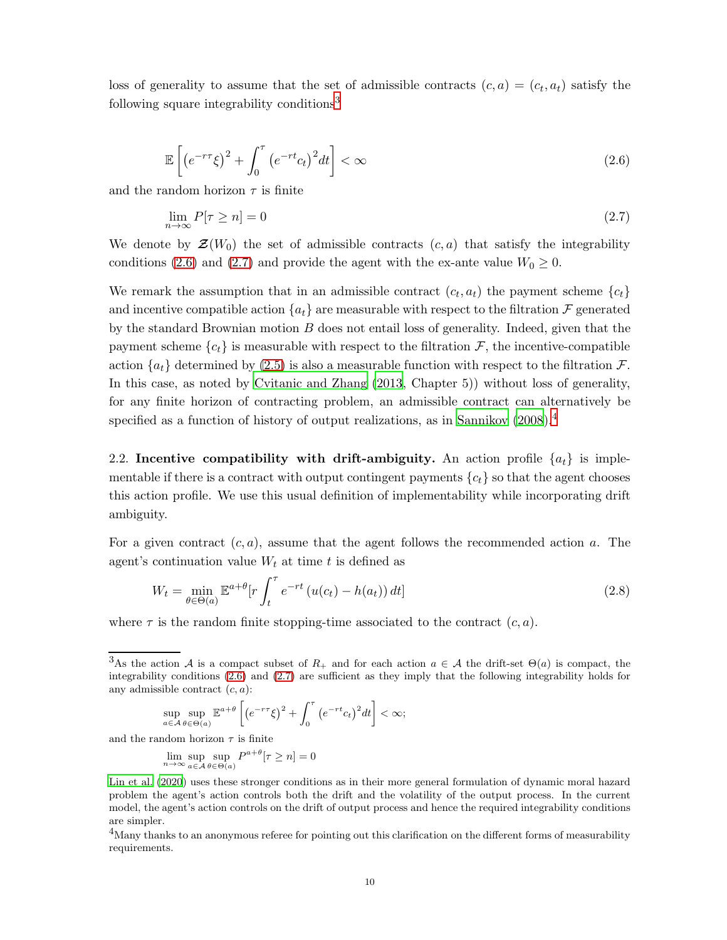<span id="page-9-1"></span>loss of generality to assume that the set of admissible contracts  $(c, a) = (c_t, a_t)$  satisfy the following square integrability conditions<sup>[3](#page-9-0)</sup>

$$
\mathbb{E}\left[\left(e^{-r\tau}\xi\right)^2 + \int_0^\tau \left(e^{-rt}c_t\right)^2 dt\right] < \infty \tag{2.6}
$$

and the random horizon  $\tau$  is finite

<span id="page-9-2"></span>
$$
\lim_{n \to \infty} P[\tau \ge n] = 0 \tag{2.7}
$$

We denote by  $\mathcal{Z}(W_0)$  the set of admissible contracts  $(c, a)$  that satisfy the integrability conditions [\(2.6\)](#page-9-1) and [\(2.7\)](#page-9-2) and provide the agent with the ex-ante value  $W_0 \geq 0$ .

We remark the assumption that in an admissible contract  $(c_t, a_t)$  the payment scheme  $\{c_t\}$ and incentive compatible action  $\{a_t\}$  are measurable with respect to the filtration F generated by the standard Brownian motion  $B$  does not entail loss of generality. Indeed, given that the payment scheme  ${c<sub>t</sub>}$  is measurable with respect to the filtration F, the incentive-compatible action  ${a_t}$  determined by [\(2.5\)](#page-6-2) is also a measurable function with respect to the filtration F. In this case, as noted by [Cvitanic and Zhang \(2013](#page-46-6), Chapter 5)) without loss of generality, for any finite horizon of contracting problem, an admissible contract can alternatively be specified as a function of history of output realizations, as in Sannikov  $(2008)^4$  $(2008)^4$ 

2.2. Incentive compatibility with drift-ambiguity. An action profile  $\{a_t\}$  is implementable if there is a contract with output contingent payments  ${c_t}$  so that the agent chooses this action profile. We use this usual definition of implementability while incorporating drift ambiguity.

For a given contract  $(c, a)$ , assume that the agent follows the recommended action a. The agent's continuation value  $W_t$  at time t is defined as

$$
W_t = \min_{\theta \in \Theta(a)} \mathbb{E}^{a+\theta} \left[ r \int_t^\tau e^{-rt} \left( u(c_t) - h(a_t) \right) dt \right]
$$
 (2.8)

where  $\tau$  is the random finite stopping-time associated to the contract  $(c, a)$ .

$$
\sup_{a\in\mathcal{A}}\sup_{\theta\in\Theta(a)}\mathbb{E}^{a+\theta}\left[\left(e^{-r\tau}\xi\right)^2+\int_0^\tau\left(e^{-rt}c_t\right)^2dt\right]<\infty;
$$

and the random horizon  $\tau$  is finite

$$
\lim_{n \to \infty} \sup_{a \in \mathcal{A}} \sup_{\theta \in \Theta(a)} P^{a+\theta}[\tau \ge n] = 0
$$

[Lin et al. \(2020\)](#page-48-8) uses these stronger conditions as in their more general formulation of dynamic moral hazard problem the agent's action controls both the drift and the volatility of the output process. In the current model, the agent's action controls on the drift of output process and hence the required integrability conditions are simpler.

<span id="page-9-3"></span><sup>4</sup>Many thanks to an anonymous referee for pointing out this clarification on the different forms of measurability requirements.

<span id="page-9-0"></span><sup>&</sup>lt;sup>3</sup>As the action A is a compact subset of  $R_+$  and for each action  $a \in A$  the drift-set  $\Theta(a)$  is compact, the integrability conditions [\(2.6\)](#page-9-1) and [\(2.7\)](#page-9-2) are sufficient as they imply that the following integrability holds for any admissible contract  $(c, a)$ :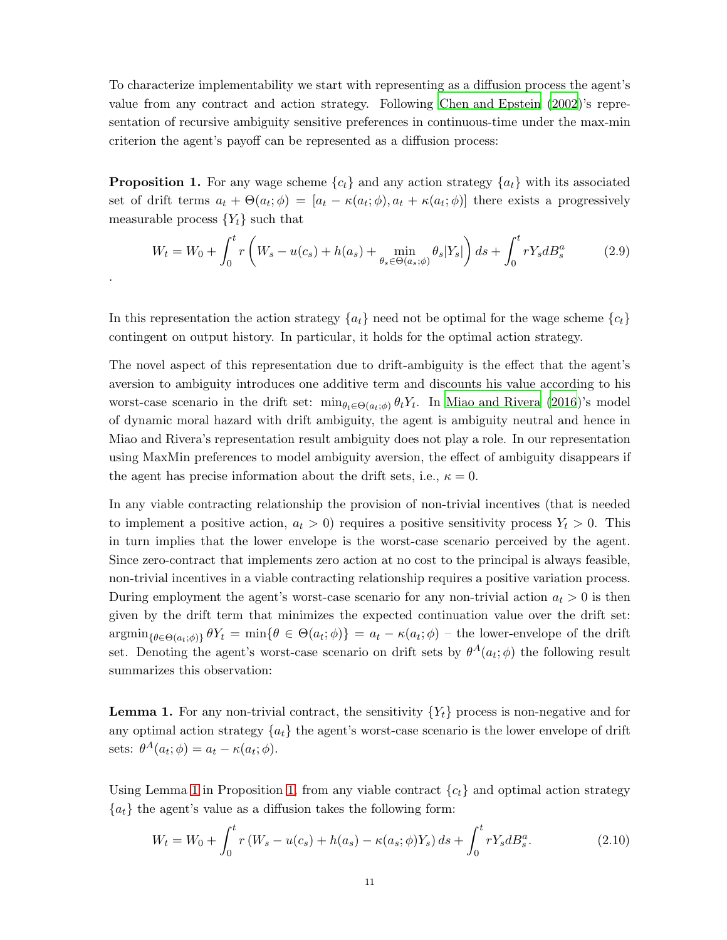To characterize implementability we start with representing as a diffusion process the agent's value from any contract and action strategy. Following Chen [and Epstein \(2002\)](#page-46-0)'s representation of recursive ambiguity sensitive preferences in continuous-time under the max-min criterion the agent's payoff can be represented as a diffusion process:

<span id="page-10-1"></span>**Proposition 1.** For any wage scheme  ${c_t}$  and any action strategy  ${a_t}$  with its associated set of drift terms  $a_t + \Theta(a_t; \phi) = [a_t - \kappa(a_t; \phi), a_t + \kappa(a_t; \phi)]$  there exists a progressively measurable process  ${Y_t}$  such that

<span id="page-10-3"></span>
$$
W_t = W_0 + \int_0^t r \left( W_s - u(c_s) + h(a_s) + \min_{\theta_s \in \Theta(a_s; \phi)} \theta_s |Y_s| \right) ds + \int_0^t r Y_s dB_s^a \tag{2.9}
$$

In this representation the action strategy  $\{a_t\}$  need not be optimal for the wage scheme  $\{c_t\}$ contingent on output history. In particular, it holds for the optimal action strategy.

.

The novel aspect of this representation due to drift-ambiguity is the effect that the agent's aversion to ambiguity introduces one additive term and discounts his value according to his worst-case scenario in the drift set:  $\min_{\theta_t \in \Theta(a_t;\phi)} \theta_t Y_t$ . In [Miao and Rivera \(2016](#page-48-9))'s model of dynamic moral hazard with drift ambiguity, the agent is ambiguity neutral and hence in Miao and Rivera's representation result ambiguity does not play a role. In our representation using MaxMin preferences to model ambiguity aversion, the effect of ambiguity disappears if the agent has precise information about the drift sets, i.e.,  $\kappa = 0$ .

In any viable contracting relationship the provision of non-trivial incentives (that is needed to implement a positive action,  $a_t > 0$ ) requires a positive sensitivity process  $Y_t > 0$ . This in turn implies that the lower envelope is the worst-case scenario perceived by the agent. Since zero-contract that implements zero action at no cost to the principal is always feasible, non-trivial incentives in a viable contracting relationship requires a positive variation process. During employment the agent's worst-case scenario for any non-trivial action  $a_t > 0$  is then given by the drift term that minimizes the expected continuation value over the drift set:  $\operatorname{argmin}_{\{\theta \in \Theta(a_t; \phi)\}} \theta Y_t = \min \{\theta \in \Theta(a_t; \phi)\} = a_t - \kappa(a_t; \phi)$  – the lower-envelope of the drift set. Denoting the agent's worst-case scenario on drift sets by  $\theta^A(a_t; \phi)$  the following result summarizes this observation:

<span id="page-10-0"></span>**Lemma 1.** For any non-trivial contract, the sensitivity  $\{Y_t\}$  process is non-negative and for any optimal action strategy  ${a_t}$  the agent's worst-case scenario is the lower envelope of drift sets:  $\theta^A(a_t; \phi) = a_t - \kappa(a_t; \phi)$ .

Using Lemma [1](#page-10-0) in Proposition [1,](#page-10-1) from any viable contract  ${c<sub>t</sub>}$  and optimal action strategy  ${a_t}$  the agent's value as a diffusion takes the following form:

<span id="page-10-2"></span>
$$
W_t = W_0 + \int_0^t r (W_s - u(c_s) + h(a_s) - \kappa(a_s; \phi) Y_s) ds + \int_0^t r Y_s dB_s^a.
$$
 (2.10)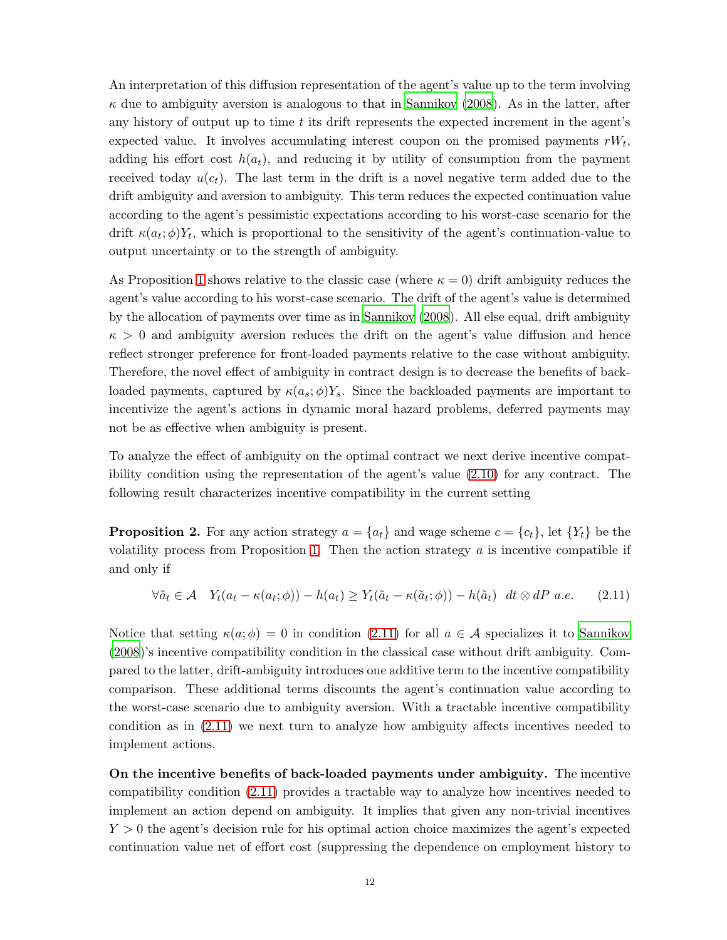An interpretation of this diffusion representation of the agent's value up to the term involving  $\kappa$  due to ambiguity aversion is analogous to that in [Sannikov \(2008](#page-48-0)). As in the latter, after any history of output up to time  $t$  its drift represents the expected increment in the agent's expected value. It involves accumulating interest coupon on the promised payments  $rW_t$ , adding his effort cost  $h(a_t)$ , and reducing it by utility of consumption from the payment received today  $u(c_t)$ . The last term in the drift is a novel negative term added due to the drift ambiguity and aversion to ambiguity. This term reduces the expected continuation value according to the agent's pessimistic expectations according to his worst-case scenario for the drift  $\kappa(a_t; \phi)Y_t$ , which is proportional to the sensitivity of the agent's continuation-value to output uncertainty or to the strength of ambiguity.

As Proposition [1](#page-10-1) shows relative to the classic case (where  $\kappa = 0$ ) drift ambiguity reduces the agent's value according to his worst-case scenario. The drift of the agent's value is determined by the allocation of payments over time as in [Sannikov \(2008](#page-48-0)). All else equal, drift ambiguity  $\kappa > 0$  and ambiguity aversion reduces the drift on the agent's value diffusion and hence reflect stronger preference for front-loaded payments relative to the case without ambiguity. Therefore, the novel effect of ambiguity in contract design is to decrease the benefits of backloaded payments, captured by  $\kappa(a_s; \phi)Y_s$ . Since the backloaded payments are important to incentivize the agent's actions in dynamic moral hazard problems, deferred payments may not be as effective when ambiguity is present.

To analyze the effect of ambiguity on the optimal contract we next derive incentive compatibility condition using the representation of the agent's value [\(2.10\)](#page-10-2) for any contract. The following result characterizes incentive compatibility in the current setting

<span id="page-11-1"></span>**Proposition 2.** For any action strategy  $a = \{a_t\}$  and wage scheme  $c = \{c_t\}$ , let  $\{Y_t\}$  be the volatility process from Proposition [1.](#page-10-1) Then the action strategy  $a$  is incentive compatible if and only if

<span id="page-11-0"></span>
$$
\forall \tilde{a}_t \in \mathcal{A} \quad Y_t(a_t - \kappa(a_t; \phi)) - h(a_t) \ge Y_t(\tilde{a}_t - \kappa(\tilde{a}_t; \phi)) - h(\tilde{a}_t) \quad dt \otimes dP \quad a.e. \tag{2.11}
$$

Notice that setting  $\kappa(a;\phi) = 0$  in condition [\(2.11\)](#page-11-0) for all  $a \in \mathcal{A}$  specializes it to [Sannikov](#page-48-0) [\(2008\)](#page-48-0)'s incentive compatibility condition in the classical case without drift ambiguity. Compared to the latter, drift-ambiguity introduces one additive term to the incentive compatibility comparison. These additional terms discounts the agent's continuation value according to the worst-case scenario due to ambiguity aversion. With a tractable incentive compatibility condition as in [\(2.11\)](#page-11-0) we next turn to analyze how ambiguity affects incentives needed to implement actions.

On the incentive benefits of back-loaded payments under ambiguity. The incentive compatibility condition [\(2.11\)](#page-11-0) provides a tractable way to analyze how incentives needed to implement an action depend on ambiguity. It implies that given any non-trivial incentives  $Y > 0$  the agent's decision rule for his optimal action choice maximizes the agent's expected continuation value net of effort cost (suppressing the dependence on employment history to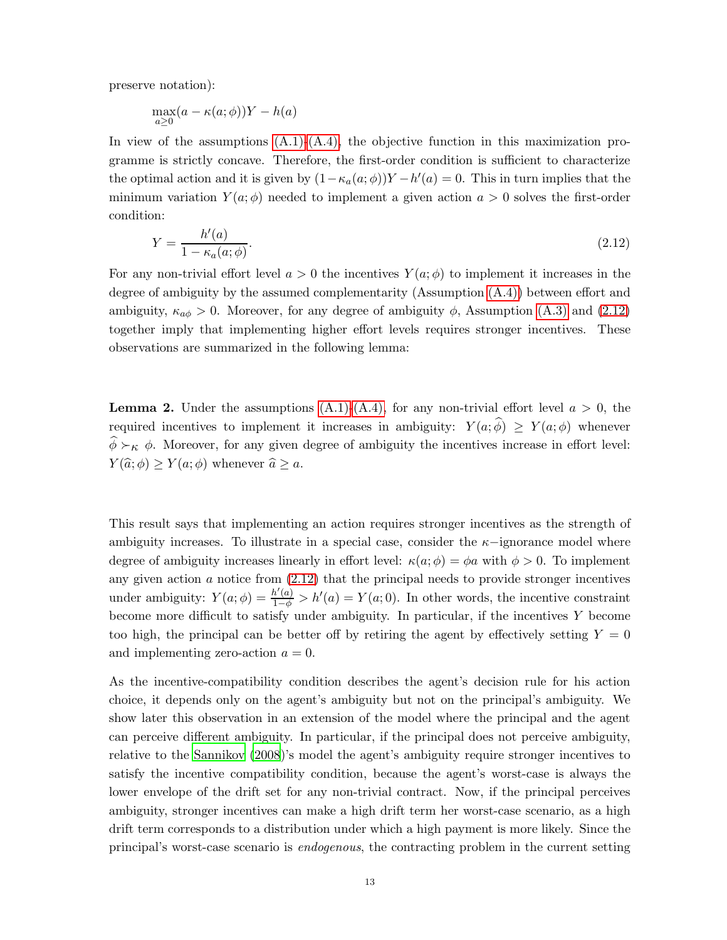preserve notation):

$$
\max_{a\geq 0} (a - \kappa(a; \phi))Y - h(a)
$$

In view of the assumptions  $(A.1)-(A.4)$ , the objective function in this maximization programme is strictly concave. Therefore, the first-order condition is sufficient to characterize the optimal action and it is given by  $(1 - \kappa_a(a; \phi))Y - h'(a) = 0$ . This in turn implies that the minimum variation  $Y(a; \phi)$  needed to implement a given action  $a > 0$  solves the first-order condition:

<span id="page-12-0"></span>
$$
Y = \frac{h'(a)}{1 - \kappa_a(a; \phi)}.\tag{2.12}
$$

For any non-trivial effort level  $a > 0$  the incentives  $Y(a; \phi)$  to implement it increases in the degree of ambiguity by the assumed complementarity (Assumption [\(A.4\)\)](#page-7-3) between effort and ambiguity,  $\kappa_{a\phi} > 0$ . Moreover, for any degree of ambiguity  $\phi$ , Assumption [\(A.3\)](#page-7-2) and [\(2.12\)](#page-12-0) together imply that implementing higher effort levels requires stronger incentives. These observations are summarized in the following lemma:

<span id="page-12-1"></span>**Lemma 2.** Under the assumptions  $(A.1)-(A.4)$ , for any non-trivial effort level  $a > 0$ , the required incentives to implement it increases in ambiguity:  $Y(a; \hat{\phi}) \geq Y(a; \phi)$  whenever  $\widehat{\phi} \succ_{\kappa} \phi$ . Moreover, for any given degree of ambiguity the incentives increase in effort level:  $Y(\widehat{a}; \phi) \geq Y(a; \phi)$  whenever  $\widehat{a} \geq a$ .

This result says that implementing an action requires stronger incentives as the strength of ambiguity increases. To illustrate in a special case, consider the  $\kappa$ -ignorance model where degree of ambiguity increases linearly in effort level:  $\kappa(a;\phi) = \phi a$  with  $\phi > 0$ . To implement any given action  $a$  notice from  $(2.12)$  that the principal needs to provide stronger incentives under ambiguity:  $Y(a; \phi) = \frac{h'(a)}{1-\phi} > h'(a) = Y(a; 0)$ . In other words, the incentive constraint become more difficult to satisfy under ambiguity. In particular, if the incentives Y become too high, the principal can be better off by retiring the agent by effectively setting  $Y = 0$ and implementing zero-action  $a = 0$ .

As the incentive-compatibility condition describes the agent's decision rule for his action choice, it depends only on the agent's ambiguity but not on the principal's ambiguity. We show later this observation in an extension of the model where the principal and the agent can perceive different ambiguity. In particular, if the principal does not perceive ambiguity, relative to the [Sannikov \(2008](#page-48-0))'s model the agent's ambiguity require stronger incentives to satisfy the incentive compatibility condition, because the agent's worst-case is always the lower envelope of the drift set for any non-trivial contract. Now, if the principal perceives ambiguity, stronger incentives can make a high drift term her worst-case scenario, as a high drift term corresponds to a distribution under which a high payment is more likely. Since the principal's worst-case scenario is endogenous, the contracting problem in the current setting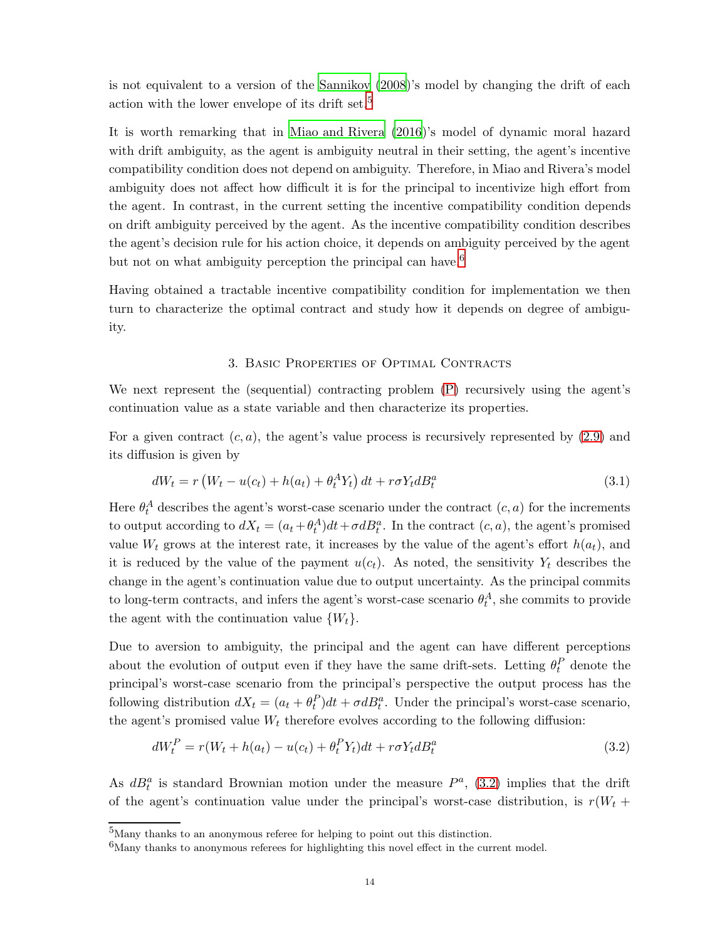is not equivalent to a version of the [Sannikov \(2008](#page-48-0))'s model by changing the drift of each action with the lower envelope of its drift set.<sup>[5](#page-13-0)</sup>

It is worth remarking that in [Miao and Rivera \(2016](#page-48-9))'s model of dynamic moral hazard with drift ambiguity, as the agent is ambiguity neutral in their setting, the agent's incentive compatibility condition does not depend on ambiguity. Therefore, in Miao and Rivera's model ambiguity does not affect how difficult it is for the principal to incentivize high effort from the agent. In contrast, in the current setting the incentive compatibility condition depends on drift ambiguity perceived by the agent. As the incentive compatibility condition describes the agent's decision rule for his action choice, it depends on ambiguity perceived by the agent but not on what ambiguity perception the principal can have.<sup>[6](#page-13-1)</sup>

Having obtained a tractable incentive compatibility condition for implementation we then turn to characterize the optimal contract and study how it depends on degree of ambiguity.

### <span id="page-13-3"></span>3. Basic Properties of Optimal Contracts

We next represent the (sequential) contracting problem [\(P\)](#page-6-0) recursively using the agent's continuation value as a state variable and then characterize its properties.

For a given contract  $(c, a)$ , the agent's value process is recursively represented by  $(2.9)$  and its diffusion is given by

$$
dW_t = r \left( W_t - u(c_t) + h(a_t) + \theta_t^A Y_t \right) dt + r \sigma Y_t dB_t^a \tag{3.1}
$$

Here  $\theta_t^A$  describes the agent's worst-case scenario under the contract  $(c, a)$  for the increments to output according to  $dX_t = (a_t + \theta_t^A)dt + \sigma dB_t^a$ . In the contract  $(c, a)$ , the agent's promised value  $W_t$  grows at the interest rate, it increases by the value of the agent's effort  $h(a_t)$ , and it is reduced by the value of the payment  $u(c_t)$ . As noted, the sensitivity  $Y_t$  describes the change in the agent's continuation value due to output uncertainty. As the principal commits to long-term contracts, and infers the agent's worst-case scenario  $\theta_t^A$ , she commits to provide the agent with the continuation value  $\{W_t\}$ .

Due to aversion to ambiguity, the principal and the agent can have different perceptions about the evolution of output even if they have the same drift-sets. Letting  $\theta_t^P$  denote the principal's worst-case scenario from the principal's perspective the output process has the following distribution  $dX_t = (a_t + \theta_t^P)dt + \sigma dB_t^a$ . Under the principal's worst-case scenario, the agent's promised value  $W_t$  therefore evolves according to the following diffusion:

<span id="page-13-2"></span>
$$
dW_t^P = r(W_t + h(a_t) - u(c_t) + \theta_t^P Y_t)dt + r\sigma Y_t dB_t^a
$$
\n(3.2)

As  $dB_t^a$  is standard Brownian motion under the measure  $P^a$ , [\(3.2\)](#page-13-2) implies that the drift of the agent's continuation value under the principal's worst-case distribution, is  $r(W_t +$ 

<sup>&</sup>lt;sup>5</sup>Many thanks to an anonymous referee for helping to point out this distinction.

<span id="page-13-1"></span><span id="page-13-0"></span> $6$ Many thanks to anonymous referees for highlighting this novel effect in the current model.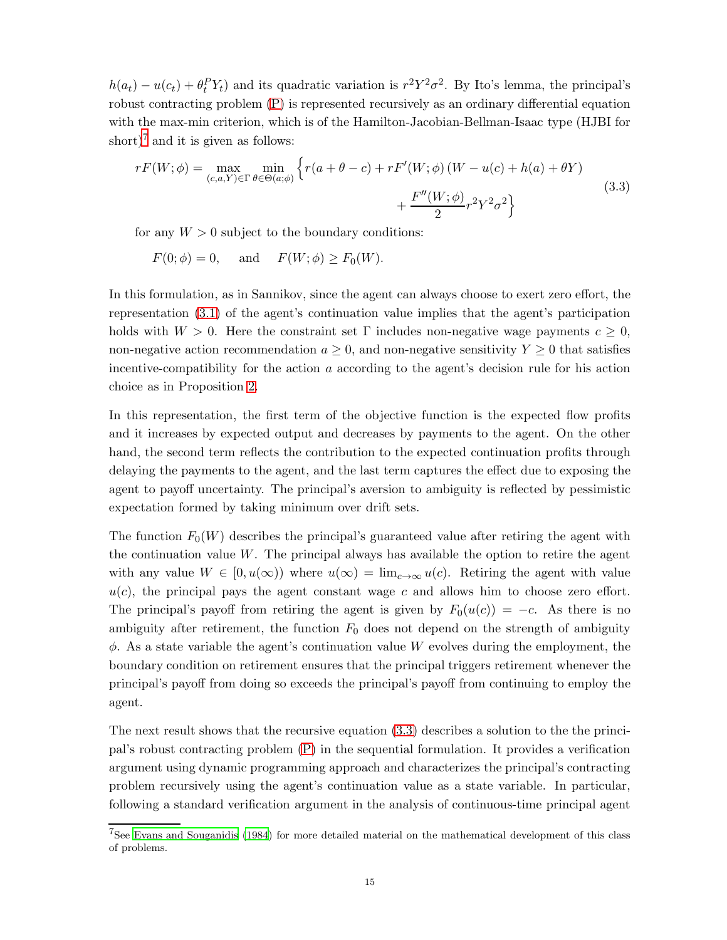$h(a_t) - u(c_t) + \theta_t^P Y_t$  and its quadratic variation is  $r^2 Y^2 \sigma^2$ . By Ito's lemma, the principal's robust contracting problem [\(P\)](#page-6-0) is represented recursively as an ordinary differential equation with the max-min criterion, which is of the Hamilton-Jacobian-Bellman-Isaac type (HJBI for short)<sup>[7](#page-14-0)</sup> and it is given as follows:

<span id="page-14-1"></span>
$$
rF(W; \phi) = \max_{(c,a,Y)\in\Gamma} \min_{\theta \in \Theta(a;\phi)} \left\{ r(a+\theta-c) + rF'(W;\phi) \left( W - u(c) + h(a) + \theta Y \right) + \frac{F''(W;\phi)}{2} r^2 Y^2 \sigma^2 \right\}
$$
(3.3)

for any  $W > 0$  subject to the boundary conditions:

$$
F(0; \phi) = 0, \quad \text{and} \quad F(W; \phi) \ge F_0(W).
$$

In this formulation, as in Sannikov, since the agent can always choose to exert zero effort, the representation [\(3.1\)](#page-13-3) of the agent's continuation value implies that the agent's participation holds with  $W > 0$ . Here the constraint set  $\Gamma$  includes non-negative wage payments  $c \geq 0$ , non-negative action recommendation  $a \geq 0$ , and non-negative sensitivity  $Y \geq 0$  that satisfies incentive-compatibility for the action a according to the agent's decision rule for his action choice as in Proposition [2.](#page-11-1)

In this representation, the first term of the objective function is the expected flow profits and it increases by expected output and decreases by payments to the agent. On the other hand, the second term reflects the contribution to the expected continuation profits through delaying the payments to the agent, and the last term captures the effect due to exposing the agent to payoff uncertainty. The principal's aversion to ambiguity is reflected by pessimistic expectation formed by taking minimum over drift sets.

The function  $F_0(W)$  describes the principal's guaranteed value after retiring the agent with the continuation value W. The principal always has available the option to retire the agent with any value  $W \in [0, u(\infty))$  where  $u(\infty) = \lim_{c \to \infty} u(c)$ . Retiring the agent with value  $u(c)$ , the principal pays the agent constant wage c and allows him to choose zero effort. The principal's payoff from retiring the agent is given by  $F_0(u(c)) = -c$ . As there is no ambiguity after retirement, the function  $F_0$  does not depend on the strength of ambiguity  $\phi$ . As a state variable the agent's continuation value W evolves during the employment, the boundary condition on retirement ensures that the principal triggers retirement whenever the principal's payoff from doing so exceeds the principal's payoff from continuing to employ the agent.

The next result shows that the recursive equation [\(3.3\)](#page-14-1) describes a solution to the the principal's robust contracting problem [\(P\)](#page-6-0) in the sequential formulation. It provides a verification argument using dynamic programming approach and characterizes the principal's contracting problem recursively using the agent's continuation value as a state variable. In particular, following a standard verification argument in the analysis of continuous-time principal agent

<span id="page-14-0"></span><sup>7</sup>See [Evans and Souganidis \(1984](#page-47-11)) for more detailed material on the mathematical development of this class of problems.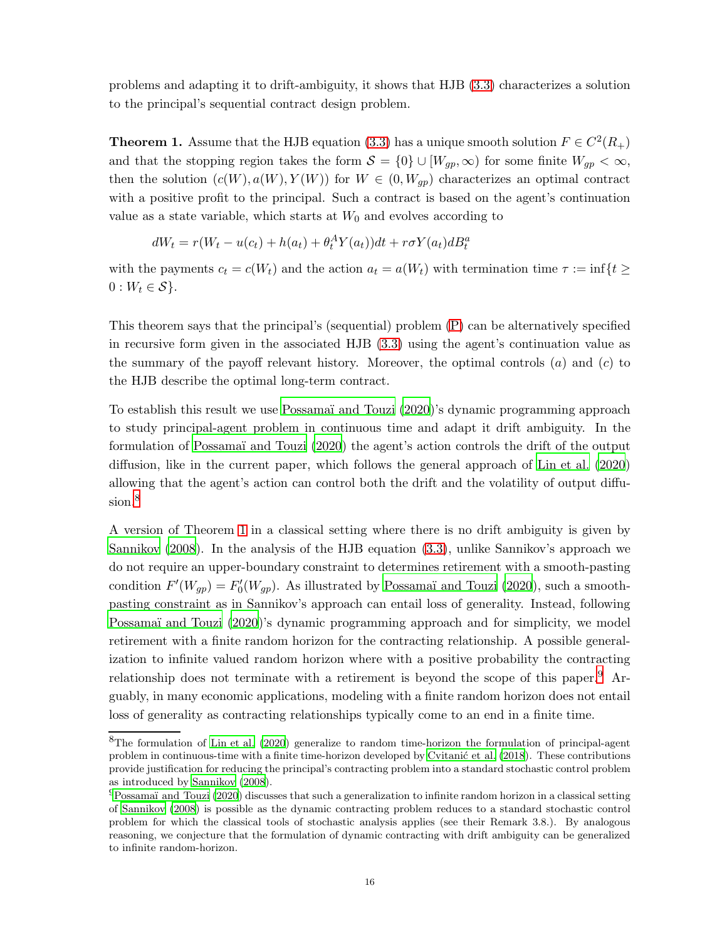problems and adapting it to drift-ambiguity, it shows that HJB [\(3.3\)](#page-14-1) characterizes a solution to the principal's sequential contract design problem.

<span id="page-15-1"></span>**Theorem 1.** Assume that the HJB equation [\(3.3\)](#page-14-1) has a unique smooth solution  $F \in C^2(R_+)$ and that the stopping region takes the form  $S = \{0\} \cup [W_{gp}, \infty)$  for some finite  $W_{gp} < \infty$ , then the solution  $(c(W), a(W), Y(W))$  for  $W \in (0, W_{gp})$  characterizes an optimal contract with a positive profit to the principal. Such a contract is based on the agent's continuation value as a state variable, which starts at  $W_0$  and evolves according to

$$
dW_t = r(W_t - u(c_t) + h(a_t) + \theta_t^A Y(a_t))dt + r\sigma Y(a_t)dB_t^a
$$

with the payments  $c_t = c(W_t)$  and the action  $a_t = a(W_t)$  with termination time  $\tau := \inf\{t \geq 0\}$  $0: W_t \in \mathcal{S}$ .

This theorem says that the principal's (sequential) problem [\(P\)](#page-6-0) can be alternatively specified in recursive form given in the associated HJB [\(3.3\)](#page-14-1) using the agent's continuation value as the summary of the payoff relevant history. Moreover, the optimal controls  $(a)$  and  $(c)$  to the HJB describe the optimal long-term contract.

To establish this result we use Possamaï and Touzi (2020)'s dynamic programming approach to study principal-agent problem in continuous time and adapt it drift ambiguity. In the formulation of [Possama¨ı and Touzi \(2020](#page-48-10)) the agent's action controls the drift of the output diffusion, like in the current paper, which follows the general approach of [Lin et al. \(2020\)](#page-48-8) allowing that the agent's action can control both the drift and the volatility of output diffu-sion.<sup>[8](#page-15-0)</sup>

A version of Theorem [1](#page-15-1) in a classical setting where there is no drift ambiguity is given by [Sannikov \(2008\)](#page-48-0). In the analysis of the HJB equation [\(3.3\)](#page-14-1), unlike Sannikov's approach we do not require an upper-boundary constraint to determines retirement with a smooth-pasting condition  $F'(W_{gp}) = F'_0(W_{gp})$ . As illustrated by Possamaï and Touzi (2020), such a smoothpasting constraint as in Sannikov's approach can entail loss of generality. Instead, following Possamaï and Touzi (2020)'s dynamic programming approach and for simplicity, we model retirement with a finite random horizon for the contracting relationship. A possible generalization to infinite valued random horizon where with a positive probability the contracting relationship does not terminate with a retirement is beyond the scope of this paper.<sup>[9](#page-15-2)</sup> Arguably, in many economic applications, modeling with a finite random horizon does not entail loss of generality as contracting relationships typically come to an end in a finite time.

<span id="page-15-0"></span><sup>8</sup>The formulation of [Lin et al. \(2020](#page-48-8)) generalize to random time-horizon the formulation of principal-agent problem in continuous-time with a finite time-horizon developed by Cvitanić et al. (2018). These contributions provide justification for reducing the principal's contracting problem into a standard stochastic control problem as introduced by [Sannikov \(2008](#page-48-0)).

<span id="page-15-2"></span> $^{9}$ Possamaï and Touzi (2020) discusses that such a generalization to infinite random horizon in a classical setting of [Sannikov \(2008\)](#page-48-0) is possible as the dynamic contracting problem reduces to a standard stochastic control problem for which the classical tools of stochastic analysis applies (see their Remark 3.8.). By analogous reasoning, we conjecture that the formulation of dynamic contracting with drift ambiguity can be generalized to infinite random-horizon.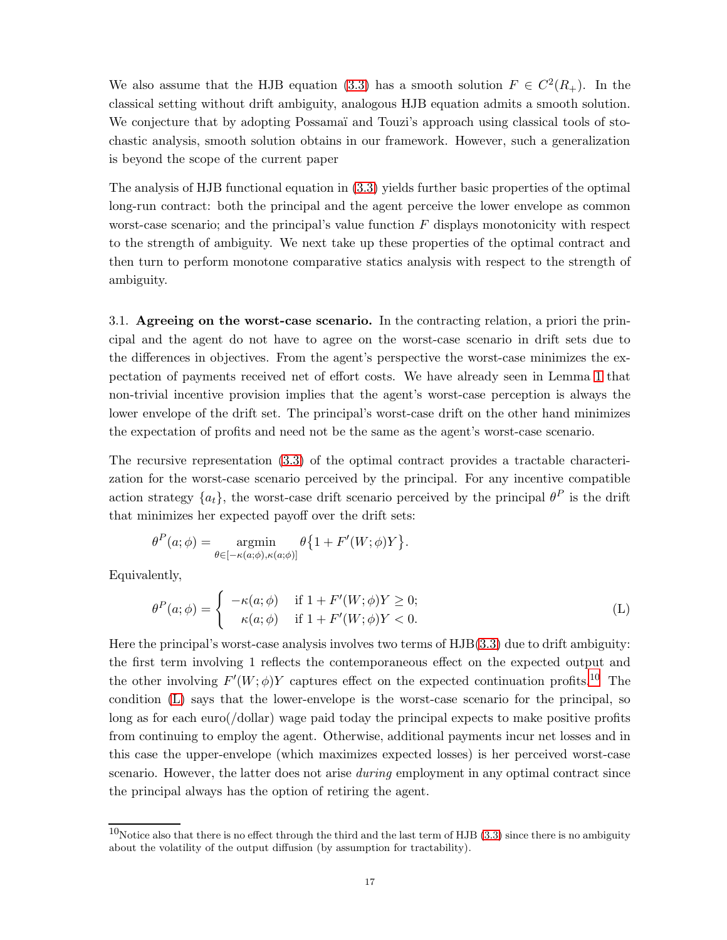We also assume that the HJB equation [\(3.3\)](#page-14-1) has a smooth solution  $F \in C^2(R_+)$ . In the classical setting without drift ambiguity, analogous HJB equation admits a smooth solution. We conjecture that by adopting Possamaï and Touzi's approach using classical tools of stochastic analysis, smooth solution obtains in our framework. However, such a generalization is beyond the scope of the current paper

The analysis of HJB functional equation in [\(3.3\)](#page-14-1) yields further basic properties of the optimal long-run contract: both the principal and the agent perceive the lower envelope as common worst-case scenario; and the principal's value function  $F$  displays monotonicity with respect to the strength of ambiguity. We next take up these properties of the optimal contract and then turn to perform monotone comparative statics analysis with respect to the strength of ambiguity.

3.1. Agreeing on the worst-case scenario. In the contracting relation, a priori the principal and the agent do not have to agree on the worst-case scenario in drift sets due to the differences in objectives. From the agent's perspective the worst-case minimizes the expectation of payments received net of effort costs. We have already seen in Lemma [1](#page-10-0) that non-trivial incentive provision implies that the agent's worst-case perception is always the lower envelope of the drift set. The principal's worst-case drift on the other hand minimizes the expectation of profits and need not be the same as the agent's worst-case scenario.

The recursive representation [\(3.3\)](#page-14-1) of the optimal contract provides a tractable characterization for the worst-case scenario perceived by the principal. For any incentive compatible action strategy  $\{a_t\}$ , the worst-case drift scenario perceived by the principal  $\theta^P$  is the drift that minimizes her expected payoff over the drift sets:

$$
\theta^{P}(a; \phi) = \operatorname*{argmin}_{\theta \in [-\kappa(a; \phi), \kappa(a; \phi)]} \theta \{1 + F'(W; \phi)Y\}.
$$

Equivalently,

<span id="page-16-1"></span>
$$
\theta^P(a; \phi) = \begin{cases}\n-\kappa(a; \phi) & \text{if } 1 + F'(W; \phi)Y \ge 0; \\
\kappa(a; \phi) & \text{if } 1 + F'(W; \phi)Y < 0.\n\end{cases}
$$
\n(L)

Here the principal's worst-case analysis involves two terms of HJB[\(3.3\)](#page-14-1) due to drift ambiguity: the first term involving 1 reflects the contemporaneous effect on the expected output and the other involving  $F'(W; \phi)Y$  captures effect on the expected continuation profits.<sup>[10](#page-16-0)</sup> The condition [\(L\)](#page-16-1) says that the lower-envelope is the worst-case scenario for the principal, so long as for each euro(/dollar) wage paid today the principal expects to make positive profits from continuing to employ the agent. Otherwise, additional payments incur net losses and in this case the upper-envelope (which maximizes expected losses) is her perceived worst-case scenario. However, the latter does not arise *during* employment in any optimal contract since the principal always has the option of retiring the agent.

<span id="page-16-0"></span> $10$ Notice also that there is no effect through the third and the last term of HJB [\(3.3\)](#page-14-1) since there is no ambiguity about the volatility of the output diffusion (by assumption for tractability).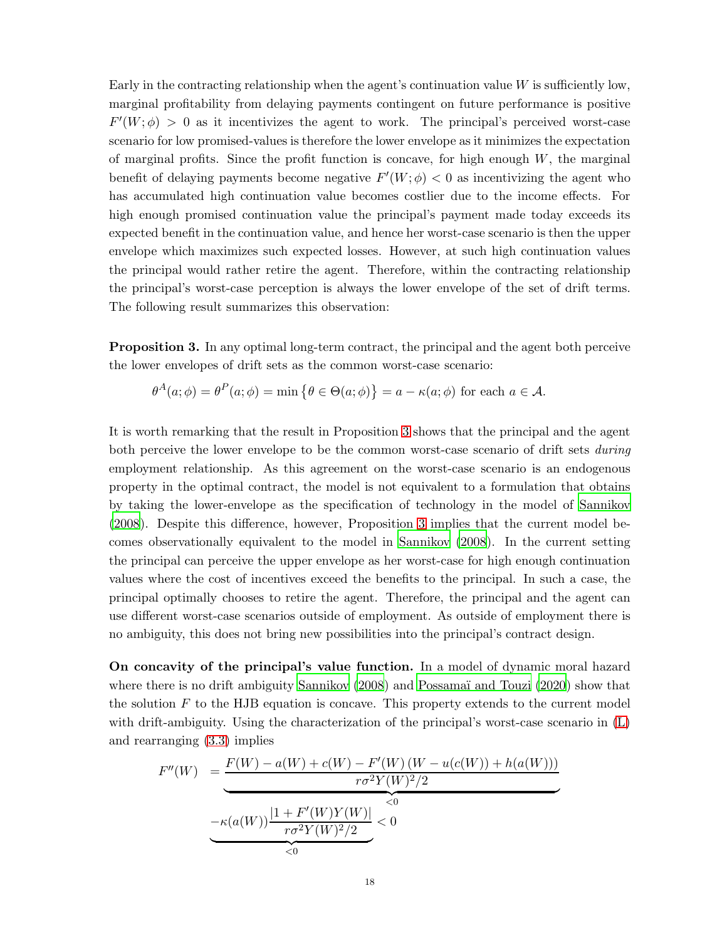Early in the contracting relationship when the agent's continuation value  $W$  is sufficiently low, marginal profitability from delaying payments contingent on future performance is positive  $F'(W; \phi) > 0$  as it incentivizes the agent to work. The principal's perceived worst-case scenario for low promised-values is therefore the lower envelope as it minimizes the expectation of marginal profits. Since the profit function is concave, for high enough  $W$ , the marginal benefit of delaying payments become negative  $F'(W; \phi) < 0$  as incentivizing the agent who has accumulated high continuation value becomes costlier due to the income effects. For high enough promised continuation value the principal's payment made today exceeds its expected benefit in the continuation value, and hence her worst-case scenario is then the upper envelope which maximizes such expected losses. However, at such high continuation values the principal would rather retire the agent. Therefore, within the contracting relationship the principal's worst-case perception is always the lower envelope of the set of drift terms. The following result summarizes this observation:

<span id="page-17-0"></span>Proposition 3. In any optimal long-term contract, the principal and the agent both perceive the lower envelopes of drift sets as the common worst-case scenario:

 $\theta^A(a;\phi) = \theta^P(a;\phi) = \min \{ \theta \in \Theta(a;\phi) \} = a - \kappa(a;\phi)$  for each  $a \in \mathcal{A}$ .

It is worth remarking that the result in Proposition [3](#page-17-0) shows that the principal and the agent both perceive the lower envelope to be the common worst-case scenario of drift sets *during* employment relationship. As this agreement on the worst-case scenario is an endogenous property in the optimal contract, the model is not equivalent to a formulation that obtains by taking the lower-envelope as the specification of technology in the model of [Sannikov](#page-48-0) [\(2008\)](#page-48-0). Despite this difference, however, Proposition [3](#page-17-0) implies that the current model becomes observationally equivalent to the model in [Sannikov \(2008\)](#page-48-0). In the current setting the principal can perceive the upper envelope as her worst-case for high enough continuation values where the cost of incentives exceed the benefits to the principal. In such a case, the principal optimally chooses to retire the agent. Therefore, the principal and the agent can use different worst-case scenarios outside of employment. As outside of employment there is no ambiguity, this does not bring new possibilities into the principal's contract design.

On concavity of the principal's value function. In a model of dynamic moral hazard where there is no drift ambiguity [Sannikov \(2008](#page-48-0)) and Possamaï and Touzi (2020) show that the solution  $F$  to the HJB equation is concave. This property extends to the current model with drift-ambiguity. Using the characterization of the principal's worst-case scenario in [\(L\)](#page-16-1) and rearranging [\(3.3\)](#page-14-1) implies

$$
F''(W) = \underbrace{\frac{F(W) - a(W) + c(W) - F'(W)(W - u(c(W)) + h(a(W)))}{r\sigma^2 Y(W)^2/2}}_{-\kappa(a(W))\frac{|1 + F'(W)Y(W)|}{r\sigma^2 Y(W)^2/2} < 0}
$$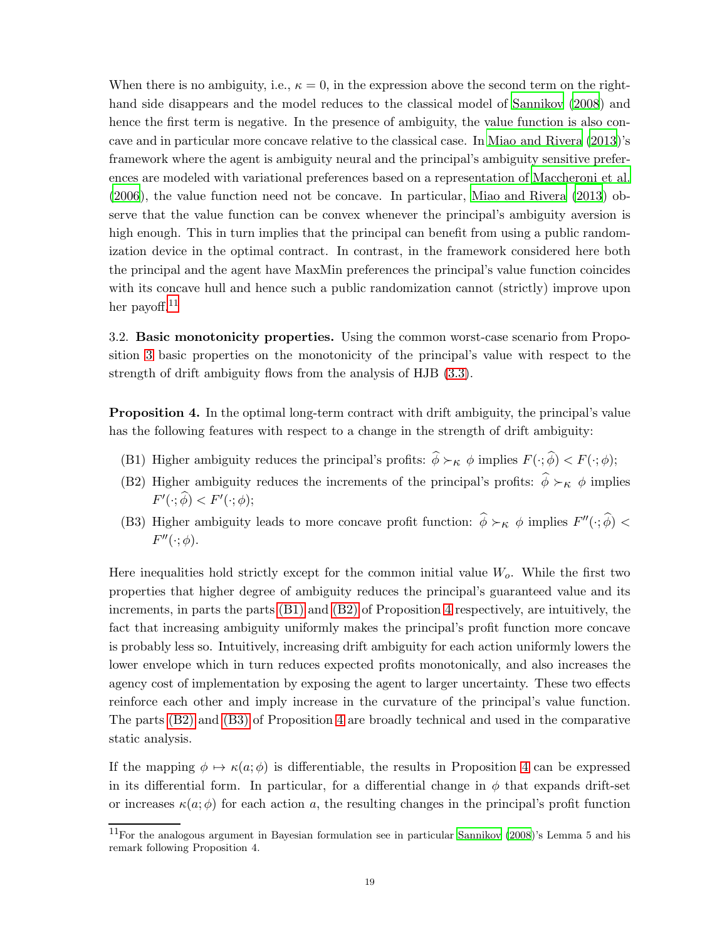When there is no ambiguity, i.e.,  $\kappa = 0$ , in the expression above the second term on the righthand side disappears and the model reduces to the classical model of [Sannikov \(2008](#page-48-0)) and hence the first term is negative. In the presence of ambiguity, the value function is also concave and in particular more concave relative to the classical case. In [Miao and Rivera \(2013](#page-48-3))'s framework where the agent is ambiguity neural and the principal's ambiguity sensitive preferences are modeled with variational preferences based on a representation of [Maccheroni et al.](#page-48-11) [\(2006\)](#page-48-11), the value function need not be concave. In particular, [Miao and Rivera \(2013](#page-48-3)) observe that the value function can be convex whenever the principal's ambiguity aversion is high enough. This in turn implies that the principal can benefit from using a public randomization device in the optimal contract. In contrast, in the framework considered here both the principal and the agent have MaxMin preferences the principal's value function coincides with its concave hull and hence such a public randomization cannot (strictly) improve upon her payoff. $^{11}$  $^{11}$  $^{11}$ 

3.2. Basic monotonicity properties. Using the common worst-case scenario from Proposition [3](#page-17-0) basic properties on the monotonicity of the principal's value with respect to the strength of drift ambiguity flows from the analysis of HJB [\(3.3\)](#page-14-1).

<span id="page-18-3"></span><span id="page-18-1"></span>Proposition 4. In the optimal long-term contract with drift ambiguity, the principal's value has the following features with respect to a change in the strength of drift ambiguity:

- <span id="page-18-2"></span>(B1) Higher ambiguity reduces the principal's profits:  $\hat{\phi} \succ_{\kappa} \phi$  implies  $F(\cdot; \hat{\phi}) < F(\cdot; \phi)$ ;
- <span id="page-18-4"></span>(B2) Higher ambiguity reduces the increments of the principal's profits:  $\hat{\phi} \succ_{\kappa} \phi$  implies  $F'(\cdot; \widehat{\phi}) < F'(\cdot; \phi);$
- (B3) Higher ambiguity leads to more concave profit function:  $\hat{\phi} \succ_{\kappa} \phi$  implies  $F''(\cdot; \hat{\phi})$  <  $F''(\cdot;\phi)$ .

Here inequalities hold strictly except for the common initial value  $W<sub>o</sub>$ . While the first two properties that higher degree of ambiguity reduces the principal's guaranteed value and its increments, in parts the parts [\(B1\)](#page-18-1) and [\(B2\)](#page-18-2) of Proposition [4](#page-18-3) respectively, are intuitively, the fact that increasing ambiguity uniformly makes the principal's profit function more concave is probably less so. Intuitively, increasing drift ambiguity for each action uniformly lowers the lower envelope which in turn reduces expected profits monotonically, and also increases the agency cost of implementation by exposing the agent to larger uncertainty. These two effects reinforce each other and imply increase in the curvature of the principal's value function. The parts [\(B2\)](#page-18-2) and [\(B3\)](#page-18-4) of Proposition [4](#page-18-3) are broadly technical and used in the comparative static analysis.

If the mapping  $\phi \mapsto \kappa(a; \phi)$  is differentiable, the results in Proposition [4](#page-18-3) can be expressed in its differential form. In particular, for a differential change in  $\phi$  that expands drift-set or increases  $\kappa(a; \phi)$  for each action a, the resulting changes in the principal's profit function

<span id="page-18-0"></span> $11$ For the analogous argument in Bayesian formulation see in particular [Sannikov \(2008](#page-48-0))'s Lemma 5 and his remark following Proposition 4.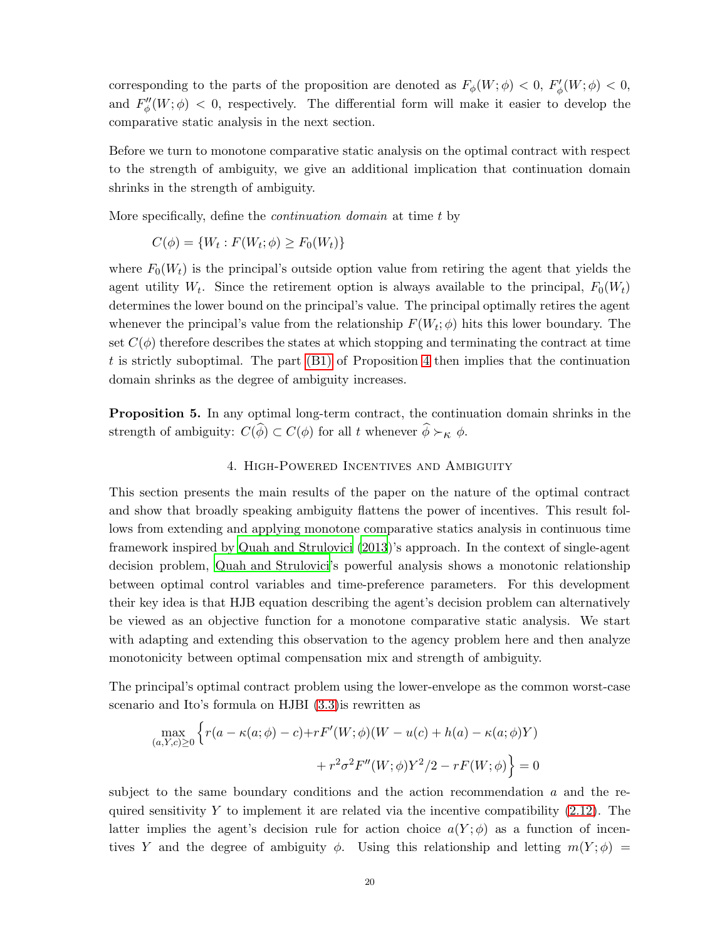corresponding to the parts of the proposition are denoted as  $F_{\phi}(W; \phi) < 0$ ,  $F'_{\phi}(W; \phi) < 0$ , and  $F''_{\phi}(W;\phi) < 0$ , respectively. The differential form will make it easier to develop the comparative static analysis in the next section.

Before we turn to monotone comparative static analysis on the optimal contract with respect to the strength of ambiguity, we give an additional implication that continuation domain shrinks in the strength of ambiguity.

More specifically, define the *continuation domain* at time t by

$$
C(\phi) = \{W_t : F(W_t; \phi) \ge F_0(W_t)\}
$$

where  $F_0(W_t)$  is the principal's outside option value from retiring the agent that yields the agent utility  $W_t$ . Since the retirement option is always available to the principal,  $F_0(W_t)$ determines the lower bound on the principal's value. The principal optimally retires the agent whenever the principal's value from the relationship  $F(W_t; \phi)$  hits this lower boundary. The set  $C(\phi)$  therefore describes the states at which stopping and terminating the contract at time t is strictly suboptimal. The part  $(B1)$  of Proposition [4](#page-18-3) then implies that the continuation domain shrinks as the degree of ambiguity increases.

<span id="page-19-1"></span><span id="page-19-0"></span>Proposition 5. In any optimal long-term contract, the continuation domain shrinks in the strength of ambiguity:  $C(\widehat{\phi}) \subset C(\phi)$  for all t whenever  $\widehat{\phi} \succ_{\kappa} \phi$ .

### 4. High-Powered Incentives and Ambiguity

This section presents the main results of the paper on the nature of the optimal contract and show that broadly speaking ambiguity flattens the power of incentives. This result follows from extending and applying monotone comparative statics analysis in continuous time framework inspired by [Quah and Strulovici \(2013\)](#page-48-2)'s approach. In the context of single-agent decision problem, [Quah and Strulovici'](#page-48-2)s powerful analysis shows a monotonic relationship between optimal control variables and time-preference parameters. For this development their key idea is that HJB equation describing the agent's decision problem can alternatively be viewed as an objective function for a monotone comparative static analysis. We start with adapting and extending this observation to the agency problem here and then analyze monotonicity between optimal compensation mix and strength of ambiguity.

The principal's optimal contract problem using the lower-envelope as the common worst-case scenario and Ito's formula on HJBI [\(3.3\)](#page-14-1)is rewritten as

$$
\max_{(a,Y,c)\geq 0} \left\{ r(a - \kappa(a;\phi) - c) + rF'(W;\phi)(W - u(c) + h(a) - \kappa(a;\phi)Y) + r^2 \sigma^2 F''(W;\phi) Y^2/2 - rF(W;\phi) \right\} = 0
$$

subject to the same boundary conditions and the action recommendation a and the required sensitivity  $Y$  to implement it are related via the incentive compatibility [\(2.12\)](#page-12-0). The latter implies the agent's decision rule for action choice  $a(Y; \phi)$  as a function of incentives Y and the degree of ambiguity  $\phi$ . Using this relationship and letting  $m(Y; \phi)$  =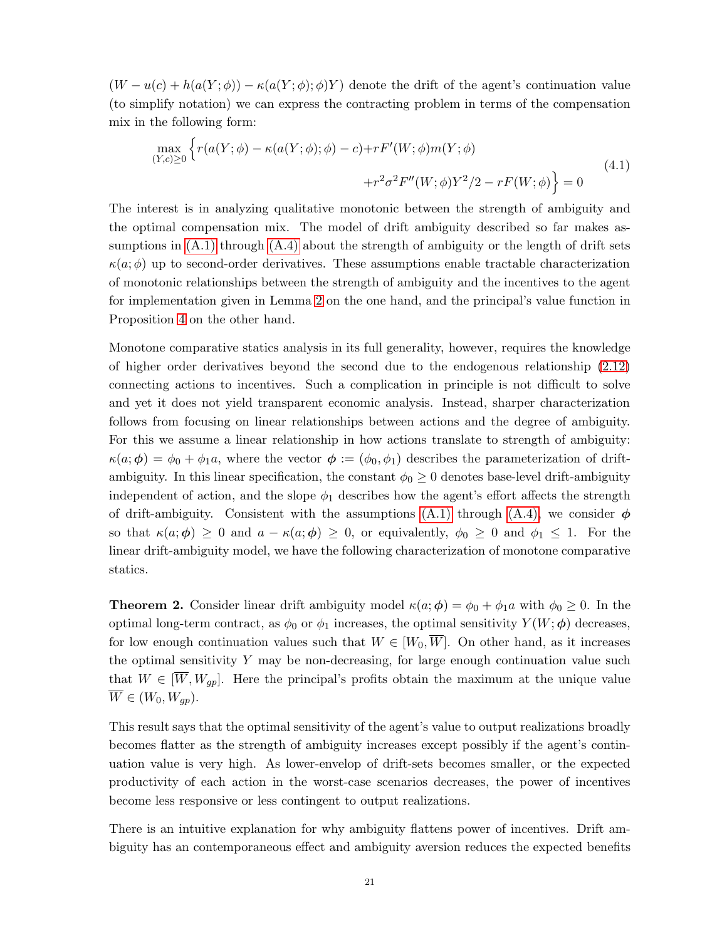$(W - u(c) + h(a(Y; \phi)) - \kappa(a(Y; \phi); \phi)Y)$  denote the drift of the agent's continuation value (to simplify notation) we can express the contracting problem in terms of the compensation mix in the following form:

<span id="page-20-1"></span>
$$
\max_{(Y,c)\geq 0} \left\{ r(a(Y;\phi) - \kappa(a(Y;\phi);\phi) - c) + rF'(W;\phi)m(Y;\phi) + r^2 \sigma^2 F''(W;\phi)Y^2/2 - rF(W;\phi) \right\} = 0
$$
\n(4.1)

The interest is in analyzing qualitative monotonic between the strength of ambiguity and the optimal compensation mix. The model of drift ambiguity described so far makes assumptions in  $(A.1)$  through  $(A.4)$  about the strength of ambiguity or the length of drift sets  $\kappa(a;\phi)$  up to second-order derivatives. These assumptions enable tractable characterization of monotonic relationships between the strength of ambiguity and the incentives to the agent for implementation given in Lemma [2](#page-12-1) on the one hand, and the principal's value function in Proposition [4](#page-18-3) on the other hand.

Monotone comparative statics analysis in its full generality, however, requires the knowledge of higher order derivatives beyond the second due to the endogenous relationship [\(2.12\)](#page-12-0) connecting actions to incentives. Such a complication in principle is not difficult to solve and yet it does not yield transparent economic analysis. Instead, sharper characterization follows from focusing on linear relationships between actions and the degree of ambiguity. For this we assume a linear relationship in how actions translate to strength of ambiguity:  $\kappa(a; \phi) = \phi_0 + \phi_1 a$ , where the vector  $\phi := (\phi_0, \phi_1)$  describes the parameterization of driftambiguity. In this linear specification, the constant  $\phi_0 \geq 0$  denotes base-level drift-ambiguity independent of action, and the slope  $\phi_1$  describes how the agent's effort affects the strength of drift-ambiguity. Consistent with the assumptions [\(A.1\)](#page-7-0) through [\(A.4\),](#page-7-3) we consider  $\phi$ so that  $\kappa(a; \phi) \geq 0$  and  $a - \kappa(a; \phi) \geq 0$ , or equivalently,  $\phi_0 \geq 0$  and  $\phi_1 \leq 1$ . For the linear drift-ambiguity model, we have the following characterization of monotone comparative statics.

<span id="page-20-0"></span>**Theorem 2.** Consider linear drift ambiguity model  $\kappa(a; \phi) = \phi_0 + \phi_1 a$  with  $\phi_0 \geq 0$ . In the optimal long-term contract, as  $\phi_0$  or  $\phi_1$  increases, the optimal sensitivity  $Y(W; \phi)$  decreases, for low enough continuation values such that  $W \in [W_0, \overline{W}]$ . On other hand, as it increases the optimal sensitivity  $Y$  may be non-decreasing, for large enough continuation value such that  $W \in [\overline{W}, W_{gp}]$ . Here the principal's profits obtain the maximum at the unique value  $\overline{W} \in (W_0, W_{qp}).$ 

This result says that the optimal sensitivity of the agent's value to output realizations broadly becomes flatter as the strength of ambiguity increases except possibly if the agent's continuation value is very high. As lower-envelop of drift-sets becomes smaller, or the expected productivity of each action in the worst-case scenarios decreases, the power of incentives become less responsive or less contingent to output realizations.

There is an intuitive explanation for why ambiguity flattens power of incentives. Drift ambiguity has an contemporaneous effect and ambiguity aversion reduces the expected benefits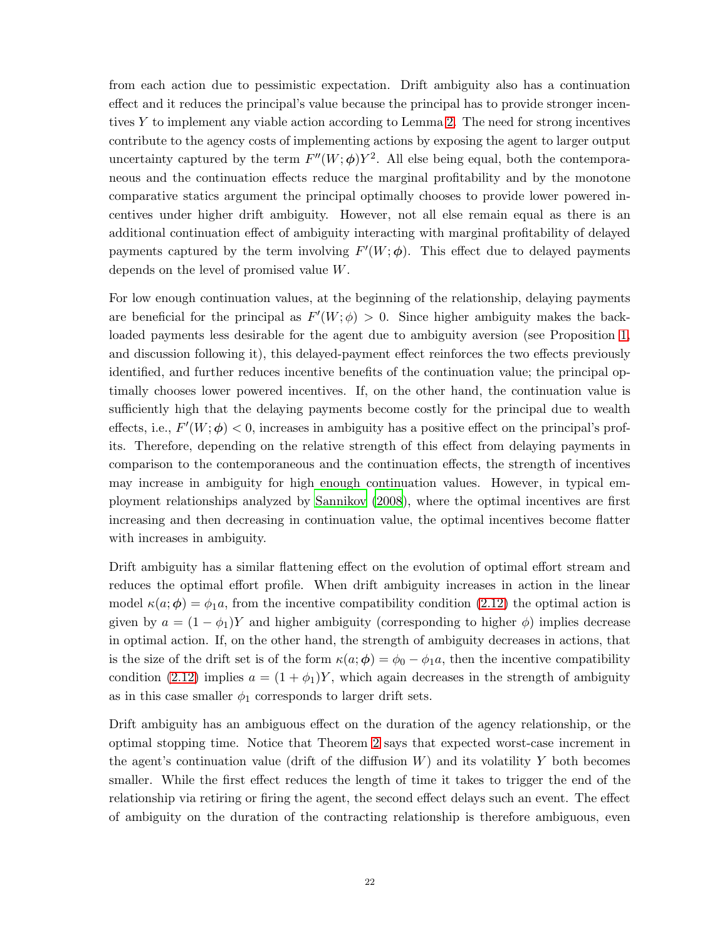from each action due to pessimistic expectation. Drift ambiguity also has a continuation effect and it reduces the principal's value because the principal has to provide stronger incentives Y to implement any viable action according to Lemma [2.](#page-12-1) The need for strong incentives contribute to the agency costs of implementing actions by exposing the agent to larger output uncertainty captured by the term  $F''(W; \phi)Y^2$ . All else being equal, both the contemporaneous and the continuation effects reduce the marginal profitability and by the monotone comparative statics argument the principal optimally chooses to provide lower powered incentives under higher drift ambiguity. However, not all else remain equal as there is an additional continuation effect of ambiguity interacting with marginal profitability of delayed payments captured by the term involving  $F'(W; \phi)$ . This effect due to delayed payments depends on the level of promised value W.

For low enough continuation values, at the beginning of the relationship, delaying payments are beneficial for the principal as  $F'(W; \phi) > 0$ . Since higher ambiguity makes the backloaded payments less desirable for the agent due to ambiguity aversion (see Proposition [1,](#page-10-1) and discussion following it), this delayed-payment effect reinforces the two effects previously identified, and further reduces incentive benefits of the continuation value; the principal optimally chooses lower powered incentives. If, on the other hand, the continuation value is sufficiently high that the delaying payments become costly for the principal due to wealth effects, i.e.,  $F'(W; \phi) < 0$ , increases in ambiguity has a positive effect on the principal's profits. Therefore, depending on the relative strength of this effect from delaying payments in comparison to the contemporaneous and the continuation effects, the strength of incentives may increase in ambiguity for high enough continuation values. However, in typical employment relationships analyzed by [Sannikov \(2008](#page-48-0)), where the optimal incentives are first increasing and then decreasing in continuation value, the optimal incentives become flatter with increases in ambiguity.

Drift ambiguity has a similar flattening effect on the evolution of optimal effort stream and reduces the optimal effort profile. When drift ambiguity increases in action in the linear model  $\kappa(a; \phi) = \phi_1 a$ , from the incentive compatibility condition [\(2.12\)](#page-12-0) the optimal action is given by  $a = (1 - \phi_1)Y$  and higher ambiguity (corresponding to higher  $\phi$ ) implies decrease in optimal action. If, on the other hand, the strength of ambiguity decreases in actions, that is the size of the drift set is of the form  $\kappa(a; \phi) = \phi_0 - \phi_1 a$ , then the incentive compatibility condition [\(2.12\)](#page-12-0) implies  $a = (1 + \phi_1)Y$ , which again decreases in the strength of ambiguity as in this case smaller  $\phi_1$  corresponds to larger drift sets.

Drift ambiguity has an ambiguous effect on the duration of the agency relationship, or the optimal stopping time. Notice that Theorem [2](#page-20-0) says that expected worst-case increment in the agent's continuation value (drift of the diffusion  $W$ ) and its volatility Y both becomes smaller. While the first effect reduces the length of time it takes to trigger the end of the relationship via retiring or firing the agent, the second effect delays such an event. The effect of ambiguity on the duration of the contracting relationship is therefore ambiguous, even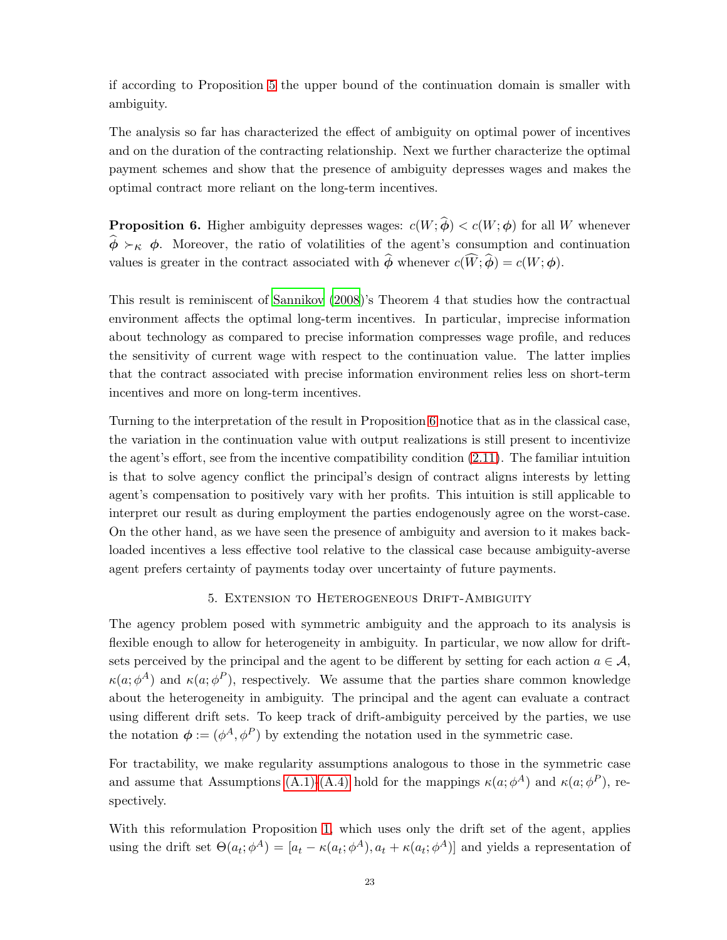if according to Proposition [5](#page-19-0) the upper bound of the continuation domain is smaller with ambiguity.

The analysis so far has characterized the effect of ambiguity on optimal power of incentives and on the duration of the contracting relationship. Next we further characterize the optimal payment schemes and show that the presence of ambiguity depresses wages and makes the optimal contract more reliant on the long-term incentives.

<span id="page-22-0"></span>**Proposition 6.** Higher ambiguity depresses wages:  $c(W; \hat{\phi}) < c(W; \phi)$  for all W whenever  $\hat{\phi} \succ_{\kappa} \phi$ . Moreover, the ratio of volatilities of the agent's consumption and continuation values is greater in the contract associated with  $\hat{\phi}$  whenever  $c(\widehat{W}; \widehat{\phi}) = c(W; \phi)$ .

This result is reminiscent of [Sannikov \(2008](#page-48-0))'s Theorem 4 that studies how the contractual environment affects the optimal long-term incentives. In particular, imprecise information about technology as compared to precise information compresses wage profile, and reduces the sensitivity of current wage with respect to the continuation value. The latter implies that the contract associated with precise information environment relies less on short-term incentives and more on long-term incentives.

Turning to the interpretation of the result in Proposition [6](#page-22-0) notice that as in the classical case, the variation in the continuation value with output realizations is still present to incentivize the agent's effort, see from the incentive compatibility condition [\(2.11\)](#page-11-0). The familiar intuition is that to solve agency conflict the principal's design of contract aligns interests by letting agent's compensation to positively vary with her profits. This intuition is still applicable to interpret our result as during employment the parties endogenously agree on the worst-case. On the other hand, as we have seen the presence of ambiguity and aversion to it makes backloaded incentives a less effective tool relative to the classical case because ambiguity-averse agent prefers certainty of payments today over uncertainty of future payments.

# 5. Extension to Heterogeneous Drift-Ambiguity

<span id="page-22-1"></span>The agency problem posed with symmetric ambiguity and the approach to its analysis is flexible enough to allow for heterogeneity in ambiguity. In particular, we now allow for driftsets perceived by the principal and the agent to be different by setting for each action  $a \in \mathcal{A}$ ,  $\kappa(a; \phi^A)$  and  $\kappa(a; \phi^P)$ , respectively. We assume that the parties share common knowledge about the heterogeneity in ambiguity. The principal and the agent can evaluate a contract using different drift sets. To keep track of drift-ambiguity perceived by the parties, we use the notation  $\phi := (\phi^A, \phi^P)$  by extending the notation used in the symmetric case.

For tractability, we make regularity assumptions analogous to those in the symmetric case and assume that Assumptions [\(A.1\)](#page-7-0)[-\(A.4\)](#page-7-3) hold for the mappings  $\kappa(a; \phi^A)$  and  $\kappa(a; \phi^P)$ , respectively.

With this reformulation Proposition [1,](#page-10-1) which uses only the drift set of the agent, applies using the drift set  $\Theta(a_t; \phi^A) = [a_t - \kappa(a_t; \phi^A), a_t + \kappa(a_t; \phi^A)]$  and yields a representation of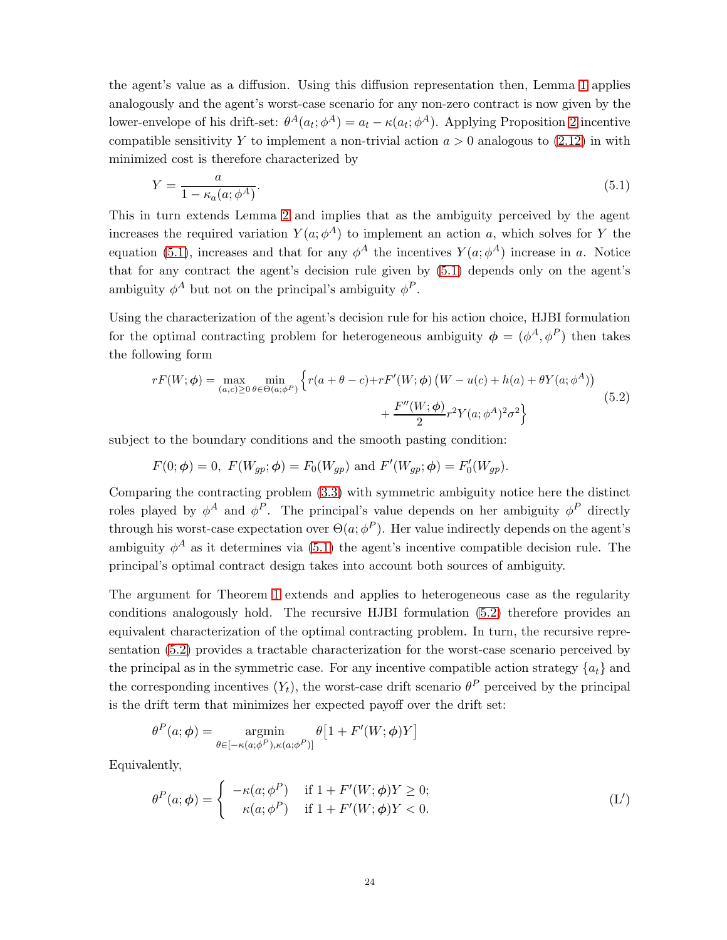the agent's value as a diffusion. Using this diffusion representation then, Lemma [1](#page-10-0) applies analogously and the agent's worst-case scenario for any non-zero contract is now given by the lower-envelope of his drift-set:  $\theta^A(a_t; \phi^A) = a_t - \kappa(a_t; \phi^A)$ . Applying Proposition [2](#page-11-1) incentive compatible sensitivity Y to implement a non-trivial action  $a > 0$  analogous to [\(2.12\)](#page-12-0) in with minimized cost is therefore characterized by

<span id="page-23-0"></span>
$$
Y = \frac{a}{1 - \kappa_a(a; \phi^A)}.\tag{5.1}
$$

This in turn extends Lemma [2](#page-12-1) and implies that as the ambiguity perceived by the agent increases the required variation  $Y(a; \phi^A)$  to implement an action a, which solves for Y the equation [\(5.1\)](#page-23-0), increases and that for any  $\phi^A$  the incentives  $Y(a; \phi^A)$  increase in a. Notice that for any contract the agent's decision rule given by [\(5.1\)](#page-23-0) depends only on the agent's ambiguity  $\phi^A$  but not on the principal's ambiguity  $\phi^P$ .

Using the characterization of the agent's decision rule for his action choice, HJBI formulation for the optimal contracting problem for heterogeneous ambiguity  $\phi = (\phi^A, \phi^P)$  then takes the following form

<span id="page-23-1"></span>
$$
rF(W; \phi) = \max_{(a,c) \ge 0} \min_{\theta \in \Theta(a; \phi^P)} \left\{ r(a + \theta - c) + rF'(W; \phi) \left( W - u(c) + h(a) + \theta Y(a; \phi^A) \right) + \frac{F''(W; \phi)}{2} r^2 Y(a; \phi^A)^2 \sigma^2 \right\}
$$
(5.2)

subject to the boundary conditions and the smooth pasting condition:

$$
F(0; \phi) = 0
$$
,  $F(W_{gp}; \phi) = F_0(W_{gp})$  and  $F'(W_{gp}; \phi) = F'_0(W_{gp})$ .

Comparing the contracting problem [\(3.3\)](#page-14-1) with symmetric ambiguity notice here the distinct roles played by  $\phi^A$  and  $\phi^P$ . The principal's value depends on her ambiguity  $\phi^P$  directly through his worst-case expectation over  $\Theta(a; \phi^P)$ . Her value indirectly depends on the agent's ambiguity  $\phi^A$  as it determines via [\(5.1\)](#page-23-0) the agent's incentive compatible decision rule. The principal's optimal contract design takes into account both sources of ambiguity.

The argument for Theorem [1](#page-15-1) extends and applies to heterogeneous case as the regularity conditions analogously hold. The recursive HJBI formulation [\(5.2\)](#page-23-1) therefore provides an equivalent characterization of the optimal contracting problem. In turn, the recursive representation [\(5.2\)](#page-23-1) provides a tractable characterization for the worst-case scenario perceived by the principal as in the symmetric case. For any incentive compatible action strategy  $\{a_t\}$  and the corresponding incentives  $(Y_t)$ , the worst-case drift scenario  $\theta^P$  perceived by the principal is the drift term that minimizes her expected payoff over the drift set:

$$
\theta^{P}(a; \phi) = \operatorname*{argmin}_{\theta \in [-\kappa(a; \phi^{P}), \kappa(a; \phi^{P})]} \theta[1 + F'(W; \phi)Y]
$$

Equivalently,

<span id="page-23-2"></span>
$$
\theta^{P}(a; \phi) = \begin{cases}\n-\kappa(a; \phi^{P}) & \text{if } 1 + F'(W; \phi)Y \ge 0; \\
\kappa(a; \phi^{P}) & \text{if } 1 + F'(W; \phi)Y < 0.\n\end{cases}
$$
\n(L')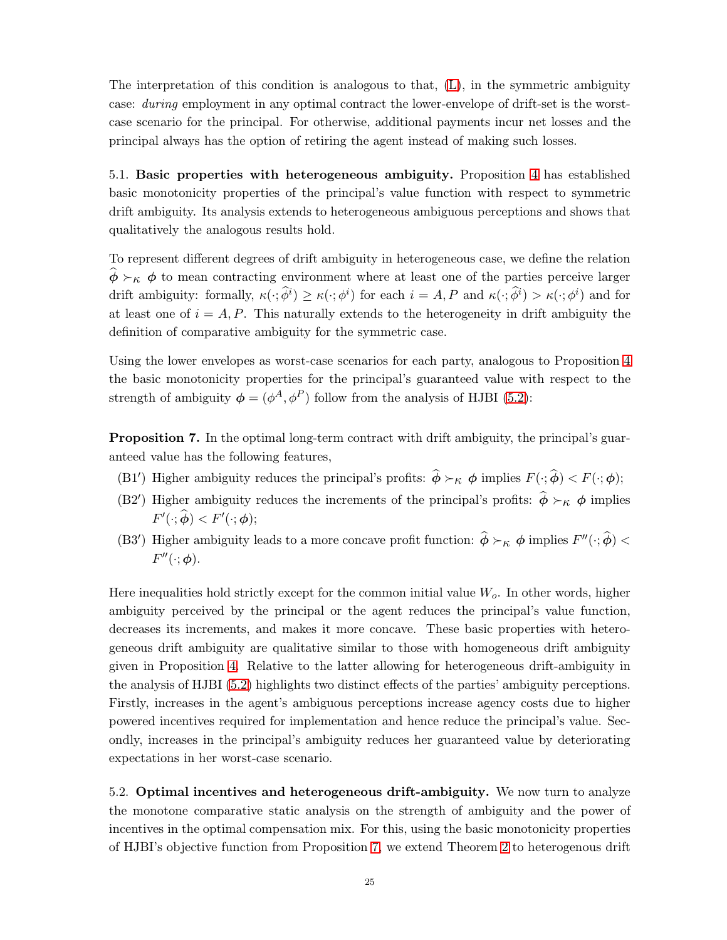The interpretation of this condition is analogous to that, [\(L\)](#page-16-1), in the symmetric ambiguity case: during employment in any optimal contract the lower-envelope of drift-set is the worstcase scenario for the principal. For otherwise, additional payments incur net losses and the principal always has the option of retiring the agent instead of making such losses.

5.1. Basic properties with heterogeneous ambiguity. Proposition [4](#page-18-3) has established basic monotonicity properties of the principal's value function with respect to symmetric drift ambiguity. Its analysis extends to heterogeneous ambiguous perceptions and shows that qualitatively the analogous results hold.

To represent different degrees of drift ambiguity in heterogeneous case, we define the relation  $\phi \succ_{\kappa} \phi$  to mean contracting environment where at least one of the parties perceive larger drift ambiguity: formally,  $\kappa(\cdot; \hat{\phi}^i) \geq \kappa(\cdot; \phi^i)$  for each  $i = A, P$  and  $\kappa(\cdot; \hat{\phi}^i) > \kappa(\cdot; \phi^i)$  and for at least one of  $i = A, P$ . This naturally extends to the heterogeneity in drift ambiguity the definition of comparative ambiguity for the symmetric case.

Using the lower envelopes as worst-case scenarios for each party, analogous to Proposition [4](#page-18-3) the basic monotonicity properties for the principal's guaranteed value with respect to the strength of ambiguity  $\phi = (\phi^A, \phi^P)$  follow from the analysis of HJBI [\(5.2\)](#page-23-1):

<span id="page-24-1"></span><span id="page-24-0"></span>Proposition 7. In the optimal long-term contract with drift ambiguity, the principal's guaranteed value has the following features,

- <span id="page-24-2"></span>(B1') Higher ambiguity reduces the principal's profits:  $\hat{\phi} \succ_{\kappa} \phi$  implies  $F(\cdot; \hat{\phi}) < F(\cdot; \phi)$ ;
- <span id="page-24-3"></span>(B2') Higher ambiguity reduces the increments of the principal's profits:  $\hat{\phi} \succ_{\kappa} \phi$  implies  $F'(\cdot; \widehat{\boldsymbol{\phi}}) < F'(\cdot; \boldsymbol{\phi});$
- (B3<sup>'</sup>) Higher ambiguity leads to a more concave profit function:  $\hat{\phi} \succ_{\kappa} \phi$  implies  $F''(\cdot; \hat{\phi})$  <  $F''(\cdot; \phi)$ .

Here inequalities hold strictly except for the common initial value  $W<sub>o</sub>$ . In other words, higher ambiguity perceived by the principal or the agent reduces the principal's value function, decreases its increments, and makes it more concave. These basic properties with heterogeneous drift ambiguity are qualitative similar to those with homogeneous drift ambiguity given in Proposition [4.](#page-18-3) Relative to the latter allowing for heterogeneous drift-ambiguity in the analysis of HJBI [\(5.2\)](#page-23-1) highlights two distinct effects of the parties' ambiguity perceptions. Firstly, increases in the agent's ambiguous perceptions increase agency costs due to higher powered incentives required for implementation and hence reduce the principal's value. Secondly, increases in the principal's ambiguity reduces her guaranteed value by deteriorating expectations in her worst-case scenario.

<span id="page-24-4"></span>5.2. Optimal incentives and heterogeneous drift-ambiguity. We now turn to analyze the monotone comparative static analysis on the strength of ambiguity and the power of incentives in the optimal compensation mix. For this, using the basic monotonicity properties of HJBI's objective function from Proposition [7,](#page-24-0) we extend Theorem [2](#page-20-0) to heterogenous drift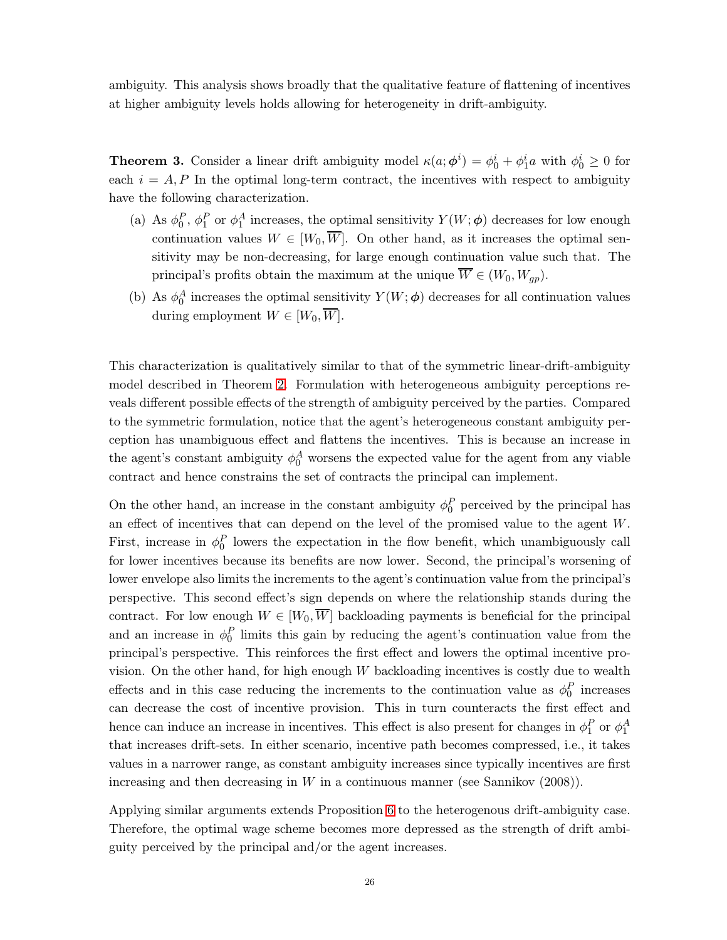ambiguity. This analysis shows broadly that the qualitative feature of flattening of incentives at higher ambiguity levels holds allowing for heterogeneity in drift-ambiguity.

<span id="page-25-0"></span>**Theorem 3.** Consider a linear drift ambiguity model  $\kappa(a; \phi^i) = \phi_0^i + \phi_1^i a$  with  $\phi_0^i \geq 0$  for each  $i = A, P$  In the optimal long-term contract, the incentives with respect to ambiguity have the following characterization.

- (a) As  $\phi_0^P$ ,  $\phi_1^P$  or  $\phi_1^A$  increases, the optimal sensitivity  $Y(W; \phi)$  decreases for low enough continuation values  $W \in [W_0, \overline{W}]$ . On other hand, as it increases the optimal sensitivity may be non-decreasing, for large enough continuation value such that. The principal's profits obtain the maximum at the unique  $\overline{W} \in (W_0, W_{qp})$ .
- (b) As  $\phi_0^A$  increases the optimal sensitivity  $Y(W; \phi)$  decreases for all continuation values during employment  $W \in [W_0, \overline{W}]$ .

This characterization is qualitatively similar to that of the symmetric linear-drift-ambiguity model described in Theorem [2.](#page-20-0) Formulation with heterogeneous ambiguity perceptions reveals different possible effects of the strength of ambiguity perceived by the parties. Compared to the symmetric formulation, notice that the agent's heterogeneous constant ambiguity perception has unambiguous effect and flattens the incentives. This is because an increase in the agent's constant ambiguity  $\phi_0^A$  worsens the expected value for the agent from any viable contract and hence constrains the set of contracts the principal can implement.

On the other hand, an increase in the constant ambiguity  $\phi_0^P$  perceived by the principal has an effect of incentives that can depend on the level of the promised value to the agent W. First, increase in  $\phi_0^P$  lowers the expectation in the flow benefit, which unambiguously call for lower incentives because its benefits are now lower. Second, the principal's worsening of lower envelope also limits the increments to the agent's continuation value from the principal's perspective. This second effect's sign depends on where the relationship stands during the contract. For low enough  $W \in [W_0, \overline{W}]$  backloading payments is beneficial for the principal and an increase in  $\phi_0^P$  limits this gain by reducing the agent's continuation value from the principal's perspective. This reinforces the first effect and lowers the optimal incentive provision. On the other hand, for high enough  $W$  backloading incentives is costly due to wealth effects and in this case reducing the increments to the continuation value as  $\phi_0^P$  increases can decrease the cost of incentive provision. This in turn counteracts the first effect and hence can induce an increase in incentives. This effect is also present for changes in  $\phi_1^P$  or  $\phi_1^A$ that increases drift-sets. In either scenario, incentive path becomes compressed, i.e., it takes values in a narrower range, as constant ambiguity increases since typically incentives are first increasing and then decreasing in  $W$  in a continuous manner (see Sannikov  $(2008)$ ).

Applying similar arguments extends Proposition [6](#page-22-0) to the heterogenous drift-ambiguity case. Therefore, the optimal wage scheme becomes more depressed as the strength of drift ambiguity perceived by the principal and/or the agent increases.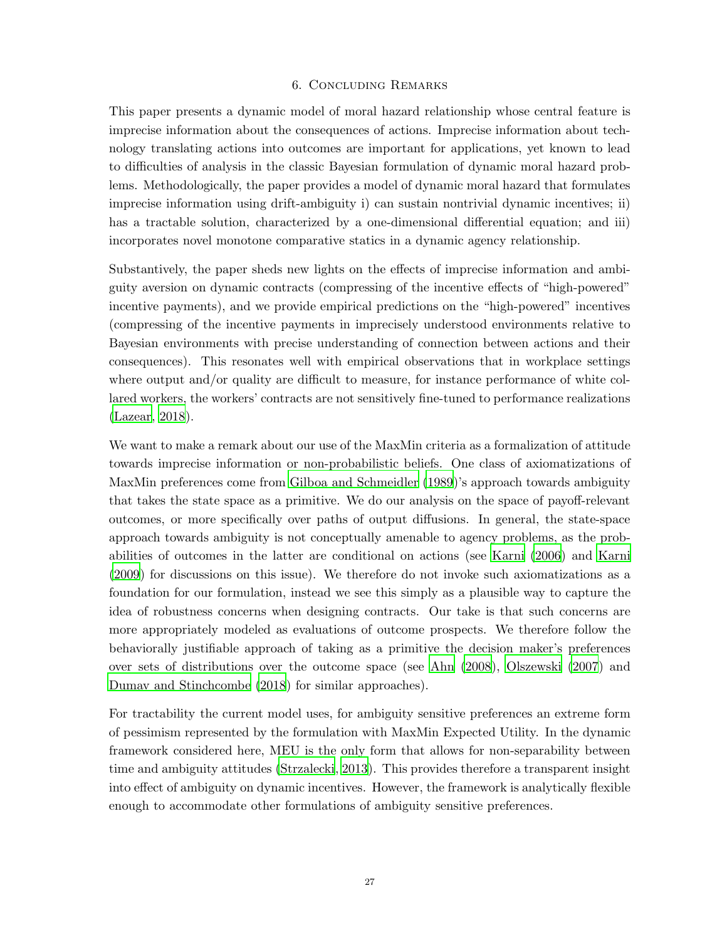# 6. Concluding Remarks

This paper presents a dynamic model of moral hazard relationship whose central feature is imprecise information about the consequences of actions. Imprecise information about technology translating actions into outcomes are important for applications, yet known to lead to difficulties of analysis in the classic Bayesian formulation of dynamic moral hazard problems. Methodologically, the paper provides a model of dynamic moral hazard that formulates imprecise information using drift-ambiguity i) can sustain nontrivial dynamic incentives; ii) has a tractable solution, characterized by a one-dimensional differential equation; and iii) incorporates novel monotone comparative statics in a dynamic agency relationship.

Substantively, the paper sheds new lights on the effects of imprecise information and ambiguity aversion on dynamic contracts (compressing of the incentive effects of "high-powered" incentive payments), and we provide empirical predictions on the "high-powered" incentives (compressing of the incentive payments in imprecisely understood environments relative to Bayesian environments with precise understanding of connection between actions and their consequences). This resonates well with empirical observations that in workplace settings where output and/or quality are difficult to measure, for instance performance of white collared workers, the workers' contracts are not sensitively fine-tuned to performance realizations [\(Lazear, 2018](#page-48-12)).

We want to make a remark about our use of the MaxMin criteria as a formalization of attitude towards imprecise information or non-probabilistic beliefs. One class of axiomatizations of MaxMin preferences come from [Gilboa and Schmeidler \(1989\)](#page-47-12)'s approach towards ambiguity that takes the state space as a primitive. We do our analysis on the space of payoff-relevant outcomes, or more specifically over paths of output diffusions. In general, the state-space approach towards ambiguity is not conceptually amenable to agency problems, as the probabilities of outcomes in the latter are conditional on actions (see [Karni \(2006](#page-47-13)) and [Karni](#page-48-13) [\(2009\)](#page-48-13) for discussions on this issue). We therefore do not invoke such axiomatizations as a foundation for our formulation, instead we see this simply as a plausible way to capture the idea of robustness concerns when designing contracts. Our take is that such concerns are more appropriately modeled as evaluations of outcome prospects. We therefore follow the behaviorally justifiable approach of taking as a primitive the decision maker's preferences over sets of distributions over the outcome space (see [Ahn \(2008\)](#page-46-8), [Olszewski \(2007](#page-48-14)) and [Dumav and Stinchcombe \(2018](#page-47-14)) for similar approaches).

For tractability the current model uses, for ambiguity sensitive preferences an extreme form of pessimism represented by the formulation with MaxMin Expected Utility. In the dynamic framework considered here, MEU is the only form that allows for non-separability between time and ambiguity attitudes [\(Strzalecki](#page-49-4), [2013\)](#page-49-4). This provides therefore a transparent insight into effect of ambiguity on dynamic incentives. However, the framework is analytically flexible enough to accommodate other formulations of ambiguity sensitive preferences.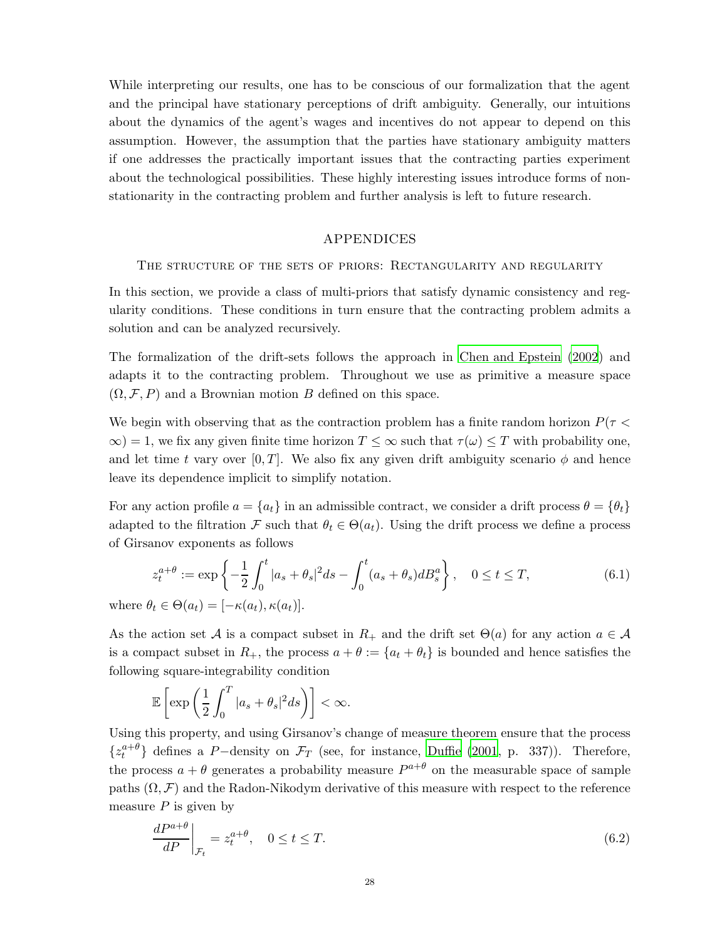While interpreting our results, one has to be conscious of our formalization that the agent and the principal have stationary perceptions of drift ambiguity. Generally, our intuitions about the dynamics of the agent's wages and incentives do not appear to depend on this assumption. However, the assumption that the parties have stationary ambiguity matters if one addresses the practically important issues that the contracting parties experiment about the technological possibilities. These highly interesting issues introduce forms of nonstationarity in the contracting problem and further analysis is left to future research.

### APPENDICES

<span id="page-27-1"></span>The structure of the sets of priors: Rectangularity and regularity

In this section, we provide a class of multi-priors that satisfy dynamic consistency and regularity conditions. These conditions in turn ensure that the contracting problem admits a solution and can be analyzed recursively.

The formalization of the drift-sets follows the approach in [Chen and Epstein \(2002](#page-46-0)) and adapts it to the contracting problem. Throughout we use as primitive a measure space  $(\Omega, \mathcal{F}, P)$  and a Brownian motion B defined on this space.

We begin with observing that as the contraction problem has a finite random horizon  $P(\tau \leq \tau)$  $\infty$ ) = 1, we fix any given finite time horizon  $T \leq \infty$  such that  $\tau(\omega) \leq T$  with probability one, and let time t vary over [0, T]. We also fix any given drift ambiguity scenario  $\phi$  and hence leave its dependence implicit to simplify notation.

For any action profile  $a = \{a_t\}$  in an admissible contract, we consider a drift process  $\theta = \{\theta_t\}$ adapted to the filtration F such that  $\theta_t \in \Theta(a_t)$ . Using the drift process we define a process of Girsanov exponents as follows

$$
z_t^{a+\theta} := \exp\left\{-\frac{1}{2}\int_0^t |a_s + \theta_s|^2 ds - \int_0^t (a_s + \theta_s) dB_s^a\right\}, \quad 0 \le t \le T,
$$
\n
$$
\theta \in \Theta(a) = [e(a), e(a)]
$$
\n(6.1)

where  $\theta_t \in \Theta(a_t) = [-\kappa(a_t), \kappa(a_t)].$ 

As the action set A is a compact subset in  $R_+$  and the drift set  $\Theta(a)$  for any action  $a \in \mathcal{A}$ is a compact subset in  $R_+$ , the process  $a + \theta := \{a_t + \theta_t\}$  is bounded and hence satisfies the following square-integrability condition

$$
\mathbb{E}\left[\exp\left(\frac{1}{2}\int_0^T|a_s+\theta_s|^2ds\right)\right]<\infty.
$$

Using this property, and using Girsanov's change of measure theorem ensure that the process  $\{z_t^{a+\theta}\}\$  defines a P-density on  $\mathcal{F}_T$  (see, for instance, [Duffie \(2001](#page-46-9), p. 337)). Therefore, the process  $a + \theta$  generates a probability measure  $P^{a+\theta}$  on the measurable space of sample paths  $(\Omega, \mathcal{F})$  and the Radon-Nikodym derivative of this measure with respect to the reference measure  $P$  is given by

<span id="page-27-0"></span>
$$
\left. \frac{dP^{a+\theta}}{dP} \right|_{\mathcal{F}_t} = z_t^{a+\theta}, \quad 0 \le t \le T. \tag{6.2}
$$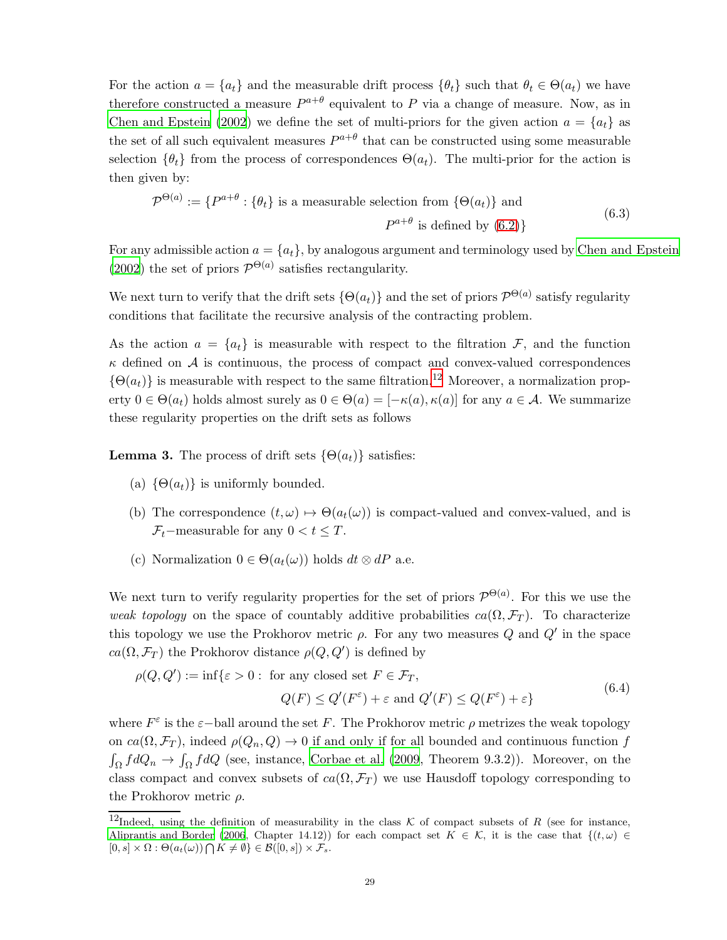For the action  $a = \{a_t\}$  and the measurable drift process  $\{\theta_t\}$  such that  $\theta_t \in \Theta(a_t)$  we have therefore constructed a measure  $P^{a+\theta}$  equivalent to P via a change of measure. Now, as in [Chen and Epstein \(2002\)](#page-46-0) we define the set of multi-priors for the given action  $a = \{a_t\}$  as the set of all such equivalent measures  $P^{a+\theta}$  that can be constructed using some measurable selection  $\{\theta_t\}$  from the process of correspondences  $\Theta(a_t)$ . The multi-prior for the action is then given by:

$$
\mathcal{P}^{\Theta(a)} := \{P^{a+\theta} : \{\theta_t\} \text{ is a measurable selection from } \{\Theta(a_t)\} \text{ and}
$$
\n
$$
P^{a+\theta} \text{ is defined by (6.2)}\}
$$
\n(6.3)

For any admissible action  $a = \{a_t\}$ , by analogous argument and terminology used by [Chen and Epstein](#page-46-0)  $(2002)$  the set of priors  $\mathcal{P}^{\Theta(a)}$  satisfies rectangularity.

We next turn to verify that the drift sets  $\{\Theta(a_t)\}\$  and the set of priors  $\mathcal{P}^{\Theta(a)}$  satisfy regularity conditions that facilitate the recursive analysis of the contracting problem.

As the action  $a = \{a_t\}$  is measurable with respect to the filtration F, and the function  $\kappa$  defined on  $\mathcal A$  is continuous, the process of compact and convex-valued correspondences  $\{\Theta(a_t)\}\$ is measurable with respect to the same filtration.<sup>[12](#page-28-0)</sup> Moreover, a normalization property  $0 \in \Theta(a_t)$  holds almost surely as  $0 \in \Theta(a) = [-\kappa(a), \kappa(a)]$  for any  $a \in \mathcal{A}$ . We summarize these regularity properties on the drift sets as follows

<span id="page-28-1"></span>**Lemma 3.** The process of drift sets  $\{\Theta(a_t)\}\$  satisfies:

- (a)  $\{\Theta(a_t)\}\$ is uniformly bounded.
- (b) The correspondence  $(t, \omega) \mapsto \Theta(a_t(\omega))$  is compact-valued and convex-valued, and is  $\mathcal{F}_t$ −measurable for any  $0 < t \leq T$ .
- (c) Normalization  $0 \in \Theta(a_t(\omega))$  holds  $dt \otimes dP$  a.e.

We next turn to verify regularity properties for the set of priors  $\mathcal{P}^{\Theta(a)}$ . For this we use the weak topology on the space of countably additive probabilities  $ca(\Omega, \mathcal{F}_T)$ . To characterize this topology we use the Prokhorov metric  $\rho$ . For any two measures Q and  $Q'$  in the space  $ca(\Omega, \mathcal{F}_T)$  the Prokhorov distance  $\rho(Q, Q')$  is defined by

$$
\rho(Q, Q') := \inf \{ \varepsilon > 0 : \text{ for any closed set } F \in \mathcal{F}_T, Q(F) \le Q'(F^{\varepsilon}) + \varepsilon \text{ and } Q'(F) \le Q(F^{\varepsilon}) + \varepsilon \}
$$
(6.4)

where  $F^{\varepsilon}$  is the  $\varepsilon$ -ball around the set F. The Prokhorov metric  $\rho$  metrizes the weak topology on  $ca(\Omega, \mathcal{F}_T)$ , indeed  $\rho(Q_n, Q) \to 0$  if and only if for all bounded and continuous function f  $\int_{\Omega} f dQ_n \to \int_{\Omega} f dQ$  (see, instance, [Corbae et al. \(2009,](#page-46-10) Theorem 9.3.2)). Moreover, on the class compact and convex subsets of  $ca(\Omega, \mathcal{F}_T)$  we use Hausdoff topology corresponding to the Prokhorov metric  $\rho$ .

<span id="page-28-0"></span><sup>&</sup>lt;sup>12</sup>Indeed, using the definition of measurability in the class  $K$  of compact subsets of R (see for instance, [Aliprantis and Border \(2006,](#page-46-11) Chapter 14.12)) for each compact set  $K \in \mathcal{K}$ , it is the case that  $\{(t,\omega) \in$  $[0, s] \times \Omega : \Theta(a_t(\omega)) \bigcap K \neq \emptyset$   $\in \mathcal{B}([0, s]) \times \mathcal{F}_s$ .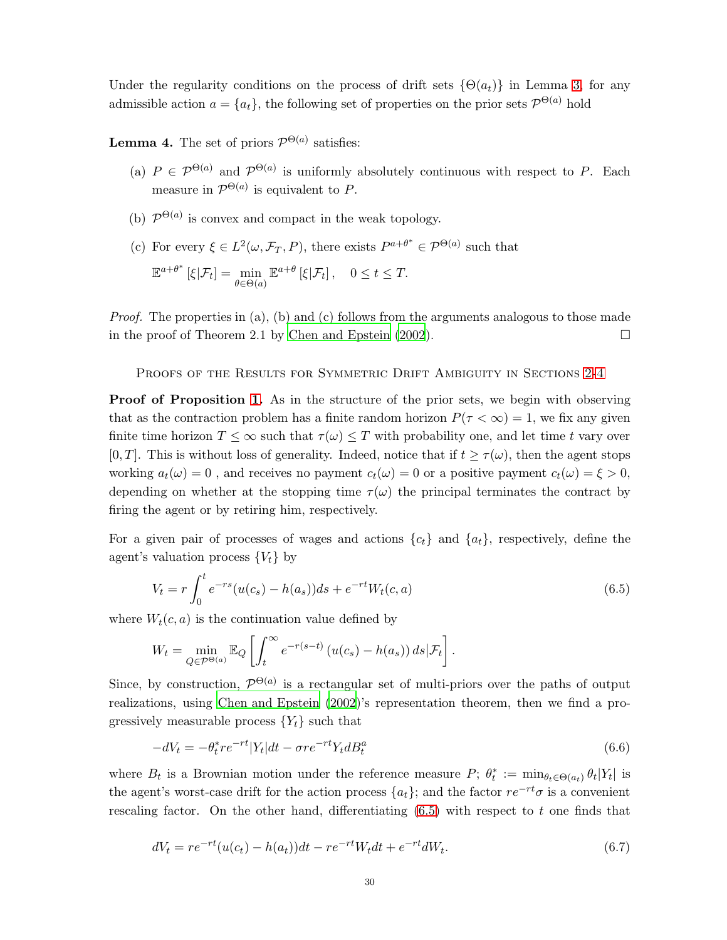Under the regularity conditions on the process of drift sets  $\{\Theta(a_t)\}\$ in Lemma [3,](#page-28-1) for any admissible action  $a = \{a_t\}$ , the following set of properties on the prior sets  $\mathcal{P}^{\Theta(a)}$  hold

**Lemma 4.** The set of priors  $\mathcal{P}^{\Theta(a)}$  satisfies:

- (a)  $P \in \mathcal{P}^{\Theta(a)}$  and  $\mathcal{P}^{\Theta(a)}$  is uniformly absolutely continuous with respect to P. Each measure in  $\mathcal{P}^{\Theta(a)}$  is equivalent to P.
- (b)  $\mathcal{P}^{\Theta(a)}$  is convex and compact in the weak topology.
- (c) For every  $\xi \in L^2(\omega, \mathcal{F}_T, P)$ , there exists  $P^{a+\theta^*} \in \mathcal{P}^{\Theta(a)}$  such that

$$
\mathbb{E}^{a+\theta^*}\left[\xi|\mathcal{F}_t\right] = \min_{\theta \in \Theta(a)} \mathbb{E}^{a+\theta}\left[\xi|\mathcal{F}_t\right], \quad 0 \le t \le T.
$$

*Proof.* The properties in (a), (b) and (c) follows from the arguments analogous to those made in the proof of Theorem 2.1 by Chen and Epstein  $(2002)$ .

PROOFS OF THE RESULTS FOR SYMMETRIC DRIFT AMBIGUITY IN SECTIONS [2-](#page-4-1)[4](#page-19-1)

**Proof of Proposition [1.](#page-10-1)** As in the structure of the prior sets, we begin with observing that as the contraction problem has a finite random horizon  $P(\tau < \infty) = 1$ , we fix any given finite time horizon  $T \leq \infty$  such that  $\tau(\omega) \leq T$  with probability one, and let time t vary over [0, T]. This is without loss of generality. Indeed, notice that if  $t \geq \tau(\omega)$ , then the agent stops working  $a_t(\omega) = 0$ , and receives no payment  $c_t(\omega) = 0$  or a positive payment  $c_t(\omega) = \xi > 0$ , depending on whether at the stopping time  $\tau(\omega)$  the principal terminates the contract by firing the agent or by retiring him, respectively.

For a given pair of processes of wages and actions  $\{c_t\}$  and  $\{a_t\}$ , respectively, define the agent's valuation process  $\{V_t\}$  by

<span id="page-29-0"></span>
$$
V_t = r \int_0^t e^{-rs} (u(c_s) - h(a_s)) ds + e^{-rt} W_t(c, a)
$$
\n(6.5)

where  $W_t(c, a)$  is the continuation value defined by

$$
W_t = \min_{Q \in \mathcal{P}^{\Theta(a)}} \mathbb{E}_Q \left[ \int_t^{\infty} e^{-r(s-t)} \left( u(c_s) - h(a_s) \right) ds \big| \mathcal{F}_t \right].
$$

Since, by construction,  $\mathcal{P}^{\Theta(a)}$  is a rectangular set of multi-priors over the paths of output realizations, using [Chen and Epstein \(2002\)](#page-46-0)'s representation theorem, then we find a progressively measurable process  $\{Y_t\}$  such that

<span id="page-29-1"></span>
$$
-dV_t = -\theta_t^* r e^{-rt} |Y_t| dt - \sigma r e^{-rt} Y_t dB_t^a \tag{6.6}
$$

where  $B_t$  is a Brownian motion under the reference measure  $P; \theta_t^* := \min_{\theta_t \in \Theta(a_t)} \theta_t |Y_t|$  is the agent's worst-case drift for the action process  $\{a_t\}$ ; and the factor  $re^{-rt}\sigma$  is a convenient rescaling factor. On the other hand, differentiating [\(6.5\)](#page-29-0) with respect to t one finds that

<span id="page-29-2"></span>
$$
dV_t = re^{-rt}(u(c_t) - h(a_t))dt - re^{-rt}W_t dt + e^{-rt}dW_t.
$$
\n(6.7)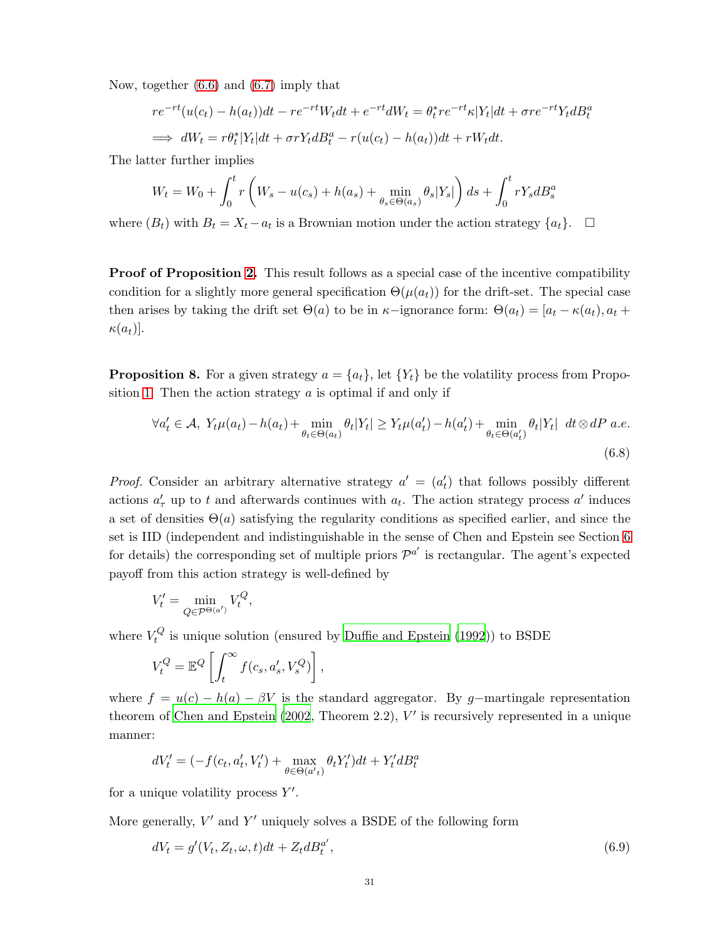Now, together [\(6.6\)](#page-29-1) and [\(6.7\)](#page-29-2) imply that

$$
re^{-rt}(u(c_t) - h(a_t))dt - re^{-rt}W_t dt + e^{-rt}dW_t = \theta_t^* re^{-rt} \kappa |Y_t|dt + \sigma re^{-rt}Y_t dB_t^a
$$
  

$$
\implies dW_t = r\theta_t^* |Y_t|dt + \sigma rY_t dB_t^a - r(u(c_t) - h(a_t))dt + rW_t dt.
$$

The latter further implies

$$
W_{t} = W_{0} + \int_{0}^{t} r \left( W_{s} - u(c_{s}) + h(a_{s}) + \min_{\theta_{s} \in \Theta(a_{s})} \theta_{s} | Y_{s} | \right) ds + \int_{0}^{t} r Y_{s} dB_{s}^{a}
$$

where  $(B_t)$  with  $B_t = X_t - a_t$  is a Brownian motion under the action strategy  $\{a_t\}$ .  $\Box$ 

**Proof of Proposition [2.](#page-11-1)** This result follows as a special case of the incentive compatibility condition for a slightly more general specification  $\Theta(\mu(a_t))$  for the drift-set. The special case then arises by taking the drift set  $\Theta(a)$  to be in  $\kappa$ -ignorance form:  $\Theta(a_t) = [a_t - \kappa(a_t), a_t +$  $\kappa(a_t)$ ].

<span id="page-30-2"></span>**Proposition 8.** For a given strategy  $a = \{a_t\}$ , let  $\{Y_t\}$  be the volatility process from Propo-sition [1.](#page-10-1) Then the action strategy  $\alpha$  is optimal if and only if

<span id="page-30-1"></span>
$$
\forall a'_t \in \mathcal{A}, \ Y_t \mu(a_t) - h(a_t) + \min_{\theta_t \in \Theta(a_t)} \theta_t |Y_t| \ge Y_t \mu(a'_t) - h(a'_t) + \min_{\theta_t \in \Theta(a'_t)} \theta_t |Y_t| \ dt \otimes dP \ a.e. \tag{6.8}
$$

*Proof.* Consider an arbitrary alternative strategy  $a' = (a'_t)$  that follows possibly different actions  $a'_{\tau}$  up to t and afterwards continues with  $a_t$ . The action strategy process  $a'$  induces a set of densities  $\Theta(a)$  satisfying the regularity conditions as specified earlier, and since the set is IID (independent and indistinguishable in the sense of Chen and Epstein see Section [6](#page-27-1) for details) the corresponding set of multiple priors  $\mathcal{P}^{a'}$  is rectangular. The agent's expected payoff from this action strategy is well-defined by

$$
V'_t = \min_{Q \in \mathcal{P}^{\Theta(a')}} V_t^Q,
$$

where  $V_t^Q$  $\mathcal{H}^{\mathcal{Q}}$  is unique solution (ensured by [Duffie and Epstein \(1992\)](#page-46-12)) to BSDE

$$
V_t^Q = \mathbb{E}^Q \left[ \int_t^\infty f(c_s, a'_s, V_s^Q) \right],
$$

where  $f = u(c) - h(a) - \beta V$  is the standard aggregator. By g-martingale representation theorem of Chen and Epstein  $(2002,$  Theorem 2.2),  $V'$  is recursively represented in a unique manner:

$$
dV'_{t} = (-f(c_{t}, a'_{t}, V'_{t}) + \max_{\theta \in \Theta(a'_{t})} \theta_{t} Y'_{t}) dt + Y'_{t} dB^{a}_{t}
$$

for a unique volatility process  $Y'$ .

More generally,  $V'$  and  $Y'$  uniquely solves a BSDE of the following form

<span id="page-30-0"></span>
$$
dV_t = g'(V_t, Z_t, \omega, t)dt + Z_t dB_t^{a'},
$$
\n
$$
(6.9)
$$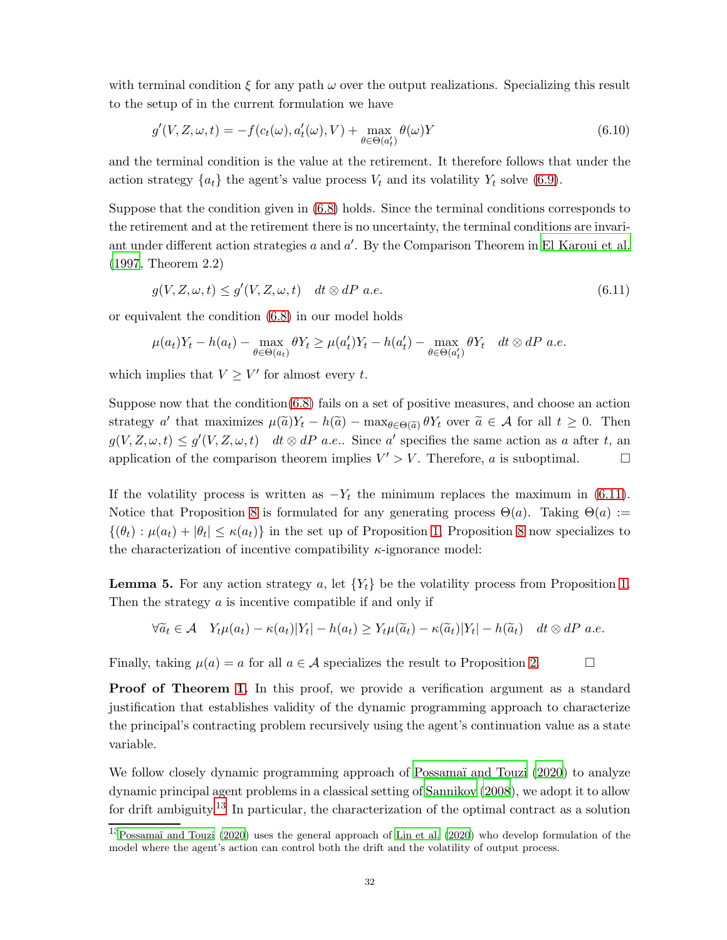with terminal condition  $\xi$  for any path  $\omega$  over the output realizations. Specializing this result to the setup of in the current formulation we have

$$
g'(V, Z, \omega, t) = -f(c_t(\omega), a'_t(\omega), V) + \max_{\theta \in \Theta(a'_t)} \theta(\omega)Y
$$
\n(6.10)

and the terminal condition is the value at the retirement. It therefore follows that under the action strategy  $\{a_t\}$  the agent's value process  $V_t$  and its volatility  $Y_t$  solve [\(6.9\)](#page-30-0).

Suppose that the condition given in [\(6.8\)](#page-30-1) holds. Since the terminal conditions corresponds to the retirement and at the retirement there is no uncertainty, the terminal conditions are invariant under different action strategies  $a$  and  $a'$ . By the Comparison Theorem in [El Karoui et al.](#page-47-15) [\(1997,](#page-47-15) Theorem 2.2)

<span id="page-31-0"></span>
$$
g(V, Z, \omega, t) \le g'(V, Z, \omega, t) \quad dt \otimes dP \ a.e. \tag{6.11}
$$

or equivalent the condition [\(6.8\)](#page-30-1) in our model holds

$$
\mu(a_t)Y_t - h(a_t) - \max_{\theta \in \Theta(a_t)} \theta Y_t \ge \mu(a'_t)Y_t - h(a'_t) - \max_{\theta \in \Theta(a'_t)} \theta Y_t \quad dt \otimes dP \text{ a.e.}
$$

which implies that  $V \geq V'$  for almost every t.

Suppose now that the condition[\(6.8\)](#page-30-1) fails on a set of positive measures, and choose an action strategy a' that maximizes  $\mu(\tilde{a})Y_t - h(\tilde{a}) - \max_{\theta \in \Theta(\tilde{a})} \theta Y_t$  over  $\tilde{a} \in \mathcal{A}$  for all  $t \geq 0$ . Then  $g(V, Z, \omega, t) \leq g'(V, Z, \omega, t)$  dt  $\otimes dP$  a.e.. Since a' specifies the same action as a after t, an application of the comparison theorem implies  $V' > V$ . Therefore, a is suboptimal.

If the volatility process is written as  $-Y_t$  the minimum replaces the maximum in [\(6.11\)](#page-31-0). Notice that Proposition [8](#page-30-2) is formulated for any generating process  $\Theta(a)$ . Taking  $\Theta(a) :=$  $\{(\theta_t): \mu(a_t) + |\theta_t| \leq \kappa(a_t)\}\$ in the set up of Proposition [1,](#page-10-1) Proposition [8](#page-30-2) now specializes to the characterization of incentive compatibility  $\kappa$ -ignorance model:

**Lemma 5.** For any action strategy a, let  ${Y_t}$  be the volatility process from Proposition [1.](#page-10-1) Then the strategy  $\alpha$  is incentive compatible if and only if

$$
\forall \widetilde{a}_t \in \mathcal{A} \quad Y_t \mu(a_t) - \kappa(a_t) |Y_t| - h(a_t) \ge Y_t \mu(\widetilde{a}_t) - \kappa(\widetilde{a}_t) |Y_t| - h(\widetilde{a}_t) \quad dt \otimes dP \text{ a.e.}
$$

Finally, taking  $\mu(a) = a$  for all  $a \in \mathcal{A}$  specializes the result to Proposition [2.](#page-11-1)

**Proof of Theorem [1.](#page-15-1)** In this proof, we provide a verification argument as a standard justification that establishes validity of the dynamic programming approach to characterize the principal's contracting problem recursively using the agent's continuation value as a state variable.

We follow closely dynamic programming approach of Possamaï and Touzi (2020) to analyze dynamic principal agent problems in a classical setting of [Sannikov \(2008](#page-48-0)), we adopt it to allow for drift ambiguity.<sup>[13](#page-31-1)</sup> In particular, the characterization of the optimal contract as a solution

<span id="page-31-1"></span> $13P$ ossamaï and Touzi (2020) uses the general approach of [Lin et al. \(2020](#page-48-8)) who develop formulation of the model where the agent's action can control both the drift and the volatility of output process.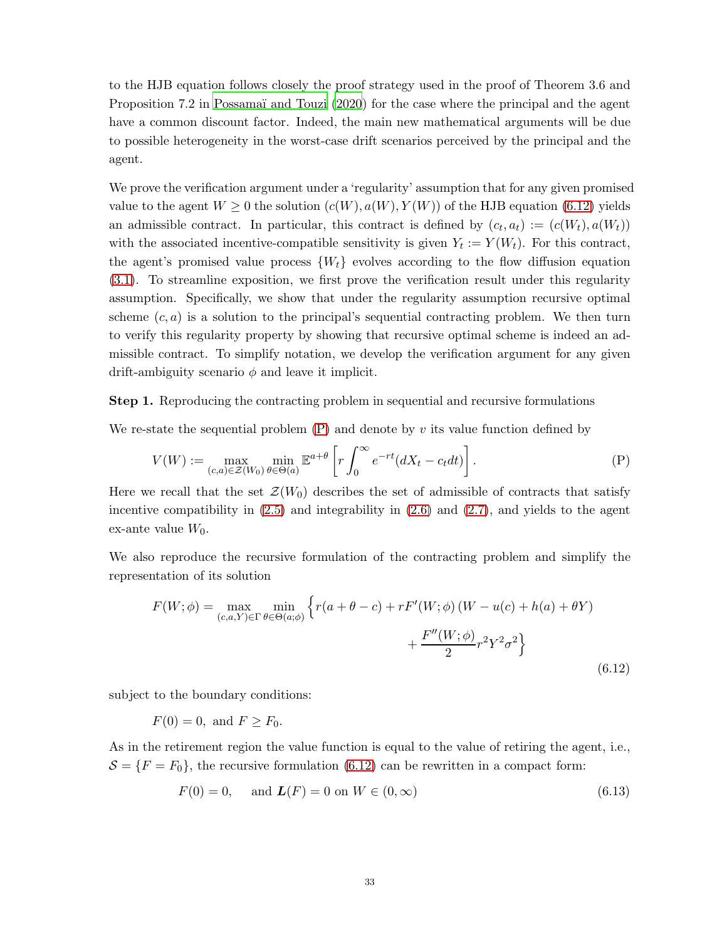to the HJB equation follows closely the proof strategy used in the proof of Theorem 3.6 and Proposition 7.2 in Possamaï and Touzi (2020) for the case where the principal and the agent have a common discount factor. Indeed, the main new mathematical arguments will be due to possible heterogeneity in the worst-case drift scenarios perceived by the principal and the agent.

We prove the verification argument under a 'regularity' assumption that for any given promised value to the agent  $W \geq 0$  the solution  $(c(W), a(W), Y(W))$  of the HJB equation [\(6.12\)](#page-32-0) yields an admissible contract. In particular, this contract is defined by  $(c_t, a_t) := (c(W_t), a(W_t))$ with the associated incentive-compatible sensitivity is given  $Y_t := Y(W_t)$ . For this contract, the agent's promised value process  $\{W_t\}$  evolves according to the flow diffusion equation [\(3.1\)](#page-13-3). To streamline exposition, we first prove the verification result under this regularity assumption. Specifically, we show that under the regularity assumption recursive optimal scheme  $(c, a)$  is a solution to the principal's sequential contracting problem. We then turn to verify this regularity property by showing that recursive optimal scheme is indeed an admissible contract. To simplify notation, we develop the verification argument for any given drift-ambiguity scenario  $\phi$  and leave it implicit.

Step 1. Reproducing the contracting problem in sequential and recursive formulations

We re-state the sequential problem  $(P)$  and denote by v its value function defined by

$$
V(W) := \max_{(c,a)\in\mathcal{Z}(W_0)} \min_{\theta\in\Theta(a)} \mathbb{E}^{a+\theta} \left[ r \int_0^\infty e^{-rt} (dX_t - c_t dt) \right].
$$
 (P)

Here we recall that the set  $\mathcal{Z}(W_0)$  describes the set of admissible of contracts that satisfy incentive compatibility in  $(2.5)$  and integrability in  $(2.6)$  and  $(2.7)$ , and yields to the agent ex-ante value  $W_0$ .

We also reproduce the recursive formulation of the contracting problem and simplify the representation of its solution

<span id="page-32-0"></span>
$$
F(W; \phi) = \max_{(c,a,Y)\in\Gamma} \min_{\theta \in \Theta(a;\phi)} \left\{ r(a+\theta-c) + rF'(W;\phi) \left( W - u(c) + h(a) + \theta Y \right) + \frac{F''(W;\phi)}{2} r^2 Y^2 \sigma^2 \right\}
$$
(6.12)

subject to the boundary conditions:

$$
F(0) = 0, \text{ and } F \ge F_0.
$$

As in the retirement region the value function is equal to the value of retiring the agent, i.e.,  $S = \{F = F_0\}$ , the recursive formulation [\(6.12\)](#page-32-0) can be rewritten in a compact form:

<span id="page-32-1"></span>
$$
F(0) = 0, \quad \text{and } L(F) = 0 \text{ on } W \in (0, \infty)
$$
\n(6.13)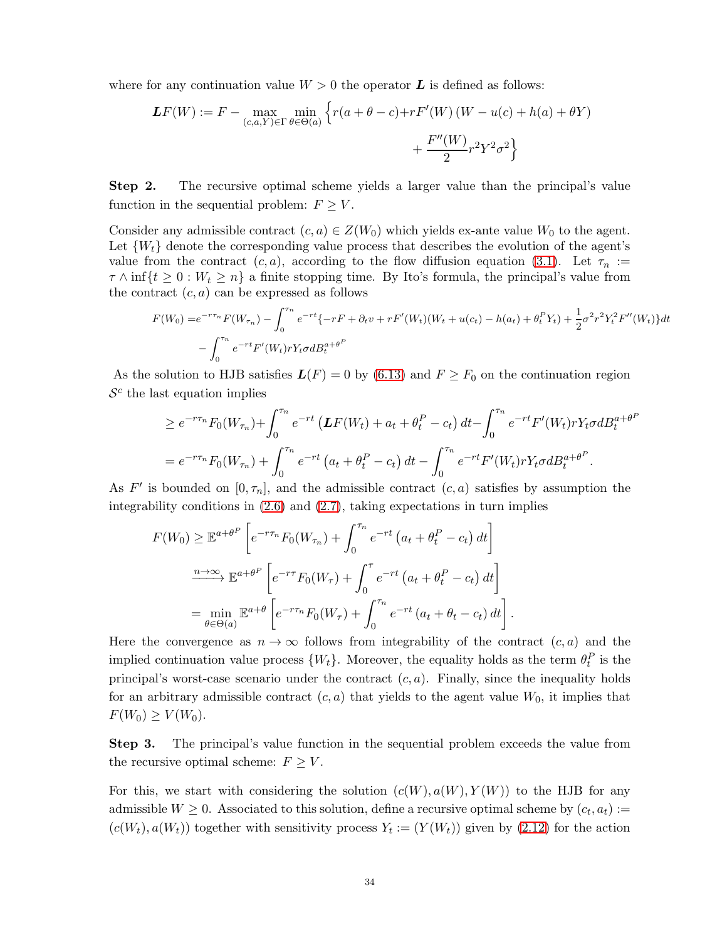where for any continuation value  $W > 0$  the operator  $\boldsymbol{L}$  is defined as follows:

$$
LF(W) := F - \max_{(c,a,Y)\in\Gamma} \min_{\theta\in\Theta(a)} \left\{ r(a+\theta-c) + rF'(W) (W-u(c)+h(a)+\theta Y) + \frac{F''(W)}{2} r^2 Y^2 \sigma^2 \right\}
$$

Step 2. The recursive optimal scheme yields a larger value than the principal's value function in the sequential problem:  $F \geq V$ .

Consider any admissible contract  $(c, a) \in Z(W_0)$  which yields ex-ante value  $W_0$  to the agent. Let  $\{W_t\}$  denote the corresponding value process that describes the evolution of the agent's value from the contract  $(c, a)$ , according to the flow diffusion equation [\(3.1\)](#page-13-3). Let  $\tau_n :=$  $\tau \wedge \inf\{t \geq 0 : W_t \geq n\}$  a finite stopping time. By Ito's formula, the principal's value from the contract  $(c, a)$  can be expressed as follows

$$
F(W_0) = e^{-r\tau_n} F(W_{\tau_n}) - \int_0^{\tau_n} e^{-rt} \{-rF + \partial_t v + rF'(W_t)(W_t + u(c_t) - h(a_t) + \theta_t^P Y_t) + \frac{1}{2}\sigma^2 r^2 Y_t^2 F''(W_t) \} dt
$$
  
- 
$$
\int_0^{\tau_n} e^{-rt} F'(W_t) rY_t \sigma dB_t^{a+\theta^P}
$$

As the solution to HJB satisfies  $L(F) = 0$  by [\(6.13\)](#page-32-1) and  $F \geq F_0$  on the continuation region  $\mathcal{S}^c$  the last equation implies

$$
\geq e^{-r\tau_n} F_0(W_{\tau_n}) + \int_0^{\tau_n} e^{-rt} \left( \mathbf{L} F(W_t) + a_t + \theta_t^P - c_t \right) dt - \int_0^{\tau_n} e^{-rt} F'(W_t) r Y_t \sigma dB_t^{a+\theta^P}
$$
  
=  $e^{-r\tau_n} F_0(W_{\tau_n}) + \int_0^{\tau_n} e^{-rt} \left( a_t + \theta_t^P - c_t \right) dt - \int_0^{\tau_n} e^{-rt} F'(W_t) r Y_t \sigma dB_t^{a+\theta^P}.$ 

As  $F'$  is bounded on  $[0, \tau_n]$ , and the admissible contract  $(c, a)$  satisfies by assumption the integrability conditions in [\(2.6\)](#page-9-1) and [\(2.7\)](#page-9-2), taking expectations in turn implies

$$
F(W_0) \geq \mathbb{E}^{a+\theta^P} \left[ e^{-r\tau_n} F_0(W_{\tau_n}) + \int_0^{\tau_n} e^{-rt} \left( a_t + \theta_t^P - c_t \right) dt \right]
$$

$$
\xrightarrow{n \to \infty} \mathbb{E}^{a+\theta^P} \left[ e^{-r\tau} F_0(W_\tau) + \int_0^\tau e^{-rt} \left( a_t + \theta_t^P - c_t \right) dt \right]
$$

$$
= \min_{\theta \in \Theta(a)} \mathbb{E}^{a+\theta} \left[ e^{-r\tau_n} F_0(W_\tau) + \int_0^{\tau_n} e^{-rt} \left( a_t + \theta_t - c_t \right) dt \right].
$$

Here the convergence as  $n \to \infty$  follows from integrability of the contract  $(c, a)$  and the implied continuation value process  $\{W_t\}$ . Moreover, the equality holds as the term  $\theta_t^P$  is the principal's worst-case scenario under the contract  $(c, a)$ . Finally, since the inequality holds for an arbitrary admissible contract  $(c, a)$  that yields to the agent value  $W_0$ , it implies that  $F(W_0) \geq V(W_0)$ .

Step 3. The principal's value function in the sequential problem exceeds the value from the recursive optimal scheme:  $F \geq V$ .

For this, we start with considering the solution  $(c(W), a(W), Y(W))$  to the HJB for any admissible  $W \geq 0$ . Associated to this solution, define a recursive optimal scheme by  $(c_t, a_t) :=$  $(c(W_t), a(W_t))$  together with sensitivity process  $Y_t := (Y(W_t))$  given by  $(2.12)$  for the action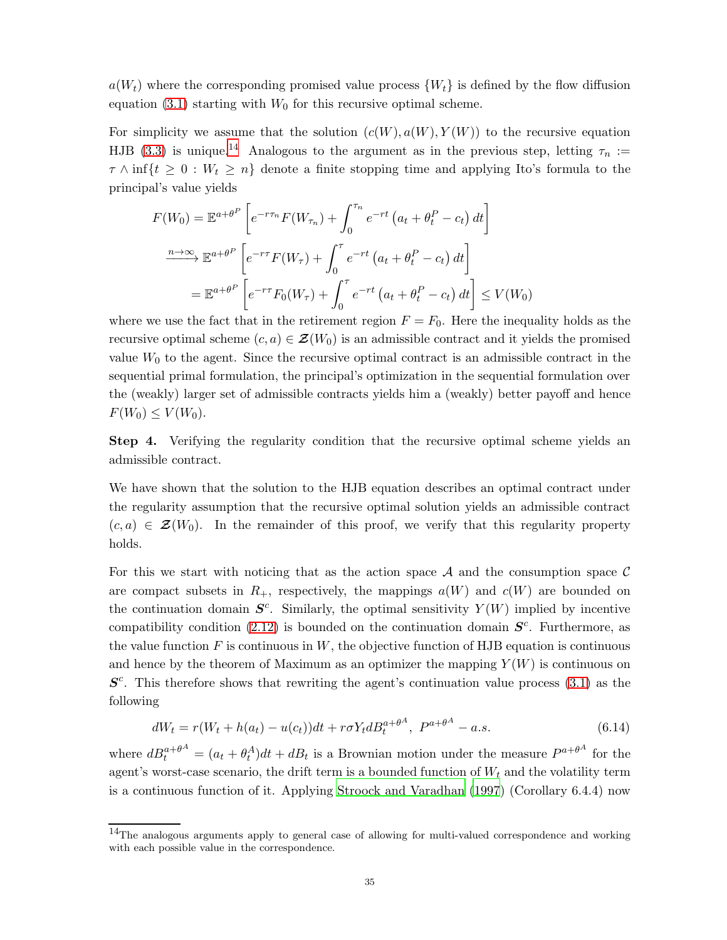$a(W_t)$  where the corresponding promised value process  $\{W_t\}$  is defined by the flow diffusion equation  $(3.1)$  starting with  $W_0$  for this recursive optimal scheme.

For simplicity we assume that the solution  $(c(W), a(W), Y(W))$  to the recursive equation HJB [\(3.3\)](#page-14-1) is unique.<sup>[14](#page-34-0)</sup> Analogous to the argument as in the previous step, letting  $\tau_n :=$  $\tau \wedge \inf\{t \geq 0 : W_t \geq n\}$  denote a finite stopping time and applying Ito's formula to the principal's value yields

$$
F(W_0) = \mathbb{E}^{a+\theta^P} \left[ e^{-r\tau_n} F(W_{\tau_n}) + \int_0^{\tau_n} e^{-rt} \left( a_t + \theta_t^P - c_t \right) dt \right]
$$

$$
\xrightarrow{n \to \infty} \mathbb{E}^{a+\theta^P} \left[ e^{-r\tau} F(W_\tau) + \int_0^\tau e^{-rt} \left( a_t + \theta_t^P - c_t \right) dt \right]
$$

$$
= \mathbb{E}^{a+\theta^P} \left[ e^{-r\tau} F_0(W_\tau) + \int_0^\tau e^{-rt} \left( a_t + \theta_t^P - c_t \right) dt \right] \le V(W_0)
$$

where we use the fact that in the retirement region  $F = F_0$ . Here the inequality holds as the recursive optimal scheme  $(c, a) \in \mathcal{Z}(W_0)$  is an admissible contract and it yields the promised value  $W_0$  to the agent. Since the recursive optimal contract is an admissible contract in the sequential primal formulation, the principal's optimization in the sequential formulation over the (weakly) larger set of admissible contracts yields him a (weakly) better payoff and hence  $F(W_0) \le V(W_0)$ .

Step 4. Verifying the regularity condition that the recursive optimal scheme yields an admissible contract.

We have shown that the solution to the HJB equation describes an optimal contract under the regularity assumption that the recursive optimal solution yields an admissible contract  $(c, a) \in \mathcal{Z}(W_0)$ . In the remainder of this proof, we verify that this regularity property holds.

For this we start with noticing that as the action space  $A$  and the consumption space  $C$ are compact subsets in  $R_+$ , respectively, the mappings  $a(W)$  and  $c(W)$  are bounded on the continuation domain  $S^c$ . Similarly, the optimal sensitivity  $Y(W)$  implied by incentive compatibility condition [\(2.12\)](#page-12-0) is bounded on the continuation domain  $S<sup>c</sup>$ . Furthermore, as the value function  $F$  is continuous in  $W$ , the objective function of HJB equation is continuous and hence by the theorem of Maximum as an optimizer the mapping  $Y(W)$  is continuous on  $S<sup>c</sup>$ . This therefore shows that rewriting the agent's continuation value process [\(3.1\)](#page-13-3) as the following

<span id="page-34-1"></span>
$$
dW_t = r(W_t + h(a_t) - u(c_t))dt + r\sigma Y_t dB_t^{a+\theta^A}, \ P^{a+\theta^A} - a.s.
$$
\n(6.14)

where  $dB_t^{a+\theta^A} = (a_t + \theta_t^A)dt + dB_t$  is a Brownian motion under the measure  $P^{a+\theta^A}$  for the agent's worst-case scenario, the drift term is a bounded function of  $W_t$  and the volatility term is a continuous function of it. Applying [Stroock and Varadhan \(1997](#page-48-15)) (Corollary 6.4.4) now

<span id="page-34-0"></span><sup>14</sup>The analogous arguments apply to general case of allowing for multi-valued correspondence and working with each possible value in the correspondence.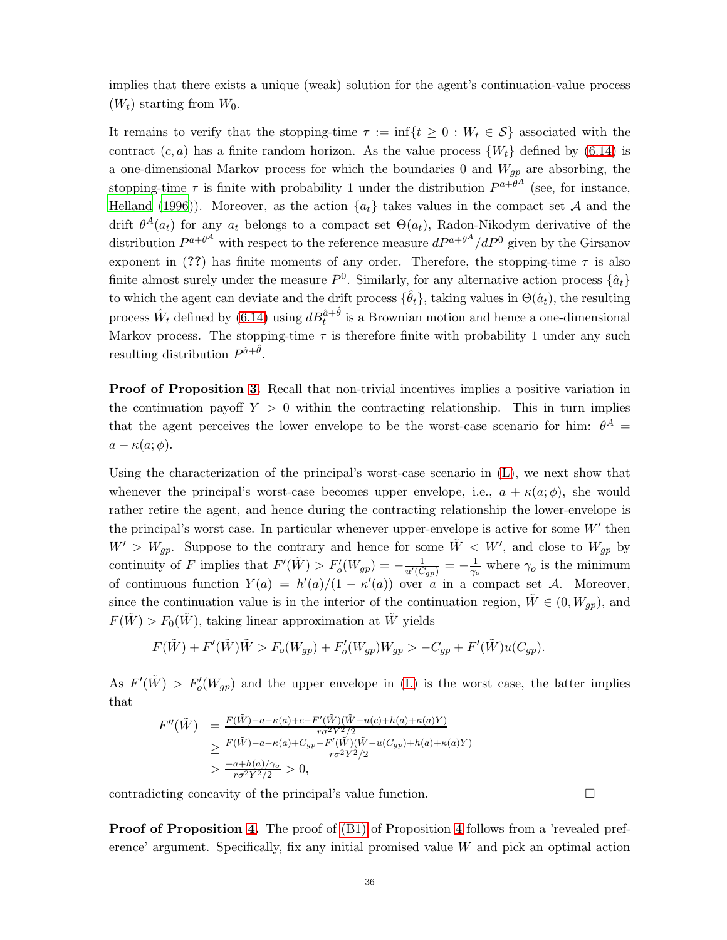implies that there exists a unique (weak) solution for the agent's continuation-value process  $(W_t)$  starting from  $W_0$ .

It remains to verify that the stopping-time  $\tau := \inf\{t \geq 0 : W_t \in \mathcal{S}\}\)$  associated with the contract  $(c, a)$  has a finite random horizon. As the value process  $\{W_t\}$  defined by [\(6.14\)](#page-34-1) is a one-dimensional Markov process for which the boundaries 0 and  $W_{gp}$  are absorbing, the stopping-time  $\tau$  is finite with probability 1 under the distribution  $P^{a+\theta^A}$  (see, for instance, [Helland \(1996](#page-47-16))). Moreover, as the action  $\{a_t\}$  takes values in the compact set A and the drift  $\theta^A(a_t)$  for any  $a_t$  belongs to a compact set  $\Theta(a_t)$ , Radon-Nikodym derivative of the distribution  $P^{a+\theta^A}$  with respect to the reference measure  $dP^{a+\theta^A}/dP^0$  given by the Girsanov exponent in (??) has finite moments of any order. Therefore, the stopping-time  $\tau$  is also finite almost surely under the measure  $P^0$ . Similarly, for any alternative action process  $\{\hat{a}_t\}$ to which the agent can deviate and the drift process  $\{\hat{\theta}_t\}$ , taking values in  $\Theta(\hat{a}_t)$ , the resulting process  $\hat{W}_t$  defined by [\(6.14\)](#page-34-1) using  $dB_t^{\hat{a}+\hat{\theta}}$  is a Brownian motion and hence a one-dimensional Markov process. The stopping-time  $\tau$  is therefore finite with probability 1 under any such resulting distribution  $P^{\hat{a}+\hat{\theta}}$ .

Proof of Proposition [3.](#page-17-0) Recall that non-trivial incentives implies a positive variation in the continuation payoff  $Y > 0$  within the contracting relationship. This in turn implies that the agent perceives the lower envelope to be the worst-case scenario for him:  $\theta^A$  =  $a - \kappa(a; \phi)$ .

Using the characterization of the principal's worst-case scenario in [\(L\)](#page-16-1), we next show that whenever the principal's worst-case becomes upper envelope, i.e.,  $a + \kappa(a; \phi)$ , she would rather retire the agent, and hence during the contracting relationship the lower-envelope is the principal's worst case. In particular whenever upper-envelope is active for some  $W'$  then  $W' > W_{gp}$ . Suppose to the contrary and hence for some  $\tilde{W} < W'$ , and close to  $W_{gp}$  by continuity of F implies that  $F'(\tilde{W}) > F'_{o}(W_{gp}) = -\frac{1}{u'(C_{gp})} = -\frac{1}{\gamma_o}$  where  $\gamma_o$  is the minimum of continuous function  $Y(a) = h'(a)/(1 - \kappa'(a))$  over a in a compact set A. Moreover, since the continuation value is in the interior of the continuation region,  $\tilde{W} \in (0, W_{qp})$ , and  $F(\tilde{W}) > F_0(\tilde{W})$ , taking linear approximation at  $\tilde{W}$  yields

$$
F(\tilde{W}) + F'(\tilde{W})\tilde{W} > F_o(W_{gp}) + F'_o(W_{gp})W_{gp} > -C_{gp} + F'(\tilde{W})u(C_{gp}).
$$

As  $F'(\tilde{W}) > F'_{o}(W_{gp})$  and the upper envelope in [\(L\)](#page-16-1) is the worst case, the latter implies that

$$
F''(\tilde{W}) = \frac{F(\tilde{W}) - a - \kappa(a) + c - F'(\tilde{W})(\tilde{W} - u(c) + h(a) + \kappa(a)Y)}{r\sigma^2 Y^2/2}
$$
  
\n
$$
\geq \frac{F(\tilde{W}) - a - \kappa(a) + C_{gp} - F'(\tilde{W})(\tilde{W} - u(C_{gp}) + h(a) + \kappa(a)Y)}{r\sigma^2 Y^2/2}
$$
  
\n
$$
> \frac{-a + h(a)/\gamma_o}{r\sigma^2 Y^2/2} > 0,
$$

contradicting concavity of the principal's value function.

Proof of Proposition [4.](#page-18-3) The proof of [\(B1\)](#page-18-1) of Proposition [4](#page-18-3) follows from a 'revealed preference' argument. Specifically, fix any initial promised value  $W$  and pick an optimal action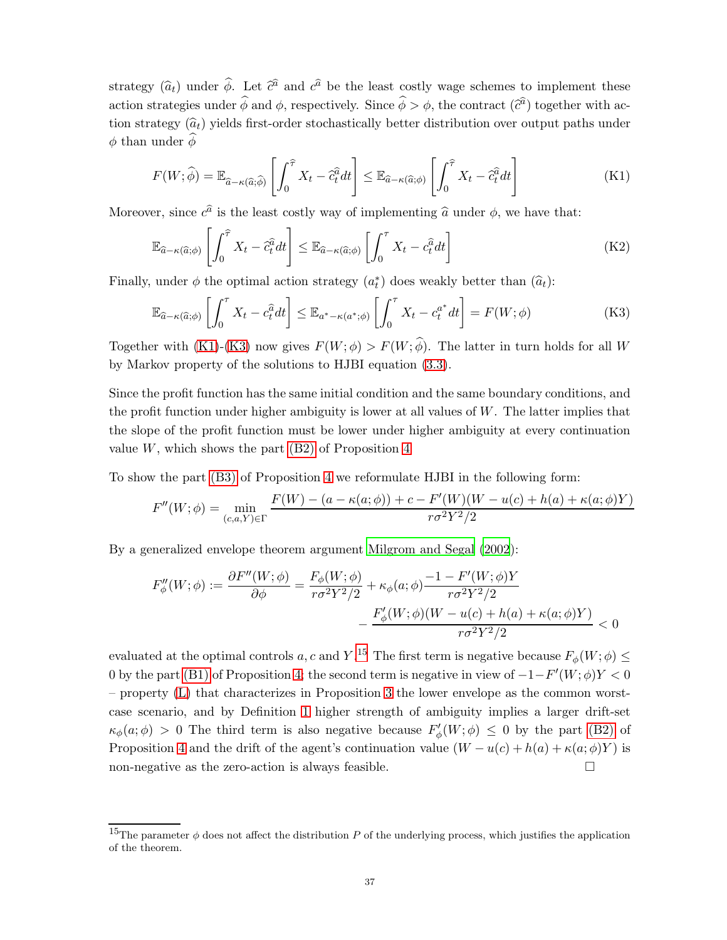strategy  $(\hat{a}_t)$  under  $\hat{\phi}$ . Let  $\hat{c}^{\hat{a}}$  and  $c^{\hat{a}}$  be the least costly wage schemes to implement these action strategies under  $\hat{\phi}$  and  $\phi$ , respectively. Since  $\hat{\phi} > \phi$ , the contract  $(\hat{c}^{\hat{a}})$  together with action strategy  $(\hat{a}_t)$  yields first-order stochastically better distribution over output paths under  $φ$  than under  $φ$ 

<span id="page-36-0"></span>
$$
F(W; \hat{\phi}) = \mathbb{E}_{\hat{a} - \kappa(\hat{a}; \hat{\phi})} \left[ \int_0^{\hat{\tau}} X_t - \hat{c}_t^{\hat{a}} dt \right] \leq \mathbb{E}_{\hat{a} - \kappa(\hat{a}; \phi)} \left[ \int_0^{\hat{\tau}} X_t - \hat{c}_t^{\hat{a}} dt \right]
$$
(K1)

Moreover, since  $c^{\hat{a}}$  is the least costly way of implementing  $\hat{a}$  under  $\phi$ , we have that:

$$
\mathbb{E}_{\widehat{a}-\kappa(\widehat{a};\phi)}\left[\int_0^{\widehat{\tau}} X_t - \widehat{c}_t^{\widehat{a}} dt\right] \leq \mathbb{E}_{\widehat{a}-\kappa(\widehat{a};\phi)}\left[\int_0^{\tau} X_t - c_t^{\widehat{a}} dt\right]
$$
(K2)

Finally, under  $\phi$  the optimal action strategy  $(a_t^*)$  does weakly better than  $(\widehat{a}_t)$ :

<span id="page-36-1"></span>
$$
\mathbb{E}_{\widehat{a}-\kappa(\widehat{a};\phi)}\left[\int_0^\tau X_t - c_t^{\widehat{a}} dt\right] \leq \mathbb{E}_{a^*-\kappa(a^*,\phi)}\left[\int_0^\tau X_t - c_t^{a^*} dt\right] = F(W;\phi)
$$
\n(K3)

Together with [\(K1\)](#page-36-0)-[\(K3\)](#page-36-1) now gives  $F(W; \phi) > F(W; \phi)$ . The latter in turn holds for all W by Markov property of the solutions to HJBI equation [\(3.3\)](#page-14-1).

Since the profit function has the same initial condition and the same boundary conditions, and the profit function under higher ambiguity is lower at all values of  $W$ . The latter implies that the slope of the profit function must be lower under higher ambiguity at every continuation value  $W$ , which shows the part  $(B2)$  of Proposition [4](#page-18-3)

To show the part [\(B3\)](#page-18-4) of Proposition [4](#page-18-3) we reformulate HJBI in the following form:

$$
F''(W; \phi) = \min_{(c, a, Y) \in \Gamma} \frac{F(W) - (a - \kappa(a; \phi)) + c - F'(W)(W - u(c) + h(a) + \kappa(a; \phi)Y)}{r\sigma^2 Y^2/2}
$$

By a generalized envelope theorem argument [Milgrom and Segal \(2002](#page-48-16)):

$$
F''_{\phi}(W;\phi) := \frac{\partial F''(W;\phi)}{\partial \phi} = \frac{F_{\phi}(W;\phi)}{r\sigma^2 Y^2/2} + \kappa_{\phi}(a;\phi)\frac{-1 - F'(W;\phi)Y}{r\sigma^2 Y^2/2} - \frac{F'_{\phi}(W;\phi)(W - u(c) + h(a) + \kappa(a;\phi)Y)}{r\sigma^2 Y^2/2} < 0
$$

evaluated at the optimal controls a, c and Y.<sup>[15](#page-36-2)</sup> The first term is negative because  $F_{\phi}(W; \phi) \leq$ 0 by the part [\(B1\)](#page-18-1) of Proposition [4;](#page-18-3) the second term is negative in view of  $-1-F'(W;\phi)Y < 0$ – property [\(L\)](#page-16-1) that characterizes in Proposition [3](#page-17-0) the lower envelope as the common worstcase scenario, and by Definition [1](#page-7-4) higher strength of ambiguity implies a larger drift-set  $\kappa_{\phi}(a;\phi) > 0$  The third term is also negative because  $F'_{\phi}(W;\phi) \leq 0$  by the part [\(B2\)](#page-18-2) of Proposition [4](#page-18-3) and the drift of the agent's continuation value  $(W - u(c) + h(a) + \kappa(a; \phi)Y)$  is non-negative as the zero-action is always feasible.  $\Box$ 

<span id="page-36-2"></span><sup>&</sup>lt;sup>15</sup>The parameter  $\phi$  does not affect the distribution P of the underlying process, which justifies the application of the theorem.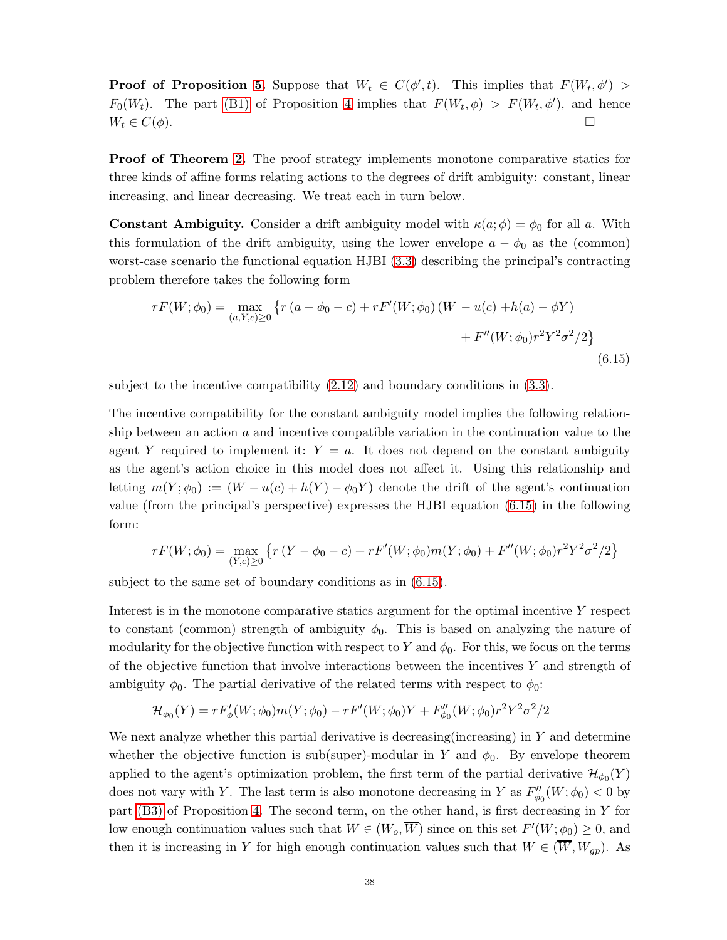**Proof of Proposition [5.](#page-19-0)** Suppose that  $W_t \in C(\phi', t)$ . This implies that  $F(W_t, \phi') >$  $F_0(W_t)$ . The part [\(B1\)](#page-18-1) of Proposition [4](#page-18-3) implies that  $F(W_t, \phi) > F(W_t, \phi')$ , and hence  $W_t \in C(\phi).$ 

**Proof of Theorem [2.](#page-20-0)** The proof strategy implements monotone comparative statics for three kinds of affine forms relating actions to the degrees of drift ambiguity: constant, linear increasing, and linear decreasing. We treat each in turn below.

**Constant Ambiguity.** Consider a drift ambiguity model with  $\kappa(a; \phi) = \phi_0$  for all a. With this formulation of the drift ambiguity, using the lower envelope  $a - \phi_0$  as the (common) worst-case scenario the functional equation HJBI [\(3.3\)](#page-14-1) describing the principal's contracting problem therefore takes the following form

<span id="page-37-0"></span>
$$
rF(W; \phi_0) = \max_{(a, Y, c) \ge 0} \left\{ r (a - \phi_0 - c) + rF'(W; \phi_0) (W - u(c) + h(a) - \phi Y) + F''(W; \phi_0) r^2 Y^2 \sigma^2 / 2 \right\}
$$
(6.15)

subject to the incentive compatibility  $(2.12)$  and boundary conditions in  $(3.3)$ .

The incentive compatibility for the constant ambiguity model implies the following relationship between an action  $a$  and incentive compatible variation in the continuation value to the agent Y required to implement it:  $Y = a$ . It does not depend on the constant ambiguity as the agent's action choice in this model does not affect it. Using this relationship and letting  $m(Y; \phi_0) := (W - u(c) + h(Y) - \phi_0 Y)$  denote the drift of the agent's continuation value (from the principal's perspective) expresses the HJBI equation [\(6.15\)](#page-37-0) in the following form:

$$
rF(W; \phi_0) = \max_{(Y, c) \ge 0} \left\{ r (Y - \phi_0 - c) + r F'(W; \phi_0) m(Y; \phi_0) + F''(W; \phi_0) r^2 Y^2 \sigma^2 / 2 \right\}
$$

subject to the same set of boundary conditions as in [\(6.15\)](#page-37-0).

Interest is in the monotone comparative statics argument for the optimal incentive Y respect to constant (common) strength of ambiguity  $\phi_0$ . This is based on analyzing the nature of modularity for the objective function with respect to Y and  $\phi_0$ . For this, we focus on the terms of the objective function that involve interactions between the incentives Y and strength of ambiguity  $\phi_0$ . The partial derivative of the related terms with respect to  $\phi_0$ :

$$
\mathcal{H}_{\phi_0}(Y) = rF'_{\phi}(W; \phi_0)m(Y; \phi_0) - rF'(W; \phi_0)Y + F''_{\phi_0}(W; \phi_0)r^2Y^2\sigma^2/2
$$

We next analyze whether this partial derivative is decreasing (increasing) in  $Y$  and determine whether the objective function is sub(super)-modular in Y and  $\phi_0$ . By envelope theorem applied to the agent's optimization problem, the first term of the partial derivative  $\mathcal{H}_{\phi_0}(Y)$ does not vary with Y. The last term is also monotone decreasing in Y as  $F''_{\phi_0}(W;\phi_0) < 0$  by part [\(B3\)](#page-18-4) of Proposition [4.](#page-18-3) The second term, on the other hand, is first decreasing in Y for low enough continuation values such that  $W \in (W_o, \overline{W})$  since on this set  $F'(W; \phi_0) \geq 0$ , and then it is increasing in Y for high enough continuation values such that  $W \in (\overline{W}, W_{gp})$ . As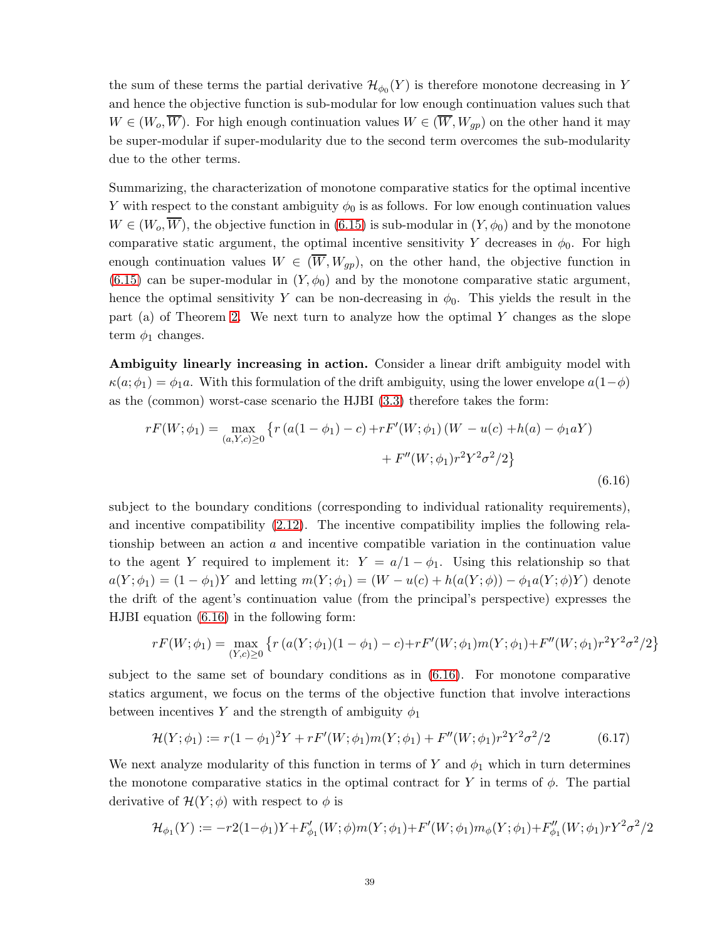the sum of these terms the partial derivative  $\mathcal{H}_{\phi_0}(Y)$  is therefore monotone decreasing in Y and hence the objective function is sub-modular for low enough continuation values such that  $W \in (W_o, \overline{W})$ . For high enough continuation values  $W \in (\overline{W}, W_{gp})$  on the other hand it may be super-modular if super-modularity due to the second term overcomes the sub-modularity due to the other terms.

Summarizing, the characterization of monotone comparative statics for the optimal incentive Y with respect to the constant ambiguity  $\phi_0$  is as follows. For low enough continuation values  $W \in (W_o, \overline{W})$ , the objective function in [\(6.15\)](#page-37-0) is sub-modular in  $(Y, \phi_0)$  and by the monotone comparative static argument, the optimal incentive sensitivity Y decreases in  $\phi_0$ . For high enough continuation values  $W \in (\overline{W}, W_{qp})$ , on the other hand, the objective function in  $(6.15)$  can be super-modular in  $(Y, \phi_0)$  and by the monotone comparative static argument, hence the optimal sensitivity Y can be non-decreasing in  $\phi_0$ . This yields the result in the part (a) of Theorem [2.](#page-20-0) We next turn to analyze how the optimal  $Y$  changes as the slope term  $\phi_1$  changes.

Ambiguity linearly increasing in action. Consider a linear drift ambiguity model with  $\kappa(a;\phi_1) = \phi_1 a$ . With this formulation of the drift ambiguity, using the lower envelope  $a(1-\phi)$ as the (common) worst-case scenario the HJBI [\(3.3\)](#page-14-1) therefore takes the form:

<span id="page-38-0"></span>
$$
rF(W; \phi_1) = \max_{(a, Y, c) \ge 0} \left\{ r (a(1 - \phi_1) - c) + rF'(W; \phi_1) (W - u(c) + h(a) - \phi_1 aY) + F''(W; \phi_1) r^2 Y^2 \sigma^2 / 2 \right\}
$$
(6.16)

subject to the boundary conditions (corresponding to individual rationality requirements), and incentive compatibility [\(2.12\)](#page-12-0). The incentive compatibility implies the following relationship between an action  $a$  and incentive compatible variation in the continuation value to the agent Y required to implement it:  $Y = a/1 - \phi_1$ . Using this relationship so that  $a(Y; \phi_1) = (1 - \phi_1)Y$  and letting  $m(Y; \phi_1) = (W - u(c) + h(a(Y; \phi)) - \phi_1 a(Y; \phi)Y)$  denote the drift of the agent's continuation value (from the principal's perspective) expresses the HJBI equation [\(6.16\)](#page-38-0) in the following form:

$$
rF(W; \phi_1) = \max_{(Y, c) \ge 0} \left\{ r \left( a(Y; \phi_1)(1 - \phi_1) - c \right) + rF'(W; \phi_1)m(Y; \phi_1) + F''(W; \phi_1)r^2Y^2\sigma^2/2 \right\}
$$

subject to the same set of boundary conditions as in [\(6.16\)](#page-38-0). For monotone comparative statics argument, we focus on the terms of the objective function that involve interactions between incentives Y and the strength of ambiguity  $\phi_1$ 

$$
\mathcal{H}(Y; \phi_1) := r(1 - \phi_1)^2 Y + rF'(W; \phi_1)m(Y; \phi_1) + F''(W; \phi_1)r^2 Y^2 \sigma^2/2 \tag{6.17}
$$

We next analyze modularity of this function in terms of Y and  $\phi_1$  which in turn determines the monotone comparative statics in the optimal contract for Y in terms of  $\phi$ . The partial derivative of  $\mathcal{H}(Y; \phi)$  with respect to  $\phi$  is

$$
\mathcal{H}_{\phi_1}(Y) := -r2(1-\phi_1)Y + F'_{\phi_1}(W;\phi)m(Y;\phi_1) + F'(W;\phi_1)m_{\phi}(Y;\phi_1) + F''_{\phi_1}(W;\phi_1)rY^2\sigma^2/2
$$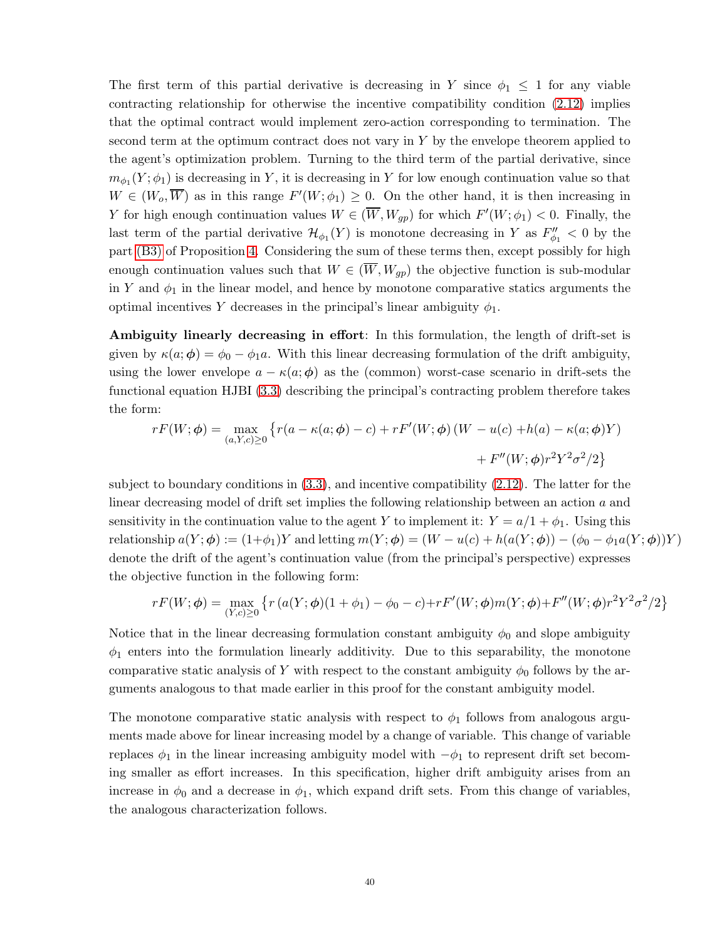The first term of this partial derivative is decreasing in Y since  $\phi_1 \leq 1$  for any viable contracting relationship for otherwise the incentive compatibility condition [\(2.12\)](#page-12-0) implies that the optimal contract would implement zero-action corresponding to termination. The second term at the optimum contract does not vary in  $Y$  by the envelope theorem applied to the agent's optimization problem. Turning to the third term of the partial derivative, since  $m_{\phi_1}(Y; \phi_1)$  is decreasing in Y, it is decreasing in Y for low enough continuation value so that  $W \in (W_o, \overline{W})$  as in this range  $F'(W; \phi_1) \geq 0$ . On the other hand, it is then increasing in Y for high enough continuation values  $W \in (\overline{W}, W_{gp})$  for which  $F'(W; \phi_1) < 0$ . Finally, the last term of the partial derivative  $\mathcal{H}_{\phi_1}(Y)$  is monotone decreasing in Y as  $F''_{\phi_1} < 0$  by the part [\(B3\)](#page-18-4) of Proposition [4.](#page-18-3) Considering the sum of these terms then, except possibly for high enough continuation values such that  $W \in (\overline{W}, W_{qp})$  the objective function is sub-modular in Y and  $\phi_1$  in the linear model, and hence by monotone comparative statics arguments the optimal incentives Y decreases in the principal's linear ambiguity  $\phi_1$ .

Ambiguity linearly decreasing in effort: In this formulation, the length of drift-set is given by  $\kappa(a; \phi) = \phi_0 - \phi_1 a$ . With this linear decreasing formulation of the drift ambiguity, using the lower envelope  $a - \kappa(a; \phi)$  as the (common) worst-case scenario in drift-sets the functional equation HJBI [\(3.3\)](#page-14-1) describing the principal's contracting problem therefore takes the form:

$$
rF(W; \phi) = \max_{(a, Y, c) \ge 0} \left\{ r(a - \kappa(a; \phi) - c) + rF'(W; \phi) (W - u(c) + h(a) - \kappa(a; \phi)Y) + F''(W; \phi)r^2 Y^2 \sigma^2 / 2 \right\}
$$

subject to boundary conditions in  $(3.3)$ , and incentive compatibility  $(2.12)$ . The latter for the linear decreasing model of drift set implies the following relationship between an action a and sensitivity in the continuation value to the agent Y to implement it:  $Y = a/1 + \phi_1$ . Using this relationship  $a(Y; \phi) := (1+\phi_1)Y$  and letting  $m(Y; \phi) = (W - u(c) + h(a(Y; \phi)) - (\phi_0 - \phi_1 a(Y; \phi))Y)$ denote the drift of the agent's continuation value (from the principal's perspective) expresses the objective function in the following form:

$$
rF(W; \phi) = \max_{(Y, c) \ge 0} \left\{ r \left( a(Y; \phi)(1 + \phi_1) - \phi_0 - c \right) + rF'(W; \phi)m(Y; \phi) + F''(W; \phi)r^2Y^2\sigma^2/2 \right\}
$$

Notice that in the linear decreasing formulation constant ambiguity  $\phi_0$  and slope ambiguity  $\phi_1$  enters into the formulation linearly additivity. Due to this separability, the monotone comparative static analysis of Y with respect to the constant ambiguity  $\phi_0$  follows by the arguments analogous to that made earlier in this proof for the constant ambiguity model.

The monotone comparative static analysis with respect to  $\phi_1$  follows from analogous arguments made above for linear increasing model by a change of variable. This change of variable replaces  $\phi_1$  in the linear increasing ambiguity model with  $-\phi_1$  to represent drift set becoming smaller as effort increases. In this specification, higher drift ambiguity arises from an increase in  $\phi_0$  and a decrease in  $\phi_1$ , which expand drift sets. From this change of variables, the analogous characterization follows.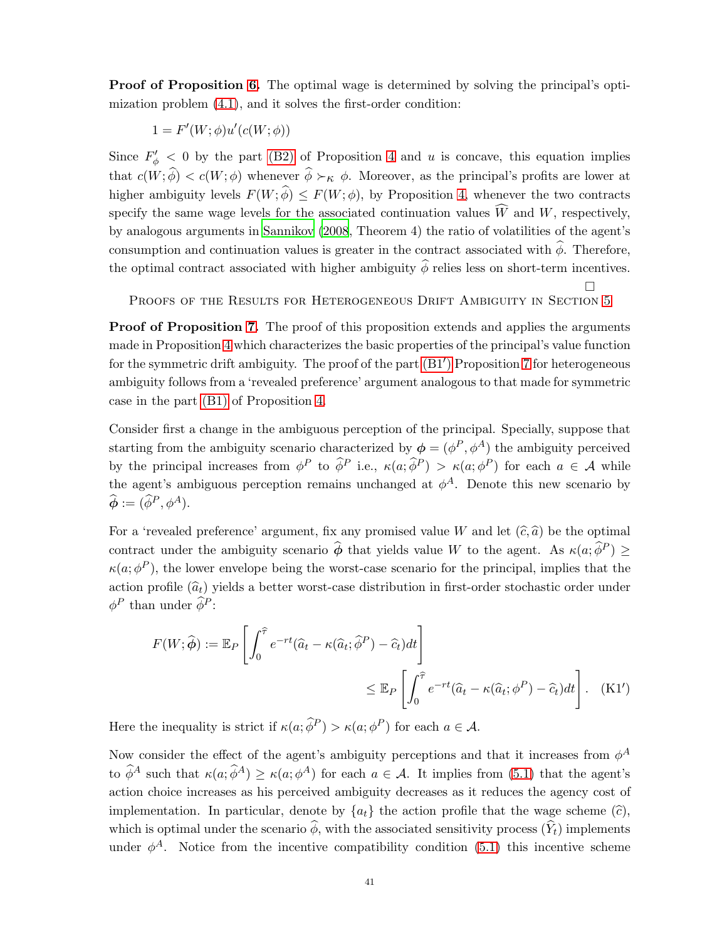**Proof of Proposition [6.](#page-22-0)** The optimal wage is determined by solving the principal's optimization problem [\(4.1\)](#page-20-1), and it solves the first-order condition:

$$
1 = F'(W; \phi)u'(c(W; \phi))
$$

Since  $F'_{\phi}$  < 0 by the part [\(B2\)](#page-18-2) of Proposition [4](#page-18-3) and u is concave, this equation implies that  $c(W; \hat{\phi}) < c(W; \phi)$  whenever  $\hat{\phi} \succ_{\kappa} \phi$ . Moreover, as the principal's profits are lower at higher ambiguity levels  $F(W; \hat{\phi}) \leq F(W; \phi)$ , by Proposition [4,](#page-18-3) whenever the two contracts specify the same wage levels for the associated continuation values  $\widehat{W}$  and W, respectively, by analogous arguments in [Sannikov \(2008](#page-48-0), Theorem 4) the ratio of volatilities of the agent's consumption and continuation values is greater in the contract associated with  $\widehat{\phi}$ . Therefore, the optimal contract associated with higher ambiguity  $\widehat{\phi}$  relies less on short-term incentives.

PROOFS OF THE RESULTS FOR HETEROGENEOUS DRIFT AMBIGUITY IN SECTION [5](#page-22-1)

<span id="page-40-0"></span> $\Box$ 

**Proof of Proposition [7.](#page-24-0)** The proof of this proposition extends and applies the arguments made in Proposition [4](#page-18-3) which characterizes the basic properties of the principal's value function for the symmetric drift ambiguity. The proof of the part  $(B1')$  Proposition [7](#page-24-0) for heterogeneous ambiguity follows from a 'revealed preference' argument analogous to that made for symmetric case in the part [\(B1\)](#page-18-1) of Proposition [4.](#page-18-3)

Consider first a change in the ambiguous perception of the principal. Specially, suppose that starting from the ambiguity scenario characterized by  $\phi = (\phi^P, \phi^A)$  the ambiguity perceived by the principal increases from  $\phi^P$  to  $\hat{\phi}^P$  i.e.,  $\kappa(a; \hat{\phi}^P) > \kappa(a; \phi^P)$  for each  $a \in \mathcal{A}$  while the agent's ambiguous perception remains unchanged at  $\phi^A$ . Denote this new scenario by  $\widehat{\boldsymbol{\phi}} := (\widehat{\phi}^P, \phi^A).$ 

For a 'revealed preference' argument, fix any promised value W and let  $(\hat{c}, \hat{a})$  be the optimal contract under the ambiguity scenario  $\hat{\phi}$  that yields value W to the agent. As  $\kappa(a; \hat{\phi}^P) \geq$  $\kappa(a; \phi^P)$ , the lower envelope being the worst-case scenario for the principal, implies that the action profile  $(\hat{a}_t)$  yields a better worst-case distribution in first-order stochastic order under  $\phi^P$  than under  $\widehat{\phi}^P$ :

$$
F(W; \hat{\phi}) := \mathbb{E}_P \left[ \int_0^{\hat{\tau}} e^{-rt} (\hat{a}_t - \kappa(\hat{a}_t; \hat{\phi}^P) - \hat{c}_t) dt \right]
$$
  

$$
\leq \mathbb{E}_P \left[ \int_0^{\hat{\tau}} e^{-rt} (\hat{a}_t - \kappa(\hat{a}_t; \phi^P) - \hat{c}_t) dt \right]. \quad (K1')
$$

Here the inequality is strict if  $\kappa(a; \widehat{\phi}^P) > \kappa(a; \phi^P)$  for each  $a \in \mathcal{A}$ .

Now consider the effect of the agent's ambiguity perceptions and that it increases from  $\phi^A$ to  $\widehat{\phi}^A$  such that  $\kappa(a; \widehat{\phi}^A) \geq \kappa(a; \phi^A)$  for each  $a \in \mathcal{A}$ . It implies from [\(5.1\)](#page-23-0) that the agent's action choice increases as his perceived ambiguity decreases as it reduces the agency cost of implementation. In particular, denote by  $\{a_t\}$  the action profile that the wage scheme  $(\hat{c})$ , which is optimal under the scenario  $\widehat{\phi}$ , with the associated sensitivity process  $(\widehat{Y}_t)$  implements under  $\phi^A$ . Notice from the incentive compatibility condition [\(5.1\)](#page-23-0) this incentive scheme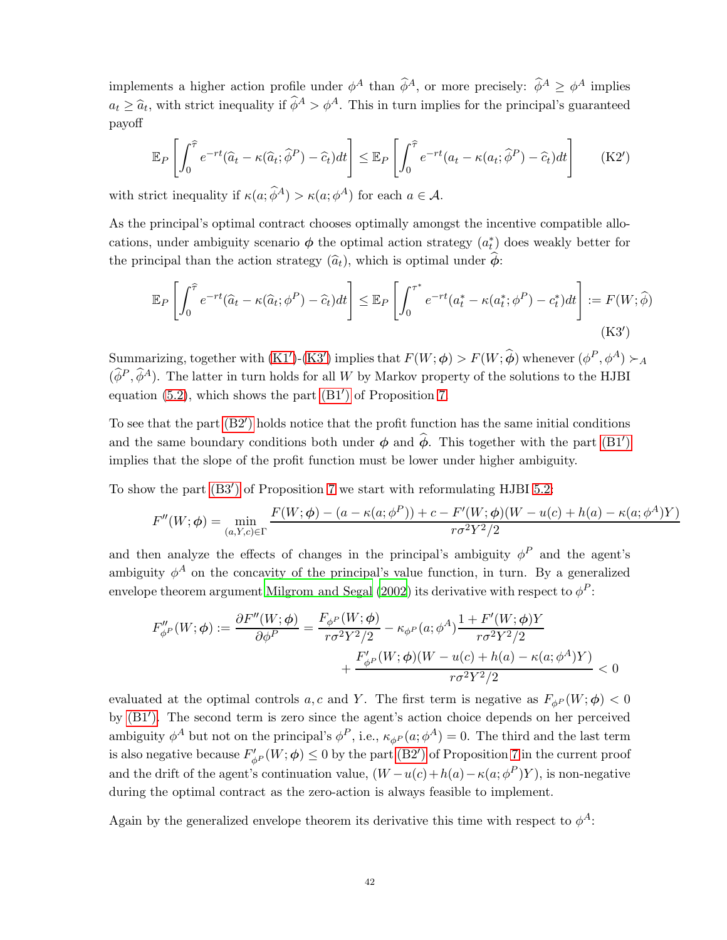implements a higher action profile under  $\phi^A$  than  $\hat{\phi}^A$ , or more precisely:  $\hat{\phi}^A \geq \phi^A$  implies  $a_t \geq \hat{a}_t$ , with strict inequality if  $\hat{\phi}^A > \phi^A$ . This in turn implies for the principal's guaranteed payoff

$$
\mathbb{E}_P\left[\int_0^{\widehat{\tau}} e^{-rt}(\widehat{a}_t - \kappa(\widehat{a}_t; \widehat{\phi}^P) - \widehat{c}_t)dt\right] \leq \mathbb{E}_P\left[\int_0^{\widehat{\tau}} e^{-rt}(a_t - \kappa(a_t; \widehat{\phi}^P) - \widehat{c}_t)dt\right]
$$
(K2')

with strict inequality if  $\kappa(a; \widehat{\phi}^A) > \kappa(a; \phi^A)$  for each  $a \in \mathcal{A}$ .

As the principal's optimal contract chooses optimally amongst the incentive compatible allocations, under ambiguity scenario  $\phi$  the optimal action strategy  $(a_t^*)$  does weakly better for the principal than the action strategy  $(\widehat{a}_t)$ , which is optimal under  $\widehat{\phi}$ :

<span id="page-41-0"></span>
$$
\mathbb{E}_P\left[\int_0^{\widehat{\tau}} e^{-rt}(\widehat{a}_t - \kappa(\widehat{a}_t; \phi^P) - \widehat{c}_t)dt\right] \leq \mathbb{E}_P\left[\int_0^{\tau^*} e^{-rt}(a_t^* - \kappa(a_t^*; \phi^P) - c_t^*)dt\right] := F(W; \widehat{\phi})
$$
\n(K3')

Summarizing, together with  $(K1')-(K3')$  $(K1')-(K3')$  $(K1')-(K3')$  implies that  $F(W; \phi) > F(W; \hat{\phi})$  whenever  $(\phi^P, \phi^A) \succ_A$  $(\widehat{\phi}^P, \widehat{\phi}^A)$ . The latter in turn holds for all W by Markov property of the solutions to the HJBI equation [\(5.2\)](#page-23-1), which shows the part [\(B1](#page-24-1)′ ) of Proposition [7.](#page-24-0)

To see that the part [\(B2](#page-24-2)′ ) holds notice that the profit function has the same initial conditions and the same boundary conditions both under  $\phi$  and  $\hat{\phi}$ . This together with the part [\(B1](#page-24-1)') implies that the slope of the profit function must be lower under higher ambiguity.

To show the part [\(B3](#page-24-3)′ ) of Proposition [7](#page-24-0) we start with reformulating HJBI [5.2:](#page-23-1)

$$
F''(W; \phi) = \min_{(a, Y, c) \in \Gamma} \frac{F(W; \phi) - (a - \kappa(a; \phi^P)) + c - F'(W; \phi)(W - u(c) + h(a) - \kappa(a; \phi^A)Y)}{r \sigma^2 Y^2 / 2}
$$

and then analyze the effects of changes in the principal's ambiguity  $\phi^P$  and the agent's ambiguity  $\phi^A$  on the concavity of the principal's value function, in turn. By a generalized envelope theorem argument [Milgrom and Segal \(2002](#page-48-16)) its derivative with respect to  $\phi^P$ :

$$
F''_{\phi^P}(W; \phi) := \frac{\partial F''(W; \phi)}{\partial \phi^P} = \frac{F_{\phi^P}(W; \phi)}{r \sigma^2 Y^2 / 2} - \kappa_{\phi^P}(a; \phi^A) \frac{1 + F'(W; \phi)Y}{r \sigma^2 Y^2 / 2} + \frac{F'_{\phi^P}(W; \phi)(W - u(c) + h(a) - \kappa(a; \phi^A)Y)}{r \sigma^2 Y^2 / 2} < 0
$$

evaluated at the optimal controls a, c and Y. The first term is negative as  $F_{\phi P}(W; \phi) < 0$ by [\(B1](#page-24-1)′ ). The second term is zero since the agent's action choice depends on her perceived ambiguity  $\phi^A$  but not on the principal's  $\phi^P$ , i.e.,  $\kappa_{\phi^P}(a; \phi^A) = 0$ . The third and the last term is also negative because  $F'_{\phi^P}(W;\phi) \leq 0$  by the part [\(B2](#page-24-2)') of Proposition [7](#page-24-0) in the current proof and the drift of the agent's continuation value,  $(W - u(c) + h(a) - \kappa(a; \phi^P)Y)$ , is non-negative during the optimal contract as the zero-action is always feasible to implement.

Again by the generalized envelope theorem its derivative this time with respect to  $\phi^A$ :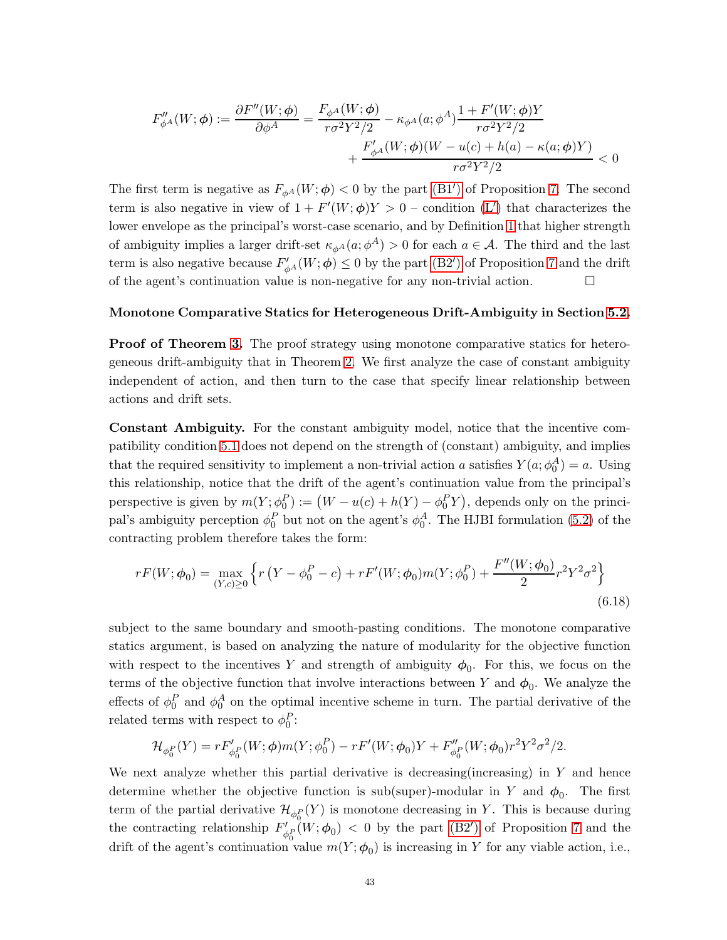$$
F''_{\phi^A}(W;\phi) := \frac{\partial F''(W;\phi)}{\partial \phi^A} = \frac{F_{\phi^A}(W;\phi)}{r\sigma^2 Y^2/2} - \kappa_{\phi^A}(a;\phi^A) \frac{1 + F'(W;\phi)Y}{r\sigma^2 Y^2/2} + \frac{F'_{\phi^A}(W;\phi)(W - u(c) + h(a) - \kappa(a;\phi)Y)}{r\sigma^2 Y^2/2} < 0
$$

The first term is negative as  $F_{\phi^A}(W;\phi) < 0$  by the part [\(B1](#page-24-1)') of Proposition [7.](#page-24-0) The second term is also negative in view of  $1 + F'(W; \phi)Y > 0$  – condition [\(L](#page-23-2)') that characterizes the lower envelope as the principal's worst-case scenario, and by Definition [1](#page-7-4) that higher strength of ambiguity implies a larger drift-set  $\kappa_{\phi^A}(a; \phi^A) > 0$  for each  $a \in \mathcal{A}$ . The third and the last term is also negative because  $F'_{\phi^A}(W; \phi) \leq 0$  by the part [\(B2](#page-24-2)') of Proposition [7](#page-24-0) and the drift of the agent's continuation value is non-negative for any non-trivial action.  $\Box$ 

### Monotone Comparative Statics for Heterogeneous Drift-Ambiguity in Section [5.2.](#page-24-4)

**Proof of Theorem [3.](#page-25-0)** The proof strategy using monotone comparative statics for heterogeneous drift-ambiguity that in Theorem [2.](#page-20-0) We first analyze the case of constant ambiguity independent of action, and then turn to the case that specify linear relationship between actions and drift sets.

Constant Ambiguity. For the constant ambiguity model, notice that the incentive compatibility condition [5.1](#page-23-0) does not depend on the strength of (constant) ambiguity, and implies that the required sensitivity to implement a non-trivial action a satisfies  $Y(a; \phi_0^A) = a$ . Using this relationship, notice that the drift of the agent's continuation value from the principal's perspective is given by  $m(Y; \phi_0^P) := (W - u(c) + h(Y) - \phi_0^P Y)$ , depends only on the principal's ambiguity perception  $\phi_0^P$  but not on the agent's  $\phi_0^A$ . The HJBI formulation [\(5.2\)](#page-23-1) of the contracting problem therefore takes the form:

<span id="page-42-0"></span>
$$
rF(W; \phi_0) = \max_{(Y, c) \ge 0} \left\{ r \left( Y - \phi_0^P - c \right) + rF'(W; \phi_0) m(Y; \phi_0^P) + \frac{F''(W; \phi_0)}{2} r^2 Y^2 \sigma^2 \right\}
$$
\n(6.18)

subject to the same boundary and smooth-pasting conditions. The monotone comparative statics argument, is based on analyzing the nature of modularity for the objective function with respect to the incentives Y and strength of ambiguity  $\phi_0$ . For this, we focus on the terms of the objective function that involve interactions between Y and  $\phi_0$ . We analyze the effects of  $\phi_0^P$  and  $\phi_0^A$  on the optimal incentive scheme in turn. The partial derivative of the related terms with respect to  $\phi_0^P$ :

$$
\mathcal{H}_{\phi_0^P}(Y) = rF'_{\phi_0^P}(W;\phi)m(Y;\phi_0^P) - rF'(W;\phi_0)Y + F''_{\phi_0^P}(W;\phi_0)r^2Y^2\sigma^2/2.
$$

We next analyze whether this partial derivative is decreasing (increasing) in  $Y$  and hence determine whether the objective function is sub(super)-modular in Y and  $\phi_0$ . The first term of the partial derivative  $\mathcal{H}_{\phi_0^P}(Y)$  is monotone decreasing in Y. This is because during the contracting relationship  $F'_{\lambda}$  $\psi'_{\phi_0}(W;\phi_0)$  < 0 by the part [\(B2](#page-24-2)') of Proposition [7](#page-24-0) and the drift of the agent's continuation value  $m(Y; \phi_0)$  is increasing in Y for any viable action, i.e.,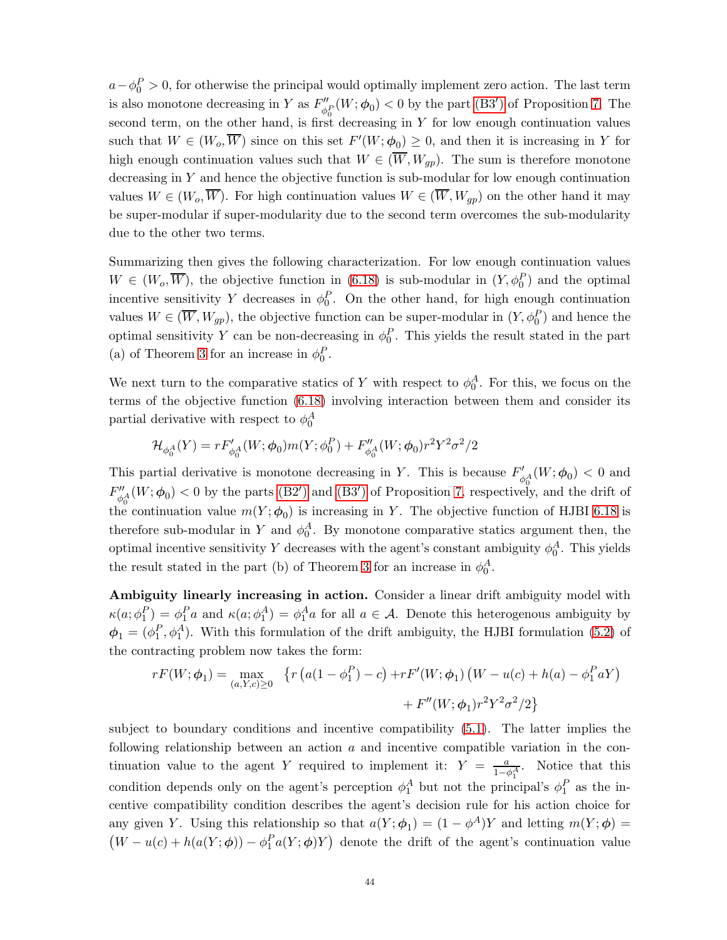$a-\phi_0^P > 0$ , for otherwise the principal would optimally implement zero action. The last term is also monotone decreasing in Y as  $F''_{\phi}$  $\psi_{\theta_0}^{\prime\prime}(W;\phi_0) < 0$  by the part [\(B3](#page-24-3)') of Proposition [7.](#page-24-0) The second term, on the other hand, is first decreasing in Y for low enough continuation values such that  $W \in (W_o, \overline{W})$  since on this set  $F'(W; \phi_0) \geq 0$ , and then it is increasing in Y for high enough continuation values such that  $W \in (\overline{W}, W_{qp})$ . The sum is therefore monotone decreasing in  $Y$  and hence the objective function is sub-modular for low enough continuation values  $W \in (W_o, \overline{W})$ . For high continuation values  $W \in (\overline{W}, W_{gp})$  on the other hand it may be super-modular if super-modularity due to the second term overcomes the sub-modularity due to the other two terms.

Summarizing then gives the following characterization. For low enough continuation values  $W \in (W_o, \overline{W})$ , the objective function in [\(6.18\)](#page-42-0) is sub-modular in  $(Y, \phi_0^P)$  and the optimal incentive sensitivity Y decreases in  $\phi_0^P$ . On the other hand, for high enough continuation values  $W \in (\overline{W}, W_{gp})$ , the objective function can be super-modular in  $(Y, \phi_0^P)$  and hence the optimal sensitivity Y can be non-decreasing in  $\phi_0^P$ . This yields the result stated in the part (a) of Theorem [3](#page-25-0) for an increase in  $\phi_0^P$ .

We next turn to the comparative statics of Y with respect to  $\phi_0^A$ . For this, we focus on the terms of the objective function [\(6.18\)](#page-42-0) involving interaction between them and consider its partial derivative with respect to  $\phi_0^A$ 

$$
\mathcal{H}_{\phi_0^A}(Y)=rF'_{\phi_0^A}(W;\phi_0)m(Y;\phi_0^P)+F''_{\phi_0^A}(W;\phi_0)r^2Y^2\sigma^2/2
$$

This partial derivative is monotone decreasing in Y. This is because  $F'_{\phi_0^A}(W;\phi_0) < 0$  and  $F''_{\phi_0} (W; \phi_0) < 0$  by the parts [\(B2](#page-24-2)') and [\(B3](#page-24-3)') of Proposition [7,](#page-24-0) respectively, and the drift of the continuation value  $m(Y; \phi_0)$  is increasing in Y. The objective function of HJBI [6.18](#page-42-0) is therefore sub-modular in Y and  $\phi_0^A$ . By monotone comparative statics argument then, the optimal incentive sensitivity Y decreases with the agent's constant ambiguity  $\phi_0^A$ . This yields the result stated in the part (b) of Theorem [3](#page-25-0) for an increase in  $\phi_0^A$ .

Ambiguity linearly increasing in action. Consider a linear drift ambiguity model with  $\kappa(a;\phi_1^P) = \phi_1^P a$  and  $\kappa(a;\phi_1^A) = \phi_1^A a$  for all  $a \in \mathcal{A}$ . Denote this heterogenous ambiguity by  $\phi_1 = (\phi_1^P, \phi_1^A)$ . With this formulation of the drift ambiguity, the HJBI formulation [\(5.2\)](#page-23-1) of the contracting problem now takes the form:

$$
rF(W; \phi_1) = \max_{(a, Y, c) \ge 0} \{ r (a(1 - \phi_1^P) - c) + rF'(W; \phi_1) (W - u(c) + h(a) - \phi_1^P aY) + F''(W; \phi_1) r^2 Y^2 \sigma^2 / 2 \}
$$

subject to boundary conditions and incentive compatibility [\(5.1\)](#page-23-0). The latter implies the following relationship between an action  $a$  and incentive compatible variation in the continuation value to the agent Y required to implement it:  $Y = \frac{a}{1-\phi_1^A}$ . Notice that this condition depends only on the agent's perception  $\phi_1^A$  but not the principal's  $\phi_1^P$  as the incentive compatibility condition describes the agent's decision rule for his action choice for any given Y. Using this relationship so that  $a(Y; \phi_1) = (1 - \phi^A)Y$  and letting  $m(Y; \phi) =$  $(W - u(c) + h(a(Y; \phi)) - \phi_1^P a(Y; \phi) Y)$  denote the drift of the agent's continuation value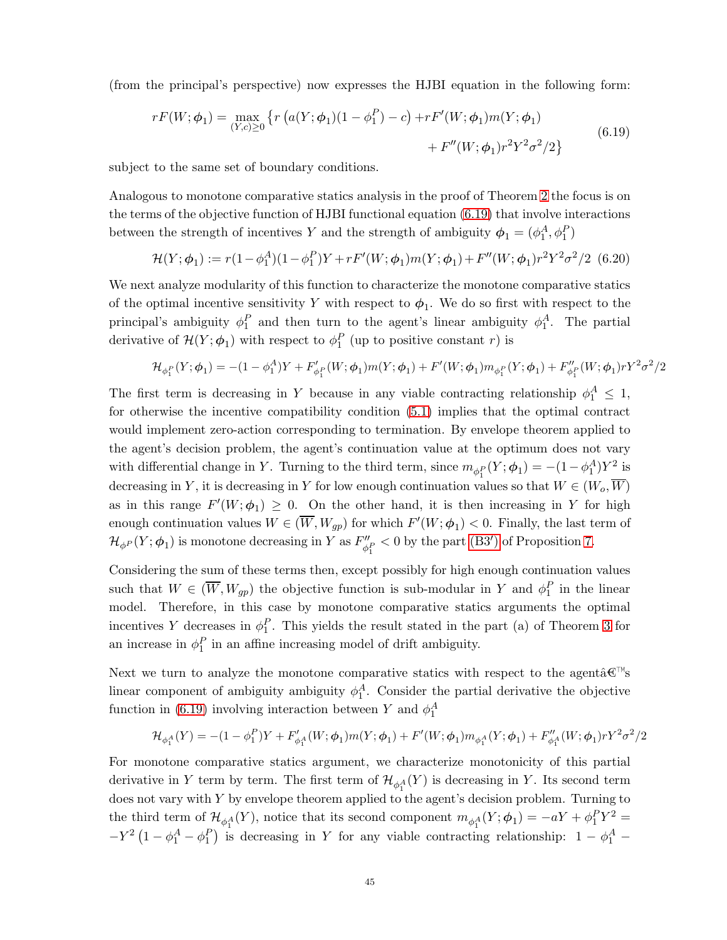<span id="page-44-0"></span>(from the principal's perspective) now expresses the HJBI equation in the following form:

$$
rF(W; \phi_1) = \max_{(Y, c) \ge 0} \left\{ r \left( a(Y; \phi_1)(1 - \phi_1^P) - c \right) + rF'(W; \phi_1)m(Y; \phi_1) + F''(W; \phi_1)r^2 Y^2 \sigma^2 / 2 \right\}
$$
(6.19)

subject to the same set of boundary conditions.

Analogous to monotone comparative statics analysis in the proof of Theorem [2](#page-20-0) the focus is on the terms of the objective function of HJBI functional equation [\(6.19\)](#page-44-0) that involve interactions between the strength of incentives Y and the strength of ambiguity  $\phi_1 = (\phi_1^A, \phi_1^P)$ 

$$
\mathcal{H}(Y; \phi_1) := r(1 - \phi_1^A)(1 - \phi_1^P)Y + rF'(W; \phi_1)m(Y; \phi_1) + F''(W; \phi_1)r^2Y^2\sigma^2/2
$$
 (6.20)

We next analyze modularity of this function to characterize the monotone comparative statics of the optimal incentive sensitivity Y with respect to  $\phi_1$ . We do so first with respect to the principal's ambiguity  $\phi_1^P$  and then turn to the agent's linear ambiguity  $\phi_1^A$ . The partial derivative of  $\mathcal{H}(Y; \phi_1)$  with respect to  $\phi_1^P$  (up to positive constant r) is

$$
\mathcal{H}_{\phi_1^P}(Y;\phi_1)=-(1-\phi_1^A)Y+F'_{\phi_1^P}(W;\phi_1)m(Y;\phi_1)+F'(W;\phi_1)m_{\phi_1^P}(Y;\phi_1)+F''_{\phi_1^P}(W;\phi_1)rY^2\sigma^2/2
$$

The first term is decreasing in Y because in any viable contracting relationship  $\phi_1^A \leq 1$ , for otherwise the incentive compatibility condition [\(5.1\)](#page-23-0) implies that the optimal contract would implement zero-action corresponding to termination. By envelope theorem applied to the agent's decision problem, the agent's continuation value at the optimum does not vary with differential change in Y. Turning to the third term, since  $m_{\phi_1^P}(Y; \phi_1) = -(1 - \phi_1^A)Y^2$  is decreasing in Y, it is decreasing in Y for low enough continuation values so that  $W \in (W_o, \overline{W})$ as in this range  $F'(W; \phi_1) \geq 0$ . On the other hand, it is then increasing in Y for high enough continuation values  $W \in (\overline{W}, W_{gp})$  for which  $F'(W; \phi_1) < 0$ . Finally, the last term of  $\mathcal{H}_{\phi^P}(Y;\boldsymbol{\phi}_1)$  is monotone decreasing in Y as  $F''_{\phi^P}$  $\frac{dP}{dt}$  < 0 by the part [\(B3](#page-24-3)') of Proposition [7.](#page-24-0)

Considering the sum of these terms then, except possibly for high enough continuation values such that  $W \in (\overline{W}, W_{gp})$  the objective function is sub-modular in Y and  $\phi_1^P$  in the linear model. Therefore, in this case by monotone comparative statics arguments the optimal incentives Y decreases in  $\phi_1^P$ . This yields the result stated in the part (a) of Theorem [3](#page-25-0) for an increase in  $\phi_1^P$  in an affine increasing model of drift ambiguity.

Next we turn to analyze the monotone comparative statics with respect to the agentâ $\mathbb{C}^{\mathbb{N}}$ s linear component of ambiguity ambiguity  $\phi_1^A$ . Consider the partial derivative the objective function in [\(6.19\)](#page-44-0) involving interaction between Y and  $\phi_1^A$ 

$$
\mathcal{H}_{\phi_1^A}(Y) = -(1-\phi_1^P)Y + F'_{\phi_1^A}(W;\phi_1)m(Y;\phi_1) + F'(W;\phi_1)m_{\phi_1^A}(Y;\phi_1) + F''_{\phi_1^A}(W;\phi_1)rY^2\sigma^2/2
$$

For monotone comparative statics argument, we characterize monotonicity of this partial derivative in Y term by term. The first term of  $\mathcal{H}_{\phi_1^A}(Y)$  is decreasing in Y. Its second term does not vary with Y by envelope theorem applied to the agent's decision problem. Turning to the third term of  $\mathcal{H}_{\phi_1^A}(Y)$ , notice that its second component  $m_{\phi_1^A}(Y;\phi_1) = -aY + \phi_1^PY^2 =$  $-Y^2(1-\phi_1^A-\phi_1^P)$  is decreasing in Y for any viable contracting relationship:  $1-\phi_1^A$  –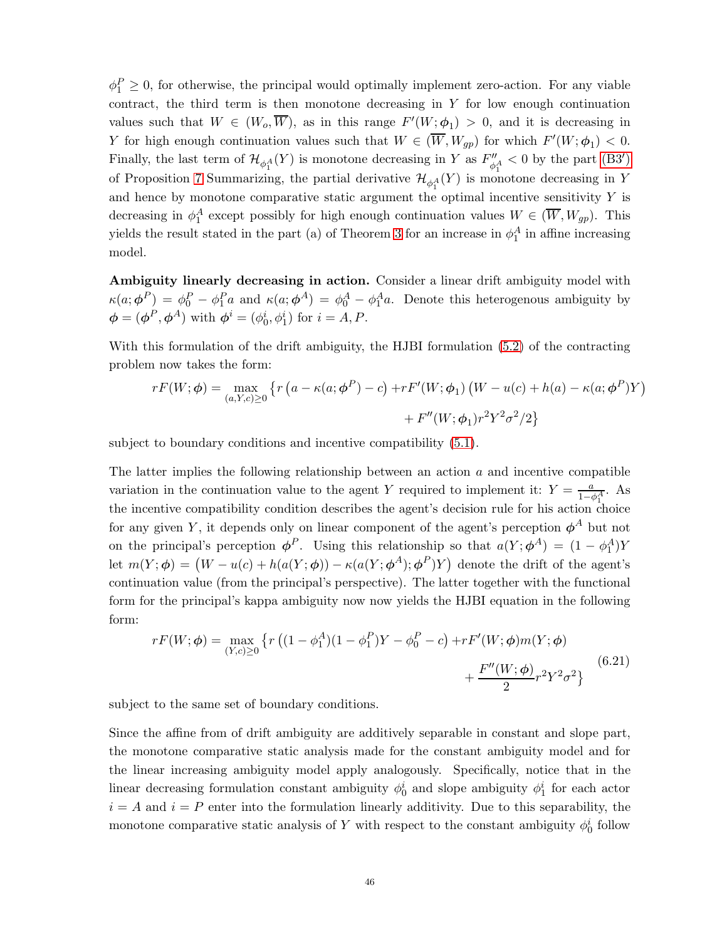$\phi_1^P \geq 0$ , for otherwise, the principal would optimally implement zero-action. For any viable contract, the third term is then monotone decreasing in Y for low enough continuation values such that  $W \in (W_o, \overline{W})$ , as in this range  $F'(W; \phi_1) > 0$ , and it is decreasing in Y for high enough continuation values such that  $W \in (\overline{W}, W_{gp})$  for which  $F'(W; \phi_1) < 0$ . Finally, the last term of  $\mathcal{H}_{\phi_1^A}(Y)$  is monotone decreasing in Y as  $F''_{\phi_1^A} < 0$  by the part [\(B3](#page-24-3)') of Proposition [7](#page-24-0) Summarizing, the partial derivative  $\mathcal{H}_{\phi_1^A}(Y)$  is monotone decreasing in Y and hence by monotone comparative static argument the optimal incentive sensitivity  $Y$  is decreasing in  $\phi_1^A$  except possibly for high enough continuation values  $W \in (\overline{W}, W_{gp})$ . This yields the result stated in the part (a) of Theorem [3](#page-25-0) for an increase in  $\phi_1^A$  in affine increasing model.

Ambiguity linearly decreasing in action. Consider a linear drift ambiguity model with  $\kappa(a;\phi^P) = \phi_0^P - \phi_1^P a$  and  $\kappa(a;\phi^A) = \phi_0^A - \phi_1^A a$ . Denote this heterogenous ambiguity by  $\boldsymbol{\phi} = (\boldsymbol{\phi}^P, \boldsymbol{\phi}^A)$  with  $\boldsymbol{\phi}^i = (\phi_0^i, \phi_1^i)$  for  $i = A, P$ .

With this formulation of the drift ambiguity, the HJBI formulation [\(5.2\)](#page-23-1) of the contracting problem now takes the form:

$$
rF(W; \phi) = \max_{(a, Y, c) \ge 0} \left\{ r \left( a - \kappa(a; \phi^P) - c \right) + rF'(W; \phi_1) \left( W - u(c) + h(a) - \kappa(a; \phi^P)Y \right) + F''(W; \phi_1) r^2 Y^2 \sigma^2 / 2 \right\}
$$

subject to boundary conditions and incentive compatibility [\(5.1\)](#page-23-0).

The latter implies the following relationship between an action  $a$  and incentive compatible variation in the continuation value to the agent Y required to implement it:  $Y = \frac{a}{1-\phi_1^A}$ . As the incentive compatibility condition describes the agent's decision rule for his action choice for any given Y, it depends only on linear component of the agent's perception  $\phi^A$  but not on the principal's perception  $\phi^P$ . Using this relationship so that  $a(Y; \phi^A) = (1 - \phi_1^A)Y$ let  $m(Y;\phi) = (W - u(c) + h(a(Y;\phi)) - \kappa(a(Y;\phi^A);\phi^P)Y)$  denote the drift of the agent's continuation value (from the principal's perspective). The latter together with the functional form for the principal's kappa ambiguity now now yields the HJBI equation in the following form:

$$
rF(W; \phi) = \max_{(Y, c) \ge 0} \left\{ r \left( (1 - \phi_1^A)(1 - \phi_1^P)Y - \phi_0^P - c \right) + rF'(W; \phi)m(Y; \phi) + \frac{F''(W; \phi)}{2} r^2 Y^2 \sigma^2 \right\}
$$
(6.21)

subject to the same set of boundary conditions.

Since the affine from of drift ambiguity are additively separable in constant and slope part, the monotone comparative static analysis made for the constant ambiguity model and for the linear increasing ambiguity model apply analogously. Specifically, notice that in the linear decreasing formulation constant ambiguity  $\phi_0^i$  and slope ambiguity  $\phi_1^i$  for each actor  $i = A$  and  $i = P$  enter into the formulation linearly additivity. Due to this separability, the monotone comparative static analysis of Y with respect to the constant ambiguity  $\phi_0^i$  follow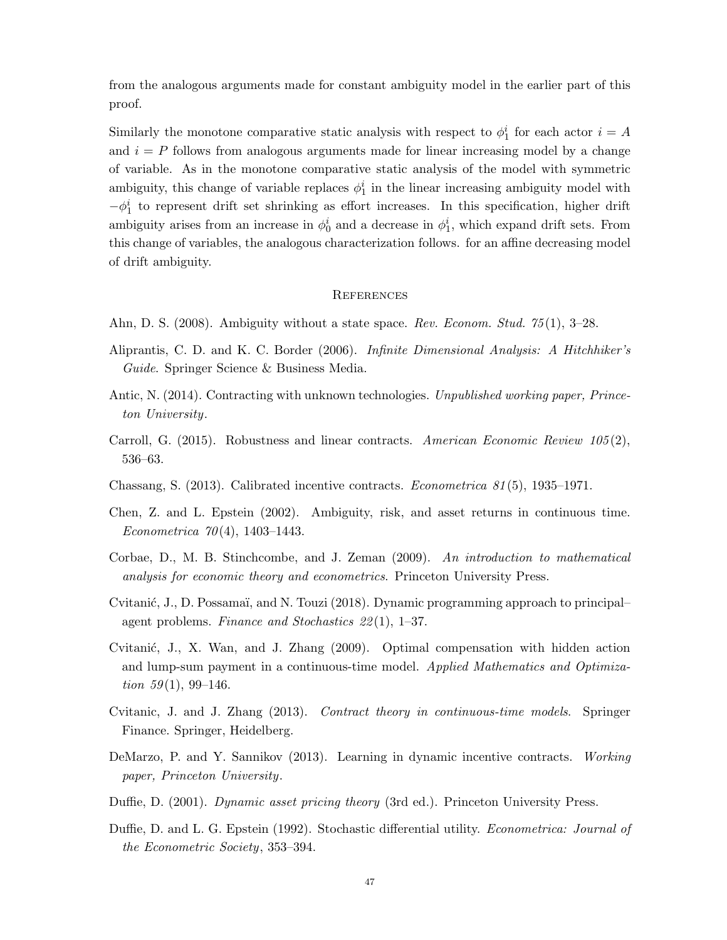from the analogous arguments made for constant ambiguity model in the earlier part of this proof.

Similarly the monotone comparative static analysis with respect to  $\phi_1^i$  for each actor  $i = A$ and  $i = P$  follows from analogous arguments made for linear increasing model by a change of variable. As in the monotone comparative static analysis of the model with symmetric ambiguity, this change of variable replaces  $\phi_1^i$  in the linear increasing ambiguity model with  $-\phi_1^i$  to represent drift set shrinking as effort increases. In this specification, higher drift ambiguity arises from an increase in  $\phi_0^i$  and a decrease in  $\phi_1^i$ , which expand drift sets. From this change of variables, the analogous characterization follows. for an affine decreasing model of drift ambiguity.

# **REFERENCES**

- <span id="page-46-8"></span>Ahn, D. S. (2008). Ambiguity without a state space. Rev. Econom. Stud. 75(1), 3–28.
- <span id="page-46-11"></span>Aliprantis, C. D. and K. C. Border (2006). Infinite Dimensional Analysis: A Hitchhiker's Guide. Springer Science & Business Media.
- <span id="page-46-4"></span>Antic, N. (2014). Contracting with unknown technologies. Unpublished working paper, Princeton University.
- <span id="page-46-5"></span>Carroll, G. (2015). Robustness and linear contracts. American Economic Review 105(2), 536–63.
- <span id="page-46-3"></span>Chassang, S. (2013). Calibrated incentive contracts. *Econometrica 81*(5), 1935–1971.
- <span id="page-46-0"></span>Chen, Z. and L. Epstein (2002). Ambiguity, risk, and asset returns in continuous time. Econometrica 70(4), 1403–1443.
- <span id="page-46-10"></span>Corbae, D., M. B. Stinchcombe, and J. Zeman (2009). An introduction to mathematical analysis for economic theory and econometrics. Princeton University Press.
- <span id="page-46-7"></span>Cvitanić, J., D. Possamaï, and N. Touzi (2018). Dynamic programming approach to principal– agent problems. Finance and Stochastics 22(1), 1–37.
- <span id="page-46-1"></span>Cvitanić, J., X. Wan, and J. Zhang (2009). Optimal compensation with hidden action and lump-sum payment in a continuous-time model. Applied Mathematics and Optimization  $59(1)$ , 99-146.
- <span id="page-46-6"></span>Cvitanic, J. and J. Zhang (2013). Contract theory in continuous-time models. Springer Finance. Springer, Heidelberg.
- <span id="page-46-2"></span>DeMarzo, P. and Y. Sannikov (2013). Learning in dynamic incentive contracts. Working paper, Princeton University.
- <span id="page-46-9"></span>Duffie, D. (2001). Dynamic asset pricing theory (3rd ed.). Princeton University Press.
- <span id="page-46-12"></span>Duffie, D. and L. G. Epstein (1992). Stochastic differential utility. *Econometrica: Journal of* the Econometric Society, 353–394.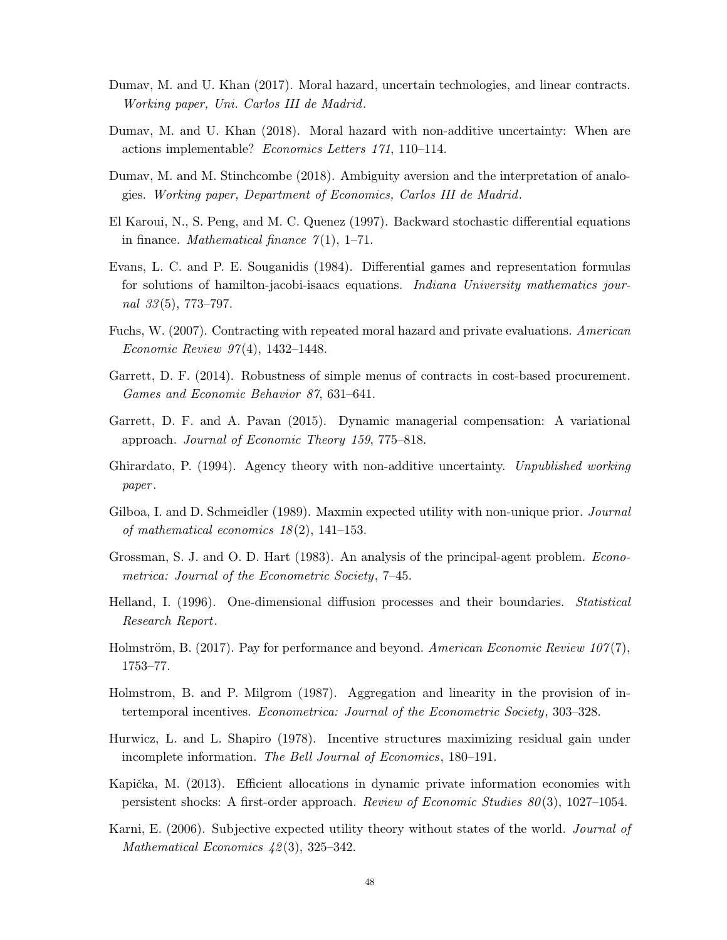- <span id="page-47-8"></span>Dumav, M. and U. Khan (2017). Moral hazard, uncertain technologies, and linear contracts. Working paper, Uni. Carlos III de Madrid.
- <span id="page-47-9"></span>Dumav, M. and U. Khan (2018). Moral hazard with non-additive uncertainty: When are actions implementable? Economics Letters 171, 110–114.
- <span id="page-47-14"></span>Dumav, M. and M. Stinchcombe (2018). Ambiguity aversion and the interpretation of analogies. Working paper, Department of Economics, Carlos III de Madrid.
- <span id="page-47-15"></span>El Karoui, N., S. Peng, and M. C. Quenez (1997). Backward stochastic differential equations in finance. *Mathematical finance*  $\gamma(1)$ , 1–71.
- <span id="page-47-11"></span>Evans, L. C. and P. E. Souganidis (1984). Differential games and representation formulas for solutions of hamilton-jacobi-isaacs equations. *Indiana University mathematics jour*nal  $33(5)$ , 773–797.
- <span id="page-47-3"></span>Fuchs, W. (2007). Contracting with repeated moral hazard and private evaluations. American Economic Review 97(4), 1432–1448.
- <span id="page-47-7"></span>Garrett, D. F. (2014). Robustness of simple menus of contracts in cost-based procurement. Games and Economic Behavior 87, 631–641.
- <span id="page-47-5"></span>Garrett, D. F. and A. Pavan (2015). Dynamic managerial compensation: A variational approach. Journal of Economic Theory 159, 775–818.
- <span id="page-47-10"></span>Ghirardato, P. (1994). Agency theory with non-additive uncertainty. Unpublished working paper .
- <span id="page-47-12"></span>Gilboa, I. and D. Schmeidler (1989). Maxmin expected utility with non-unique prior. *Journal* of mathematical economics 18(2), 141–153.
- <span id="page-47-0"></span>Grossman, S. J. and O. D. Hart (1983). An analysis of the principal-agent problem. Econometrica: Journal of the Econometric Society, 7–45.
- <span id="page-47-16"></span>Helland, I. (1996). One-dimensional diffusion processes and their boundaries. Statistical Research Report.
- <span id="page-47-1"></span>Holmström, B. (2017). Pay for performance and beyond. American Economic Review 107(7), 1753–77.
- <span id="page-47-2"></span>Holmstrom, B. and P. Milgrom (1987). Aggregation and linearity in the provision of intertemporal incentives. Econometrica: Journal of the Econometric Society, 303–328.
- <span id="page-47-6"></span>Hurwicz, L. and L. Shapiro (1978). Incentive structures maximizing residual gain under incomplete information. The Bell Journal of Economics, 180–191.
- <span id="page-47-4"></span>Kapička, M. (2013). Efficient allocations in dynamic private information economies with persistent shocks: A first-order approach. Review of Economic Studies 80(3), 1027–1054.
- <span id="page-47-13"></span>Karni, E. (2006). Subjective expected utility theory without states of the world. *Journal of* Mathematical Economics  $\frac{42(3)}{325-342}$ .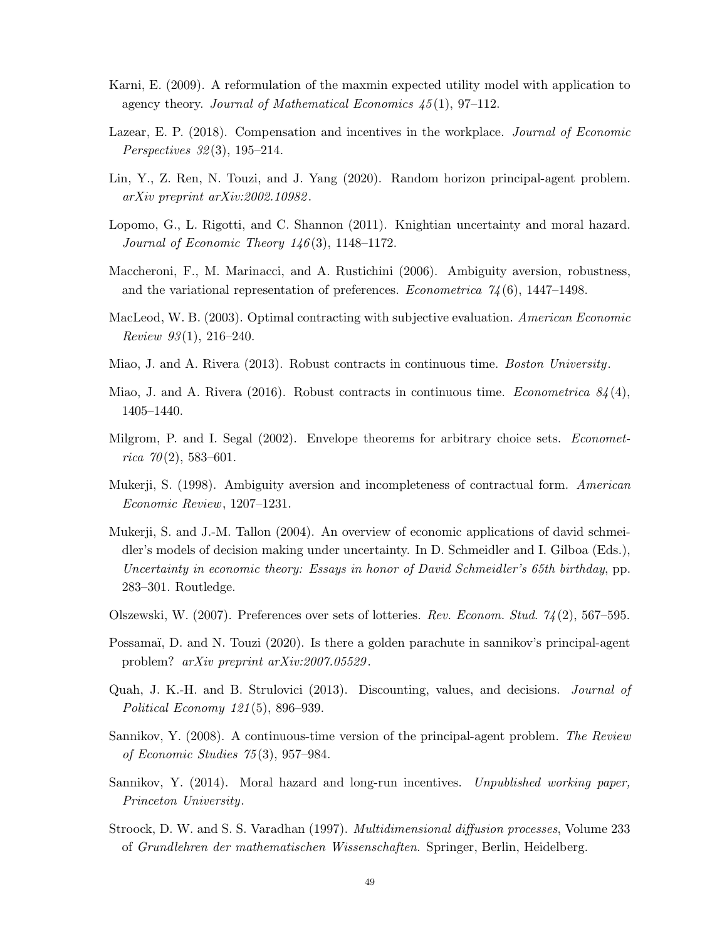- <span id="page-48-13"></span>Karni, E. (2009). A reformulation of the maxmin expected utility model with application to agency theory. Journal of Mathematical Economics 45(1), 97–112.
- <span id="page-48-12"></span>Lazear, E. P. (2018). Compensation and incentives in the workplace. Journal of Economic Perspectives 32(3), 195–214.
- <span id="page-48-8"></span>Lin, Y., Z. Ren, N. Touzi, and J. Yang (2020). Random horizon principal-agent problem. arXiv preprint arXiv:2002.10982.
- <span id="page-48-6"></span>Lopomo, G., L. Rigotti, and C. Shannon (2011). Knightian uncertainty and moral hazard. Journal of Economic Theory 146(3), 1148–1172.
- <span id="page-48-11"></span>Maccheroni, F., M. Marinacci, and A. Rustichini (2006). Ambiguity aversion, robustness, and the variational representation of preferences. *Econometrica*  $\gamma_4(6)$ , 1447–1498.
- <span id="page-48-4"></span>MacLeod, W. B. (2003). Optimal contracting with subjective evaluation. American Economic Review 93(1), 216–240.
- <span id="page-48-3"></span>Miao, J. and A. Rivera (2013). Robust contracts in continuous time. Boston University.
- <span id="page-48-9"></span>Miao, J. and A. Rivera (2016). Robust contracts in continuous time. Econometrica  $84(4)$ , 1405–1440.
- <span id="page-48-16"></span>Milgrom, P. and I. Segal (2002). Envelope theorems for arbitrary choice sets. *Economet* $rica \ 70(2),\ 583-601.$
- <span id="page-48-7"></span>Mukerji, S. (1998). Ambiguity aversion and incompleteness of contractual form. American Economic Review, 1207–1231.
- <span id="page-48-1"></span>Mukerji, S. and J.-M. Tallon (2004). An overview of economic applications of david schmeidler's models of decision making under uncertainty. In D. Schmeidler and I. Gilboa (Eds.), Uncertainty in economic theory: Essays in honor of David Schmeidler's 65th birthday, pp. 283–301. Routledge.
- <span id="page-48-14"></span>Olszewski, W. (2007). Preferences over sets of lotteries. Rev. Econom. Stud. 74(2), 567–595.
- <span id="page-48-10"></span>Possamaï, D. and N. Touzi (2020). Is there a golden parachute in sannikov's principal-agent problem? arXiv preprint arXiv:2007.05529.
- <span id="page-48-2"></span>Quah, J. K.-H. and B. Strulovici (2013). Discounting, values, and decisions. Journal of Political Economy 121(5), 896–939.
- <span id="page-48-0"></span>Sannikov, Y. (2008). A continuous-time version of the principal-agent problem. The Review of Economic Studies 75(3), 957–984.
- <span id="page-48-5"></span>Sannikov, Y. (2014). Moral hazard and long-run incentives. Unpublished working paper, Princeton University.
- <span id="page-48-15"></span>Stroock, D. W. and S. S. Varadhan (1997). Multidimensional diffusion processes, Volume 233 of Grundlehren der mathematischen Wissenschaften. Springer, Berlin, Heidelberg.